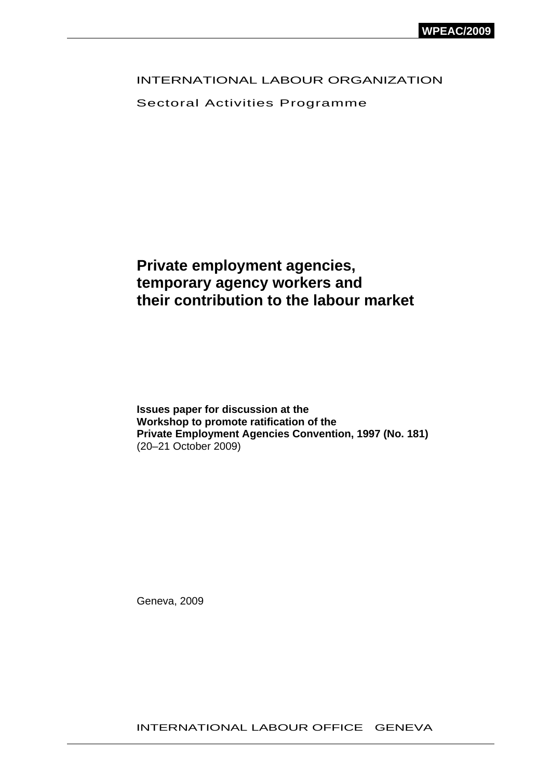## INTERNATIONAL LABOUR ORGANIZATION

Sectoral Activities Programme

# **Private employment agencies, temporary agency workers and their contribution to the labour market**

**Issues paper for discussion at the Workshop to promote ratification of the Private Employment Agencies Convention, 1997 (No. 181)**  (20–21 October 2009)

Geneva, 2009

INTERNATIONAL LABOUR OFFICE GENEVA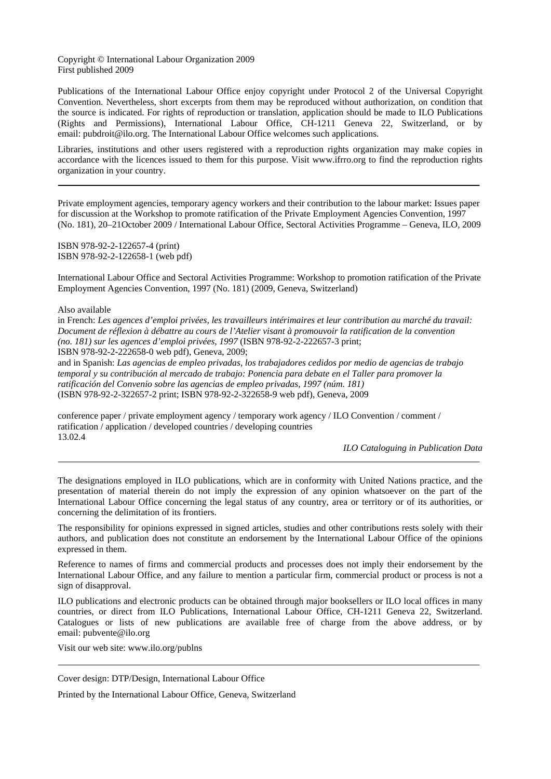Copyright © International Labour Organization 2009 First published 2009

Publications of the International Labour Office enjoy copyright under Protocol 2 of the Universal Copyright Convention. Nevertheless, short excerpts from them may be reproduced without authorization, on condition that the source is indicated. For rights of reproduction or translation, application should be made to ILO Publications (Rights and Permissions), International Labour Office, CH-1211 Geneva 22, Switzerland, or by email: [pubdroit@ilo.org](mailto:pubdroit@ilo.org). The International Labour Office welcomes such applications.

Libraries, institutions and other users registered with a reproduction rights organization may make copies in accordance with the licences issued to them for this purpose. Visit [www.ifrro.org](http://www.iffro.org/) to find the reproduction rights organization in your country.

Private employment agencies, temporary agency workers and their contribution to the labour market: Issues paper for discussion at the Workshop to promote ratification of the Private Employment Agencies Convention, 1997 (No. 181), 20–21October 2009 / International Labour Office, Sectoral Activities Programme – Geneva, ILO, 2009

ISBN 978-92-2-122657-4 (print) ISBN 978-92-2-122658-1 (web pdf)

International Labour Office and Sectoral Activities Programme: Workshop to promotion ratification of the Private Employment Agencies Convention, 1997 (No. 181) (2009, Geneva, Switzerland)

Also available

in French: *Les agences d'emploi privées, les travailleurs intérimaires et leur contribution au marché du travail: Document de réflexion à débattre au cours de l'Atelier visant à promouvoir la ratification de la convention (no. 181) sur les agences d'emploi privées, 1997* (ISBN 978-92-2-222657-3 print; ISBN 978-92-2-222658-0 web pdf), Geneva, 2009;

and in Spanish: *Las agencias de empleo privadas, los trabajadores cedidos por medio de agencias de trabajo temporal y su contribución al mercado de trabajo: Ponencia para debate en el Taller para promover la ratificación del Convenio sobre las agencias de empleo privadas, 1997 (núm. 181)* (ISBN 978-92-2-322657-2 print; ISBN 978-92-2-322658-9 web pdf), Geneva, 2009

conference paper / private employment agency / temporary work agency / ILO Convention / comment / ratification / application / developed countries / developing countries 13.02.4

*ILO Cataloguing in Publication Data*

The designations employed in ILO publications, which are in conformity with United Nations practice, and the presentation of material therein do not imply the expression of any opinion whatsoever on the part of the International Labour Office concerning the legal status of any country, area or territory or of its authorities, or concerning the delimitation of its frontiers.

The responsibility for opinions expressed in signed articles, studies and other contributions rests solely with their authors, and publication does not constitute an endorsement by the International Labour Office of the opinions expressed in them.

Reference to names of firms and commercial products and processes does not imply their endorsement by the International Labour Office, and any failure to mention a particular firm, commercial product or process is not a sign of disapproval.

ILO publications and electronic products can be obtained through major booksellers or ILO local offices in many countries, or direct from ILO Publications, International Labour Office, CH-1211 Geneva 22, Switzerland. Catalogues or lists of new publications are available free of charge from the above address, or by email: [pubvente@ilo.org](mailto:pubvente@ilo.org)

Visit our web site: [www.ilo.org/publns](http://www.ilo.org/publns)

Cover design: DTP/Design, International Labour Office

Printed by the International Labour Office, Geneva, Switzerland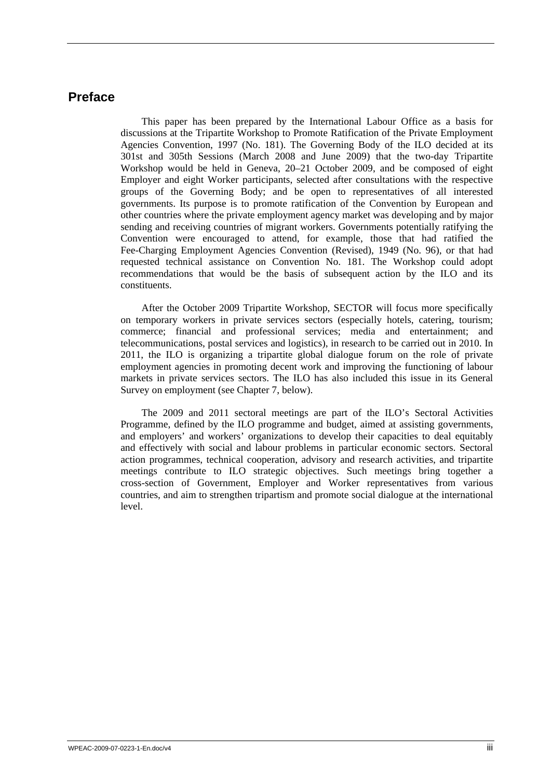## <span id="page-2-0"></span>**Preface**

This paper has been prepared by the International Labour Office as a basis for discussions at the Tripartite Workshop to Promote Ratification of the Private Employment Agencies Convention, 1997 (No. 181). The Governing Body of the ILO decided at its 301st and 305th Sessions (March 2008 and June 2009) that the two-day Tripartite Workshop would be held in Geneva, 20–21 October 2009, and be composed of eight Employer and eight Worker participants, selected after consultations with the respective groups of the Governing Body; and be open to representatives of all interested governments. Its purpose is to promote ratification of the Convention by European and other countries where the private employment agency market was developing and by major sending and receiving countries of migrant workers. Governments potentially ratifying the Convention were encouraged to attend, for example, those that had ratified the Fee-Charging Employment Agencies Convention (Revised), 1949 (No. 96), or that had requested technical assistance on Convention No. 181. The Workshop could adopt recommendations that would be the basis of subsequent action by the ILO and its constituents.

After the October 2009 Tripartite Workshop, SECTOR will focus more specifically on temporary workers in private services sectors (especially hotels, catering, tourism; commerce; financial and professional services; media and entertainment; and telecommunications, postal services and logistics), in research to be carried out in 2010. In 2011, the ILO is organizing a tripartite global dialogue forum on the role of private employment agencies in promoting decent work and improving the functioning of labour markets in private services sectors. The ILO has also included this issue in its General Survey on employment (see Chapter 7, below).

The 2009 and 2011 sectoral meetings are part of the ILO's Sectoral Activities Programme, defined by the ILO programme and budget, aimed at assisting governments, and employers' and workers' organizations to develop their capacities to deal equitably and effectively with social and labour problems in particular economic sectors. Sectoral action programmes, technical cooperation, advisory and research activities, and tripartite meetings contribute to ILO strategic objectives. Such meetings bring together a cross-section of Government, Employer and Worker representatives from various countries, and aim to strengthen tripartism and promote social dialogue at the international level.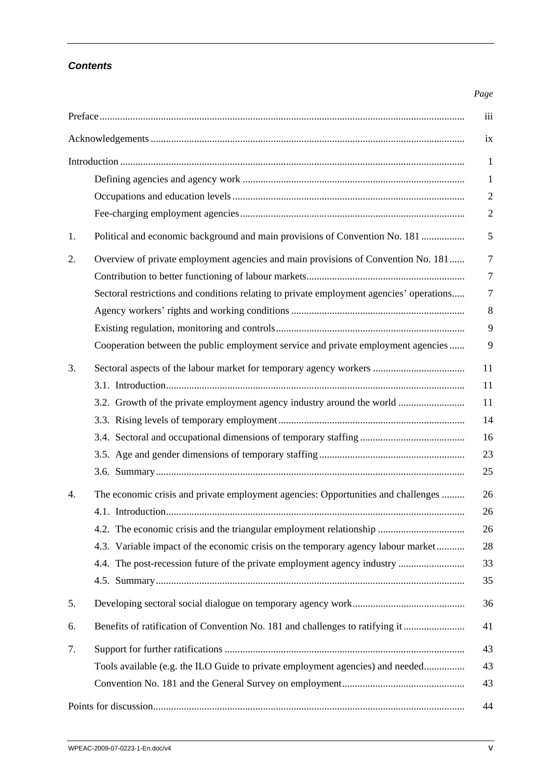## *Contents*

### *Page*

|    |                                                                                          | iii            |
|----|------------------------------------------------------------------------------------------|----------------|
|    |                                                                                          | ix             |
|    |                                                                                          | 1              |
|    |                                                                                          | $\mathbf{1}$   |
|    |                                                                                          | $\overline{2}$ |
|    |                                                                                          | $\overline{2}$ |
| 1. | Political and economic background and main provisions of Convention No. 181              | 5              |
| 2. | Overview of private employment agencies and main provisions of Convention No. 181        | 7              |
|    |                                                                                          | 7              |
|    | Sectoral restrictions and conditions relating to private employment agencies' operations | 7              |
|    |                                                                                          | 8              |
|    |                                                                                          | 9              |
|    | Cooperation between the public employment service and private employment agencies        | 9              |
| 3. |                                                                                          | 11             |
|    |                                                                                          | 11             |
|    | 3.2. Growth of the private employment agency industry around the world                   | 11             |
|    |                                                                                          | 14             |
|    |                                                                                          | 16             |
|    |                                                                                          | 23             |
|    |                                                                                          | 25             |
| 4. | The economic crisis and private employment agencies: Opportunities and challenges        | 26             |
|    |                                                                                          | 26             |
|    |                                                                                          | 26             |
|    | 4.3. Variable impact of the economic crisis on the temporary agency labour market        | 28             |
|    | 4.4. The post-recession future of the private employment agency industry                 | 33             |
|    |                                                                                          | 35             |
| 5. |                                                                                          | 36             |
| 6. | Benefits of ratification of Convention No. 181 and challenges to ratifying it            | 41             |
| 7. |                                                                                          | 43             |
|    | Tools available (e.g. the ILO Guide to private employment agencies) and needed           | 43             |
|    |                                                                                          | 43             |
|    |                                                                                          | 44             |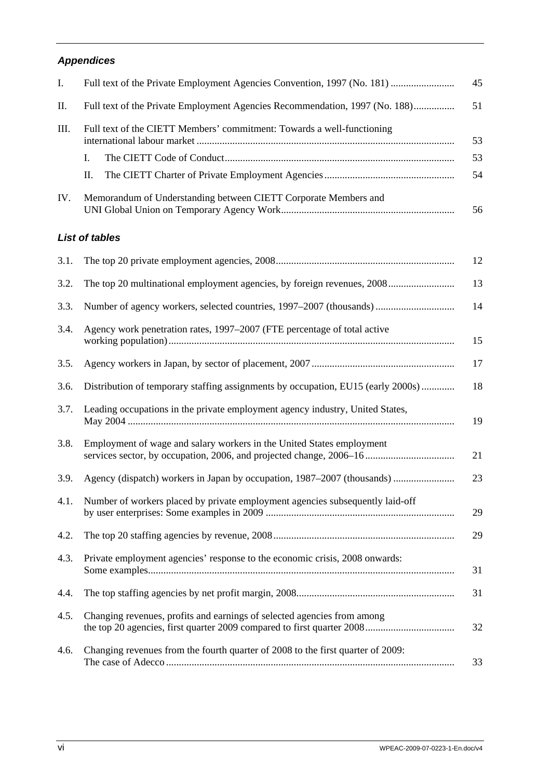## *Appendices*

| Ι.   | Full text of the Private Employment Agencies Convention, 1997 (No. 181)     | 45 |
|------|-----------------------------------------------------------------------------|----|
| П.   | Full text of the Private Employment Agencies Recommendation, 1997 (No. 188) | 51 |
| III. | Full text of the CIETT Members' commitment: Towards a well-functioning      | 53 |
|      |                                                                             | 53 |
|      | П.                                                                          | 54 |
| IV.  | Memorandum of Understanding between CIETT Corporate Members and             | 56 |

## *List of tables*

| 3.1. |                                                                                  | 12 |
|------|----------------------------------------------------------------------------------|----|
| 3.2. | The top 20 multinational employment agencies, by foreign revenues, 2008          | 13 |
| 3.3. | Number of agency workers, selected countries, 1997–2007 (thousands)              | 14 |
| 3.4. | Agency work penetration rates, 1997–2007 (FTE percentage of total active         | 15 |
| 3.5. |                                                                                  | 17 |
| 3.6. | Distribution of temporary staffing assignments by occupation, EU15 (early 2000s) | 18 |
| 3.7. | Leading occupations in the private employment agency industry, United States,    | 19 |
| 3.8. | Employment of wage and salary workers in the United States employment            | 21 |
| 3.9. |                                                                                  | 23 |
| 4.1. | Number of workers placed by private employment agencies subsequently laid-off    | 29 |
| 4.2. |                                                                                  | 29 |
| 4.3. | Private employment agencies' response to the economic crisis, 2008 onwards:      | 31 |
| 4.4. |                                                                                  | 31 |
| 4.5. | Changing revenues, profits and earnings of selected agencies from among          | 32 |
| 4.6. | Changing revenues from the fourth quarter of 2008 to the first quarter of 2009:  | 33 |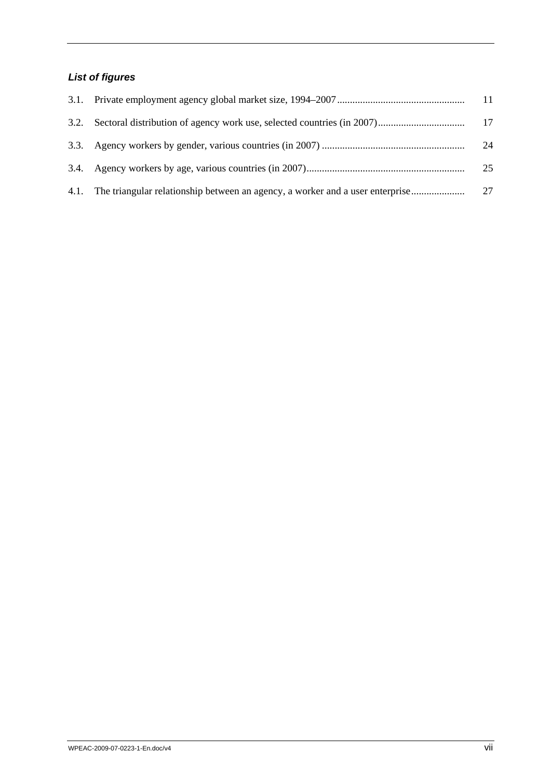# *List of figures*

|                                                                                    | 11 |
|------------------------------------------------------------------------------------|----|
|                                                                                    | 17 |
|                                                                                    | 24 |
|                                                                                    | 25 |
| 4.1. The triangular relationship between an agency, a worker and a user enterprise | 27 |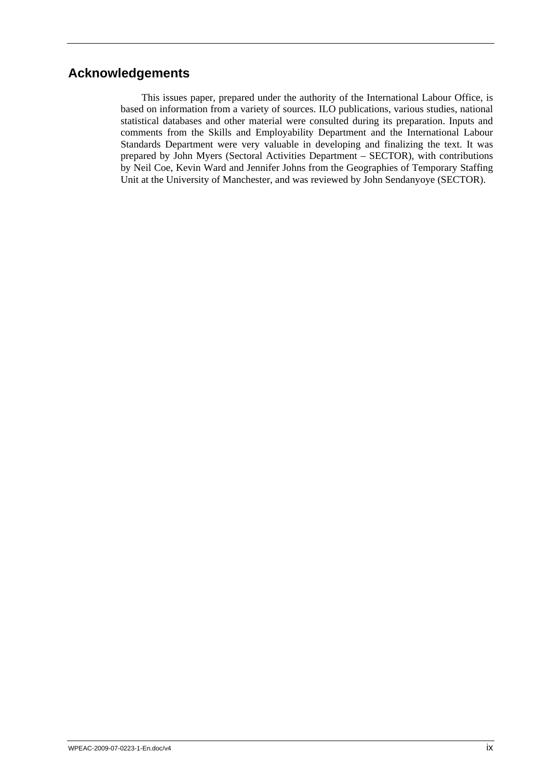## <span id="page-8-0"></span>**Acknowledgements**

This issues paper, prepared under the authority of the International Labour Office, is based on information from a variety of sources. ILO publications, various studies, national statistical databases and other material were consulted during its preparation. Inputs and comments from the Skills and Employability Department and the International Labour Standards Department were very valuable in developing and finalizing the text. It was prepared by John Myers (Sectoral Activities Department – SECTOR), with contributions by Neil Coe, Kevin Ward and Jennifer Johns from the Geographies of Temporary Staffing Unit at the University of Manchester, and was reviewed by John Sendanyoye (SECTOR).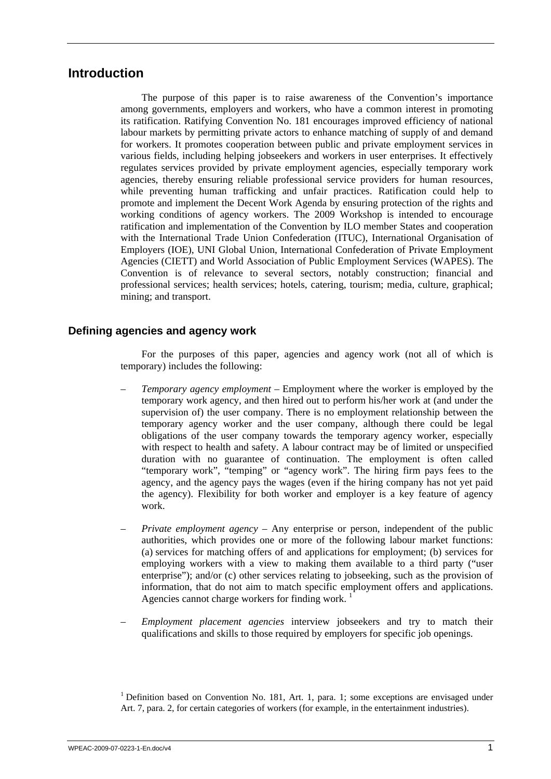## <span id="page-10-0"></span>**Introduction**

The purpose of this paper is to raise awareness of the Convention's importance among governments, employers and workers, who have a common interest in promoting its ratification. Ratifying Convention No. 181 encourages improved efficiency of national labour markets by permitting private actors to enhance matching of supply of and demand for workers. It promotes cooperation between public and private employment services in various fields, including helping jobseekers and workers in user enterprises. It effectively regulates services provided by private employment agencies, especially temporary work agencies, thereby ensuring reliable professional service providers for human resources, while preventing human trafficking and unfair practices. Ratification could help to promote and implement the Decent Work Agenda by ensuring protection of the rights and working conditions of agency workers. The 2009 Workshop is intended to encourage ratification and implementation of the Convention by ILO member States and cooperation with the International Trade Union Confederation (ITUC), International Organisation of Employers (IOE), UNI Global Union, International Confederation of Private Employment Agencies (CIETT) and World Association of Public Employment Services (WAPES). The Convention is of relevance to several sectors, notably construction; financial and professional services; health services; hotels, catering, tourism; media, culture, graphical; mining; and transport.

## **Defining agencies and agency work**

For the purposes of this paper, agencies and agency work (not all of which is temporary) includes the following:

- *Temporary agency employment* Employment where the worker is employed by the temporary work agency, and then hired out to perform his/her work at (and under the supervision of) the user company. There is no employment relationship between the temporary agency worker and the user company, although there could be legal obligations of the user company towards the temporary agency worker, especially with respect to health and safety. A labour contract may be of limited or unspecified duration with no guarantee of continuation. The employment is often called "temporary work", "temping" or "agency work". The hiring firm pays fees to the agency, and the agency pays the wages (even if the hiring company has not yet paid the agency). Flexibility for both worker and employer is a key feature of agency work.
- *Private employment agency* Any enterprise or person, independent of the public authorities, which provides one or more of the following labour market functions: (a) services for matching offers of and applications for employment; (b) services for employing workers with a view to making them available to a third party ("user enterprise"); and/or (c) other services relating to jobseeking, such as the provision of information, that do not aim to match specific employment offers and applications. Agencies cannot charge workers for finding work.<sup>1</sup>
- *Employment placement agencies* interview jobseekers and try to match their qualifications and skills to those required by employers for specific job openings.

<sup>&</sup>lt;sup>1</sup> Definition based on Convention No. 181, Art. 1, para. 1; some exceptions are envisaged under Art. 7, para. 2, for certain categories of workers (for example, in the entertainment industries).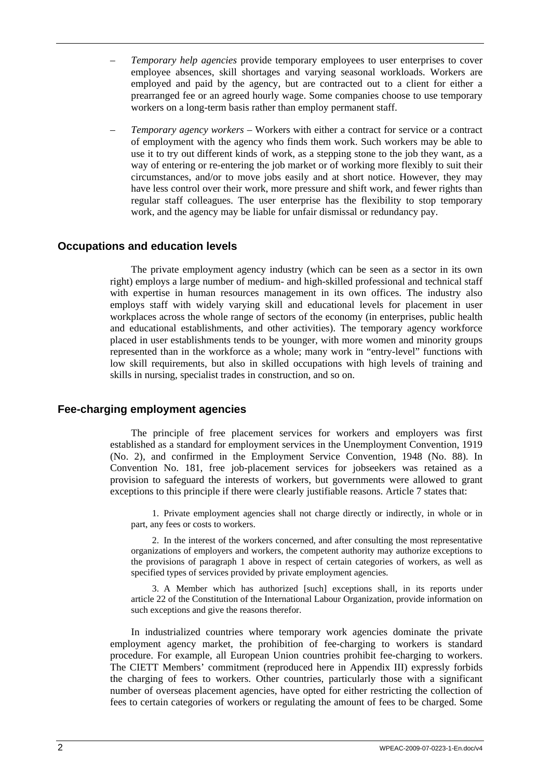- <span id="page-11-0"></span>– *Temporary help agencies* provide temporary employees to user enterprises to cover employee absences, skill shortages and varying seasonal workloads. Workers are employed and paid by the agency, but are contracted out to a client for either a prearranged fee or an agreed hourly wage. Some companies choose to use temporary workers on a long-term basis rather than employ permanent staff.
- *Temporary agency workers* Workers with either a contract for service or a contract of employment with the agency who finds them work. Such workers may be able to use it to try out different kinds of work, as a stepping stone to the job they want, as a way of entering or re-entering the job market or of working more flexibly to suit their circumstances, and/or to move jobs easily and at short notice. However, they may have less control over their work, more pressure and shift work, and fewer rights than regular staff colleagues. The user enterprise has the flexibility to stop temporary work, and the agency may be liable for unfair dismissal or redundancy pay.

## **Occupations and education levels**

The private employment agency industry (which can be seen as a sector in its own right) employs a large number of medium- and high-skilled professional and technical staff with expertise in human resources management in its own offices. The industry also employs staff with widely varying skill and educational levels for placement in user workplaces across the whole range of sectors of the economy (in enterprises, public health and educational establishments, and other activities). The temporary agency workforce placed in user establishments tends to be younger, with more women and minority groups represented than in the workforce as a whole; many work in "entry-level" functions with low skill requirements, but also in skilled occupations with high levels of training and skills in nursing, specialist trades in construction, and so on.

## **Fee-charging employment agencies**

The principle of free placement services for workers and employers was first established as a standard for employment services in the Unemployment Convention, 1919 (No. 2), and confirmed in the Employment Service Convention, 1948 (No. 88). In Convention No. 181, free job-placement services for jobseekers was retained as a provision to safeguard the interests of workers, but governments were allowed to grant exceptions to this principle if there were clearly justifiable reasons. Article 7 states that:

1. Private employment agencies shall not charge directly or indirectly, in whole or in part, any fees or costs to workers.

2. In the interest of the workers concerned, and after consulting the most representative organizations of employers and workers, the competent authority may authorize exceptions to the provisions of paragraph 1 above in respect of certain categories of workers, as well as specified types of services provided by private employment agencies.

3. A Member which has authorized [such] exceptions shall, in its reports under article 22 of the Constitution of the International Labour Organization, provide information on such exceptions and give the reasons therefor.

In industrialized countries where temporary work agencies dominate the private employment agency market, the prohibition of fee-charging to workers is standard procedure. For example, all European Union countries prohibit fee-charging to workers. The CIETT Members' commitment (reproduced here in Appendix III) expressly forbids the charging of fees to workers. Other countries, particularly those with a significant number of overseas placement agencies, have opted for either restricting the collection of fees to certain categories of workers or regulating the amount of fees to be charged. Some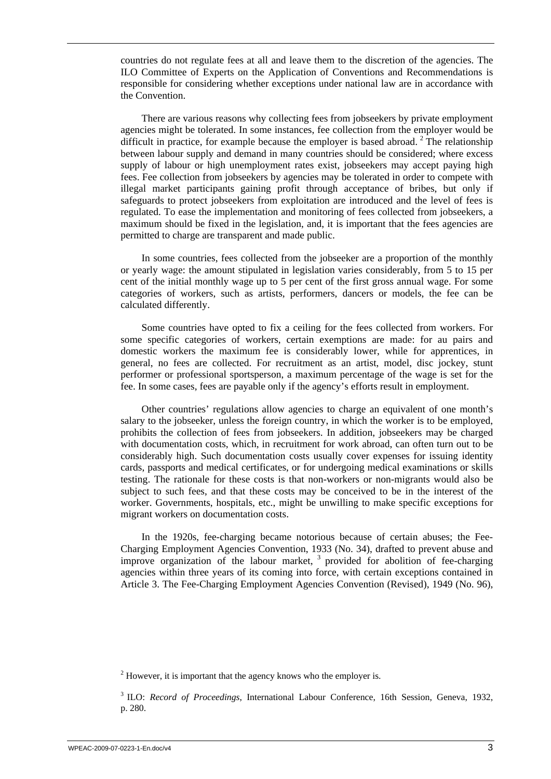countries do not regulate fees at all and leave them to the discretion of the agencies. The ILO Committee of Experts on the Application of Conventions and Recommendations is responsible for considering whether exceptions under national law are in accordance with the Convention.

There are various reasons why collecting fees from jobseekers by private employment agencies might be tolerated. In some instances, fee collection from the employer would be difficult in practice, for example because the employer is based abroad.<sup>2</sup> The relationship between labour supply and demand in many countries should be considered; where excess supply of labour or high unemployment rates exist, jobseekers may accept paying high fees. Fee collection from jobseekers by agencies may be tolerated in order to compete with illegal market participants gaining profit through acceptance of bribes, but only if safeguards to protect jobseekers from exploitation are introduced and the level of fees is regulated. To ease the implementation and monitoring of fees collected from jobseekers, a maximum should be fixed in the legislation, and, it is important that the fees agencies are permitted to charge are transparent and made public.

In some countries, fees collected from the jobseeker are a proportion of the monthly or yearly wage: the amount stipulated in legislation varies considerably, from 5 to 15 per cent of the initial monthly wage up to 5 per cent of the first gross annual wage. For some categories of workers, such as artists, performers, dancers or models, the fee can be calculated differently.

Some countries have opted to fix a ceiling for the fees collected from workers. For some specific categories of workers, certain exemptions are made: for au pairs and domestic workers the maximum fee is considerably lower, while for apprentices, in general, no fees are collected. For recruitment as an artist, model, disc jockey, stunt performer or professional sportsperson, a maximum percentage of the wage is set for the fee. In some cases, fees are payable only if the agency's efforts result in employment.

Other countries' regulations allow agencies to charge an equivalent of one month's salary to the jobseeker, unless the foreign country, in which the worker is to be employed, prohibits the collection of fees from jobseekers. In addition, jobseekers may be charged with documentation costs, which, in recruitment for work abroad, can often turn out to be considerably high. Such documentation costs usually cover expenses for issuing identity cards, passports and medical certificates, or for undergoing medical examinations or skills testing. The rationale for these costs is that non-workers or non-migrants would also be subject to such fees, and that these costs may be conceived to be in the interest of the worker. Governments, hospitals, etc., might be unwilling to make specific exceptions for migrant workers on documentation costs.

In the 1920s, fee-charging became notorious because of certain abuses; the Fee-Charging Employment Agencies Convention, 1933 (No. 34), drafted to prevent abuse and improve organization of the labour market, 3 provided for abolition of fee-charging agencies within three years of its coming into force, with certain exceptions contained in Article 3. The Fee-Charging Employment Agencies Convention (Revised), 1949 (No. 96),

 $2<sup>2</sup>$  However, it is important that the agency knows who the employer is.

<sup>&</sup>lt;sup>3</sup> ILO: *Record of Proceedings*, International Labour Conference, 16th Session, Geneva, 1932, p. 280.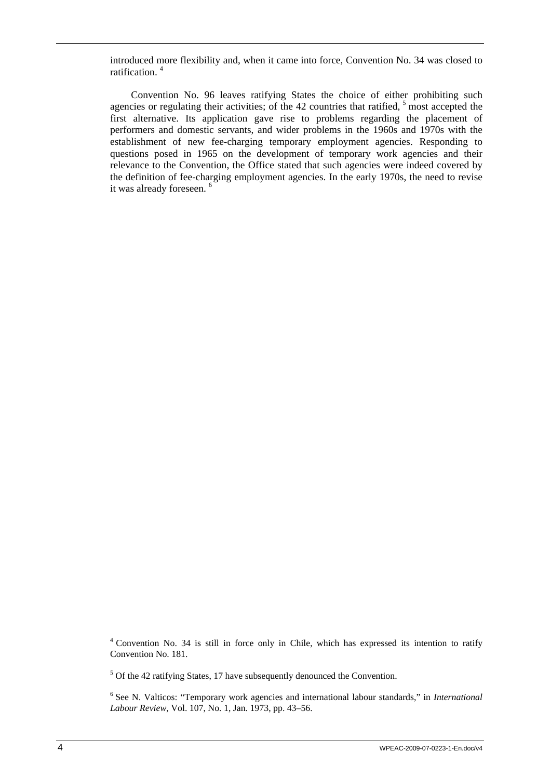introduced more flexibility and, when it came into force, Convention No. 34 was closed to ratification. <sup>4</sup>

Convention No. 96 leaves ratifying States the choice of either prohibiting such agencies or regulating their activities; of the  $42$  countries that ratified,  $5$  most accepted the first alternative. Its application gave rise to problems regarding the placement of performers and domestic servants, and wider problems in the 1960s and 1970s with the establishment of new fee-charging temporary employment agencies. Responding to questions posed in 1965 on the development of temporary work agencies and their relevance to the Convention, the Office stated that such agencies were indeed covered by the definition of fee-charging employment agencies. In the early 1970s, the need to revise it was already foreseen. <sup>6</sup>

<sup>&</sup>lt;sup>4</sup> Convention No. 34 is still in force only in Chile, which has expressed its intention to ratify Convention No. 181.

 $5$  Of the 42 ratifying States, 17 have subsequently denounced the Convention.

<sup>&</sup>lt;sup>6</sup> See N. Valticos: "Temporary work agencies and international labour standards," in *International Labour Review*, Vol. 107, No. 1, Jan. 1973, pp. 43–56.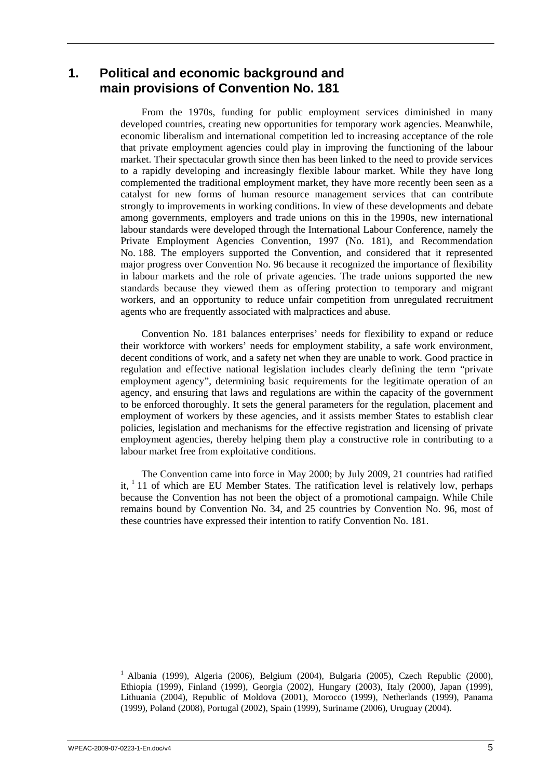## <span id="page-14-0"></span>**1. Political and economic background and main provisions of Convention No. 181**

From the 1970s, funding for public employment services diminished in many developed countries, creating new opportunities for temporary work agencies. Meanwhile, economic liberalism and international competition led to increasing acceptance of the role that private employment agencies could play in improving the functioning of the labour market. Their spectacular growth since then has been linked to the need to provide services to a rapidly developing and increasingly flexible labour market. While they have long complemented the traditional employment market, they have more recently been seen as a catalyst for new forms of human resource management services that can contribute strongly to improvements in working conditions. In view of these developments and debate among governments, employers and trade unions on this in the 1990s, new international labour standards were developed through the International Labour Conference, namely the Private Employment Agencies Convention, 1997 (No. 181), and Recommendation No. 188. The employers supported the Convention, and considered that it represented major progress over Convention No. 96 because it recognized the importance of flexibility in labour markets and the role of private agencies. The trade unions supported the new standards because they viewed them as offering protection to temporary and migrant workers, and an opportunity to reduce unfair competition from unregulated recruitment agents who are frequently associated with malpractices and abuse.

Convention No. 181 balances enterprises' needs for flexibility to expand or reduce their workforce with workers' needs for employment stability, a safe work environment, decent conditions of work, and a safety net when they are unable to work. Good practice in regulation and effective national legislation includes clearly defining the term "private employment agency", determining basic requirements for the legitimate operation of an agency, and ensuring that laws and regulations are within the capacity of the government to be enforced thoroughly. It sets the general parameters for the regulation, placement and employment of workers by these agencies, and it assists member States to establish clear policies, legislation and mechanisms for the effective registration and licensing of private employment agencies, thereby helping them play a constructive role in contributing to a labour market free from exploitative conditions.

The Convention came into force in May 2000; by July 2009, 21 countries had ratified it,  $11$  of which are EU Member States. The ratification level is relatively low, perhaps because the Convention has not been the object of a promotional campaign. While Chile remains bound by Convention No. 34, and 25 countries by Convention No. 96, most of these countries have expressed their intention to ratify Convention No. 181.

<sup>1</sup> Albania (1999), Algeria (2006), Belgium (2004), Bulgaria (2005), Czech Republic (2000), Ethiopia (1999), Finland (1999), Georgia (2002), Hungary (2003), Italy (2000), Japan (1999), Lithuania (2004), Republic of Moldova (2001), Morocco (1999), Netherlands (1999), Panama (1999), Poland (2008), Portugal (2002), Spain (1999), Suriname (2006), Uruguay (2004).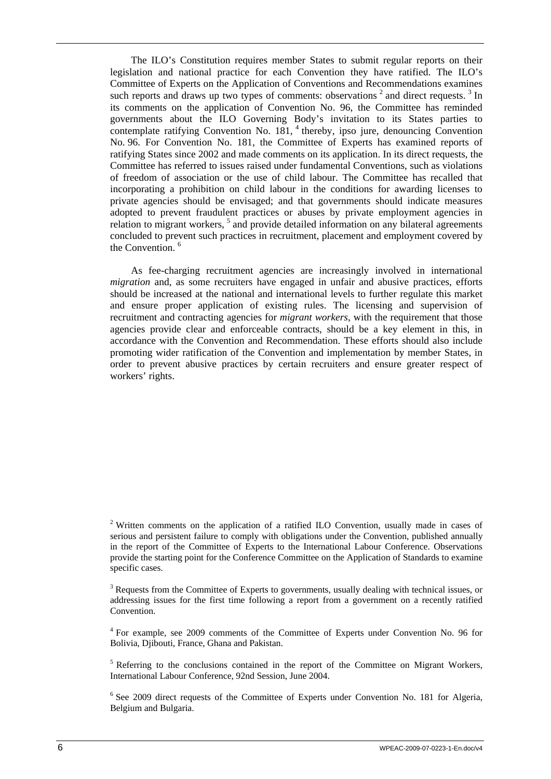The ILO's Constitution requires member States to submit regular reports on their legislation and national practice for each Convention they have ratified. The ILO's Committee of Experts on the Application of Conventions and Recommendations examines such reports and draws up two types of comments: observations  $2$  and direct requests.  $3 \text{ In }$ its comments on the application of Convention No. 96, the Committee has reminded governments about the ILO Governing Body's invitation to its States parties to contemplate ratifying Convention No.  $181<sup>4</sup>$  thereby, ipso jure, denouncing Convention No. 96. For Convention No. 181, the Committee of Experts has examined reports of ratifying States since 2002 and made comments on its application. In its direct requests, the Committee has referred to issues raised under fundamental Conventions, such as violations of freedom of association or the use of child labour. The Committee has recalled that incorporating a prohibition on child labour in the conditions for awarding licenses to private agencies should be envisaged; and that governments should indicate measures adopted to prevent fraudulent practices or abuses by private employment agencies in relation to migrant workers, <sup>5</sup> and provide detailed information on any bilateral agreements concluded to prevent such practices in recruitment, placement and employment covered by the Convention.<sup>6</sup>

As fee-charging recruitment agencies are increasingly involved in international *migration* and, as some recruiters have engaged in unfair and abusive practices, efforts should be increased at the national and international levels to further regulate this market and ensure proper application of existing rules. The licensing and supervision of recruitment and contracting agencies for *migrant workers*, with the requirement that those agencies provide clear and enforceable contracts, should be a key element in this, in accordance with the Convention and Recommendation. These efforts should also include promoting wider ratification of the Convention and implementation by member States, in order to prevent abusive practices by certain recruiters and ensure greater respect of workers' rights.

<sup>&</sup>lt;sup>2</sup> Written comments on the application of a ratified ILO Convention, usually made in cases of serious and persistent failure to comply with obligations under the Convention, published annually in the report of the Committee of Experts to the International Labour Conference. Observations provide the starting point for the Conference Committee on the Application of Standards to examine specific cases.

 $3$  Requests from the Committee of Experts to governments, usually dealing with technical issues, or addressing issues for the first time following a report from a government on a recently ratified Convention.

<sup>&</sup>lt;sup>4</sup> For example, see 2009 comments of the Committee of Experts under Convention No. 96 for Bolivia, Djibouti, France, Ghana and Pakistan.

<sup>&</sup>lt;sup>5</sup> Referring to the conclusions contained in the report of the Committee on Migrant Workers, International Labour Conference, 92nd Session, June 2004.

<sup>&</sup>lt;sup>6</sup> See 2009 direct requests of the Committee of Experts under Convention No. 181 for Algeria, Belgium and Bulgaria.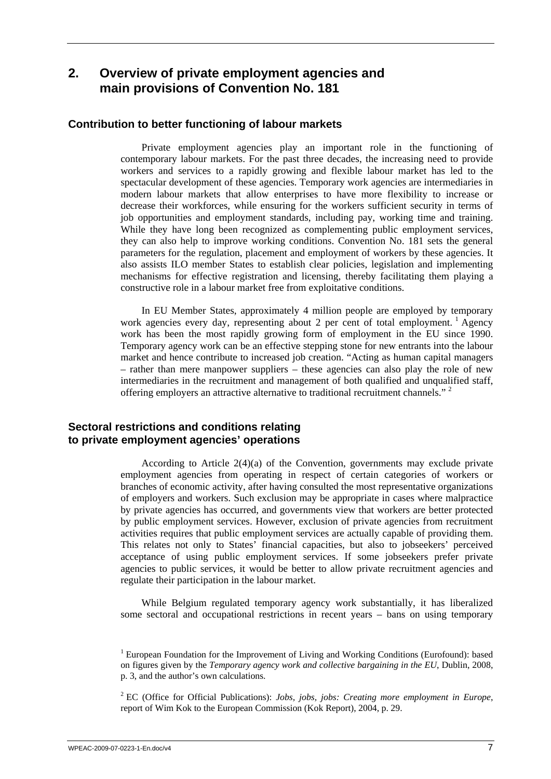## <span id="page-16-0"></span>**2. Overview of private employment agencies and main provisions of Convention No. 181**

## **Contribution to better functioning of labour markets**

Private employment agencies play an important role in the functioning of contemporary labour markets. For the past three decades, the increasing need to provide workers and services to a rapidly growing and flexible labour market has led to the spectacular development of these agencies. Temporary work agencies are intermediaries in modern labour markets that allow enterprises to have more flexibility to increase or decrease their workforces, while ensuring for the workers sufficient security in terms of job opportunities and employment standards, including pay, working time and training. While they have long been recognized as complementing public employment services, they can also help to improve working conditions. Convention No. 181 sets the general parameters for the regulation, placement and employment of workers by these agencies. It also assists ILO member States to establish clear policies, legislation and implementing mechanisms for effective registration and licensing, thereby facilitating them playing a constructive role in a labour market free from exploitative conditions.

In EU Member States, approximately 4 million people are employed by temporary work agencies every day, representing about 2 per cent of total employment.<sup>1</sup> Agency work has been the most rapidly growing form of employment in the EU since 1990. Temporary agency work can be an effective stepping stone for new entrants into the labour market and hence contribute to increased job creation. "Acting as human capital managers – rather than mere manpower suppliers – these agencies can also play the role of new intermediaries in the recruitment and management of both qualified and unqualified staff, offering employers an attractive alternative to traditional recruitment channels." 2

## **Sectoral restrictions and conditions relating to private employment agencies' operations**

According to Article 2(4)(a) of the Convention, governments may exclude private employment agencies from operating in respect of certain categories of workers or branches of economic activity, after having consulted the most representative organizations of employers and workers. Such exclusion may be appropriate in cases where malpractice by private agencies has occurred, and governments view that workers are better protected by public employment services. However, exclusion of private agencies from recruitment activities requires that public employment services are actually capable of providing them. This relates not only to States' financial capacities, but also to jobseekers' perceived acceptance of using public employment services. If some jobseekers prefer private agencies to public services, it would be better to allow private recruitment agencies and regulate their participation in the labour market.

While Belgium regulated temporary agency work substantially, it has liberalized some sectoral and occupational restrictions in recent years – bans on using temporary

<sup>&</sup>lt;sup>1</sup> European Foundation for the Improvement of Living and Working Conditions (Eurofound): based on figures given by the *Temporary agency work and collective bargaining in the EU*, Dublin, 2008, p. 3, and the author's own calculations.

<sup>2</sup> EC (Office for Official Publications): *Jobs, jobs, jobs: Creating more employment in Europe*, report of Wim Kok to the European Commission (Kok Report), 2004, p. 29.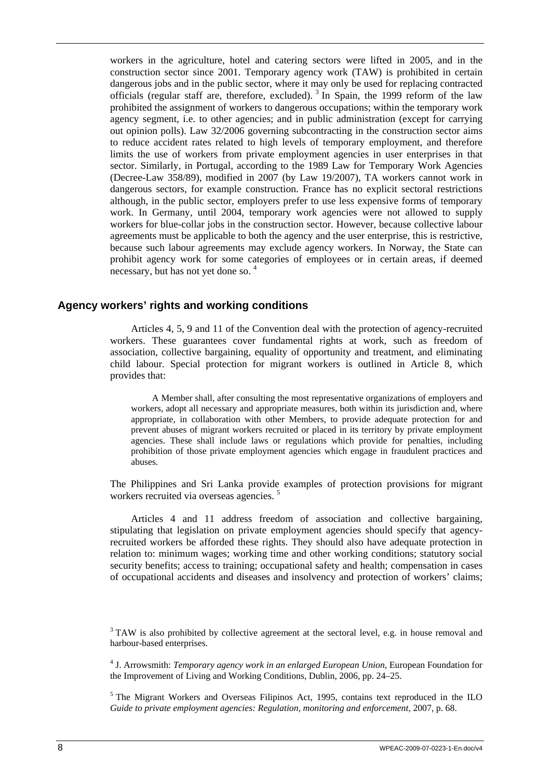<span id="page-17-0"></span>workers in the agriculture, hotel and catering sectors were lifted in 2005, and in the construction sector since 2001. Temporary agency work (TAW) is prohibited in certain dangerous jobs and in the public sector, where it may only be used for replacing contracted officials (regular staff are, therefore, excluded).  $3 \text{ In Spain}$ , the 1999 reform of the law prohibited the assignment of workers to dangerous occupations; within the temporary work agency segment, i.e. to other agencies; and in public administration (except for carrying out opinion polls). Law 32/2006 governing subcontracting in the construction sector aims to reduce accident rates related to high levels of temporary employment, and therefore limits the use of workers from private employment agencies in user enterprises in that sector. Similarly, in Portugal, according to the 1989 Law for Temporary Work Agencies (Decree-Law 358/89), modified in 2007 (by Law 19/2007), TA workers cannot work in dangerous sectors, for example construction. France has no explicit sectoral restrictions although, in the public sector, employers prefer to use less expensive forms of temporary work. In Germany, until 2004, temporary work agencies were not allowed to supply workers for blue-collar jobs in the construction sector. However, because collective labour agreements must be applicable to both the agency and the user enterprise, this is restrictive, because such labour agreements may exclude agency workers. In Norway, the State can prohibit agency work for some categories of employees or in certain areas, if deemed necessary, but has not yet done so. 4

### **Agency workers' rights and working conditions**

Articles 4, 5, 9 and 11 of the Convention deal with the protection of agency-recruited workers. These guarantees cover fundamental rights at work, such as freedom of association, collective bargaining, equality of opportunity and treatment, and eliminating child labour. Special protection for migrant workers is outlined in Article 8, which provides that:

A Member shall, after consulting the most representative organizations of employers and workers, adopt all necessary and appropriate measures, both within its jurisdiction and, where appropriate, in collaboration with other Members, to provide adequate protection for and prevent abuses of migrant workers recruited or placed in its territory by private employment agencies. These shall include laws or regulations which provide for penalties, including prohibition of those private employment agencies which engage in fraudulent practices and abuses.

The Philippines and Sri Lanka provide examples of protection provisions for migrant workers recruited via overseas agencies.<sup>5</sup>

Articles 4 and 11 address freedom of association and collective bargaining, stipulating that legislation on private employment agencies should specify that agencyrecruited workers be afforded these rights. They should also have adequate protection in relation to: minimum wages; working time and other working conditions; statutory social security benefits; access to training; occupational safety and health; compensation in cases of occupational accidents and diseases and insolvency and protection of workers' claims;

 $3$  TAW is also prohibited by collective agreement at the sectoral level, e.g. in house removal and harbour-based enterprises.

4 J. Arrowsmith: *Temporary agency work in an enlarged European Union*, European Foundation for the Improvement of Living and Working Conditions, Dublin, 2006, pp. 24–25.

<sup>5</sup> The Migrant Workers and Overseas Filipinos Act, 1995, contains text reproduced in the ILO *Guide to private employment agencies: Regulation, monitoring and enforcement*, 2007, p. 68.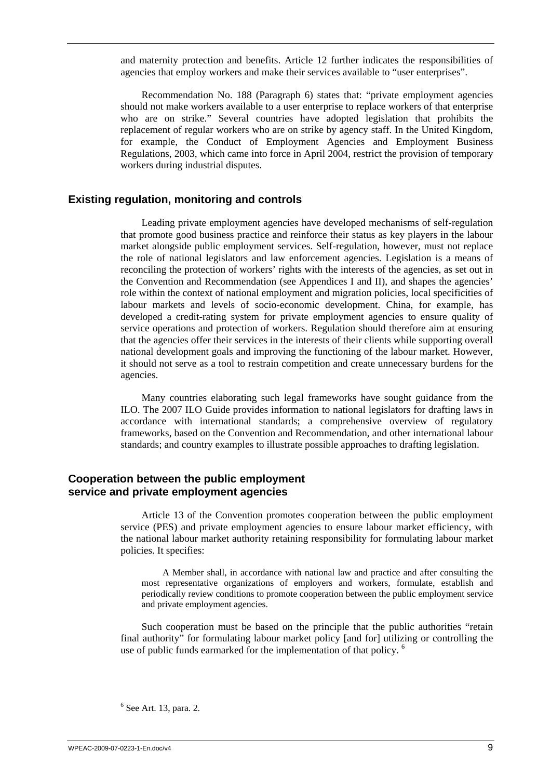<span id="page-18-0"></span>and maternity protection and benefits. Article 12 further indicates the responsibilities of agencies that employ workers and make their services available to "user enterprises".

Recommendation No. 188 (Paragraph 6) states that: "private employment agencies should not make workers available to a user enterprise to replace workers of that enterprise who are on strike." Several countries have adopted legislation that prohibits the replacement of regular workers who are on strike by agency staff. In the United Kingdom, for example, the Conduct of Employment Agencies and Employment Business Regulations, 2003, which came into force in April 2004, restrict the provision of temporary workers during industrial disputes.

### **Existing regulation, monitoring and controls**

Leading private employment agencies have developed mechanisms of self-regulation that promote good business practice and reinforce their status as key players in the labour market alongside public employment services. Self-regulation, however, must not replace the role of national legislators and law enforcement agencies. Legislation is a means of reconciling the protection of workers' rights with the interests of the agencies, as set out in the Convention and Recommendation (see Appendices I and II), and shapes the agencies' role within the context of national employment and migration policies, local specificities of labour markets and levels of socio-economic development. China, for example, has developed a credit-rating system for private employment agencies to ensure quality of service operations and protection of workers. Regulation should therefore aim at ensuring that the agencies offer their services in the interests of their clients while supporting overall national development goals and improving the functioning of the labour market. However, it should not serve as a tool to restrain competition and create unnecessary burdens for the agencies.

Many countries elaborating such legal frameworks have sought guidance from the ILO. The 2007 ILO Guide provides information to national legislators for drafting laws in accordance with international standards; a comprehensive overview of regulatory frameworks, based on the Convention and Recommendation, and other international labour standards; and country examples to illustrate possible approaches to drafting legislation.

## **Cooperation between the public employment service and private employment agencies**

Article 13 of the Convention promotes cooperation between the public employment service (PES) and private employment agencies to ensure labour market efficiency, with the national labour market authority retaining responsibility for formulating labour market policies. It specifies:

A Member shall, in accordance with national law and practice and after consulting the most representative organizations of employers and workers, formulate, establish and periodically review conditions to promote cooperation between the public employment service and private employment agencies.

Such cooperation must be based on the principle that the public authorities "retain final authority" for formulating labour market policy [and for] utilizing or controlling the use of public funds earmarked for the implementation of that policy.<sup>6</sup>

 $<sup>6</sup>$  See Art. 13, para. 2.</sup>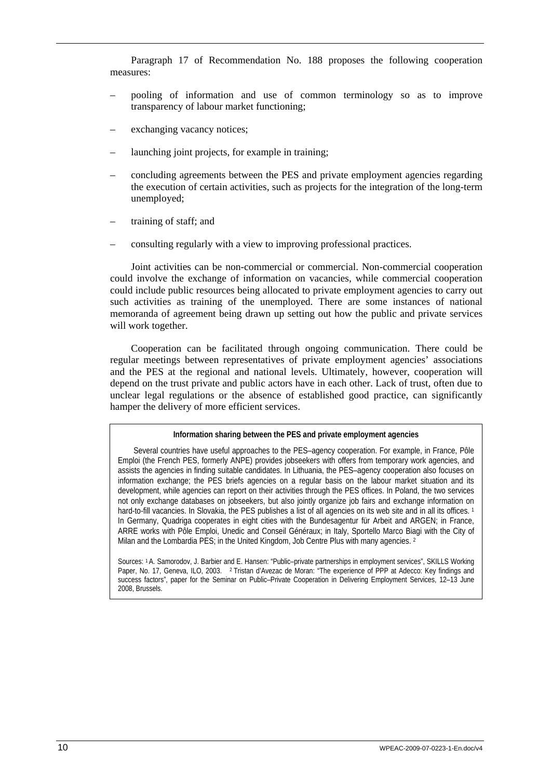Paragraph 17 of Recommendation No. 188 proposes the following cooperation measures:

- pooling of information and use of common terminology so as to improve transparency of labour market functioning;
- exchanging vacancy notices:
- launching joint projects, for example in training;
- concluding agreements between the PES and private employment agencies regarding the execution of certain activities, such as projects for the integration of the long-term unemployed;
- training of staff; and
- consulting regularly with a view to improving professional practices.

Joint activities can be non-commercial or commercial. Non-commercial cooperation could involve the exchange of information on vacancies, while commercial cooperation could include public resources being allocated to private employment agencies to carry out such activities as training of the unemployed. There are some instances of national memoranda of agreement being drawn up setting out how the public and private services will work together.

Cooperation can be facilitated through ongoing communication. There could be regular meetings between representatives of private employment agencies' associations and the PES at the regional and national levels. Ultimately, however, cooperation will depend on the trust private and public actors have in each other. Lack of trust, often due to unclear legal regulations or the absence of established good practice, can significantly hamper the delivery of more efficient services.

#### **Information sharing between the PES and private employment agencies**

Several countries have useful approaches to the PES–agency cooperation. For example, in France, Pôle Emploi (the French PES, formerly ANPE) provides jobseekers with offers from temporary work agencies, and assists the agencies in finding suitable candidates. In Lithuania, the PES–agency cooperation also focuses on information exchange; the PES briefs agencies on a regular basis on the labour market situation and its development, while agencies can report on their activities through the PES offices. In Poland, the two services not only exchange databases on jobseekers, but also jointly organize job fairs and exchange information on hard-to-fill vacancies. In Slovakia, the PES publishes a list of all agencies on its web site and in all its offices.<sup>1</sup> In Germany, Quadriga cooperates in eight cities with the Bundesagentur für Arbeit and ARGEN; in France, ARRE works with Pôle Emploi, Unedic and Conseil Généraux; in Italy, Sportello Marco Biagi with the City of Milan and the Lombardia PES; in the United Kingdom, Job Centre Plus with many agencies. <sup>2</sup>

Sources: 1 A. Samorodov, J. Barbier and E. Hansen: "Public–private partnerships in employment services", SKILLS Working Paper, No. 17, Geneva, ILO, 2003. 2 Tristan d'Avezac de Moran: "The experience of PPP at Adecco: Key findings and success factors", paper for the Seminar on Public–Private Cooperation in Delivering Employment Services, 12–13 June 2008, Brussels.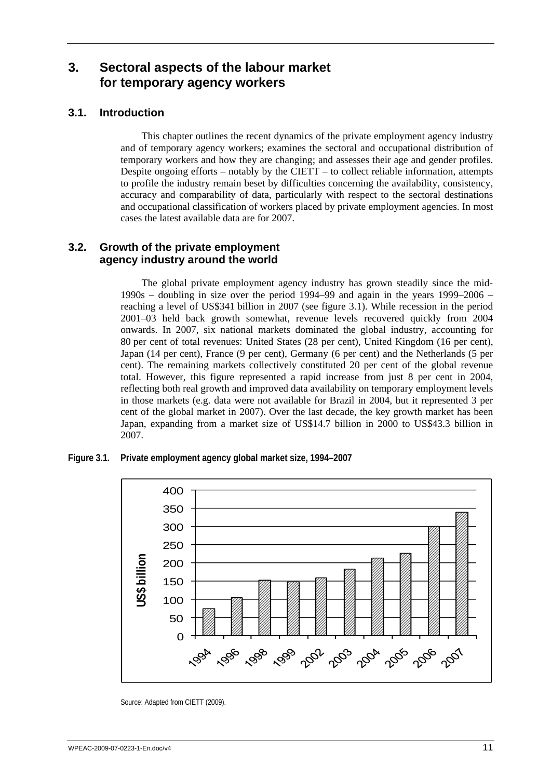# <span id="page-20-0"></span>**3. Sectoral aspects of the labour market for temporary agency workers**

## **3.1. Introduction**

This chapter outlines the recent dynamics of the private employment agency industry and of temporary agency workers; examines the sectoral and occupational distribution of temporary workers and how they are changing; and assesses their age and gender profiles. Despite ongoing efforts – notably by the CIETT – to collect reliable information, attempts to profile the industry remain beset by difficulties concerning the availability, consistency, accuracy and comparability of data, particularly with respect to the sectoral destinations and occupational classification of workers placed by private employment agencies. In most cases the latest available data are for 2007.

## **3.2. Growth of the private employment agency industry around the world**

The global private employment agency industry has grown steadily since the mid-1990s – doubling in size over the period 1994–99 and again in the years 1999–2006 – reaching a level of US\$341 billion in 2007 (see figure 3.1). While recession in the period 2001–03 held back growth somewhat, revenue levels recovered quickly from 2004 onwards. In 2007, six national markets dominated the global industry, accounting for 80 per cent of total revenues: United States (28 per cent), United Kingdom (16 per cent), Japan (14 per cent), France (9 per cent), Germany (6 per cent) and the Netherlands (5 per cent). The remaining markets collectively constituted 20 per cent of the global revenue total. However, this figure represented a rapid increase from just 8 per cent in 2004, reflecting both real growth and improved data availability on temporary employment levels in those markets (e.g. data were not available for Brazil in 2004, but it represented 3 per cent of the global market in 2007). Over the last decade, the key growth market has been Japan, expanding from a market size of US\$14.7 billion in 2000 to US\$43.3 billion in 2007.

**Figure 3.1. Private employment agency global market size, 1994–2007** 



Source: Adapted from CIETT (2009).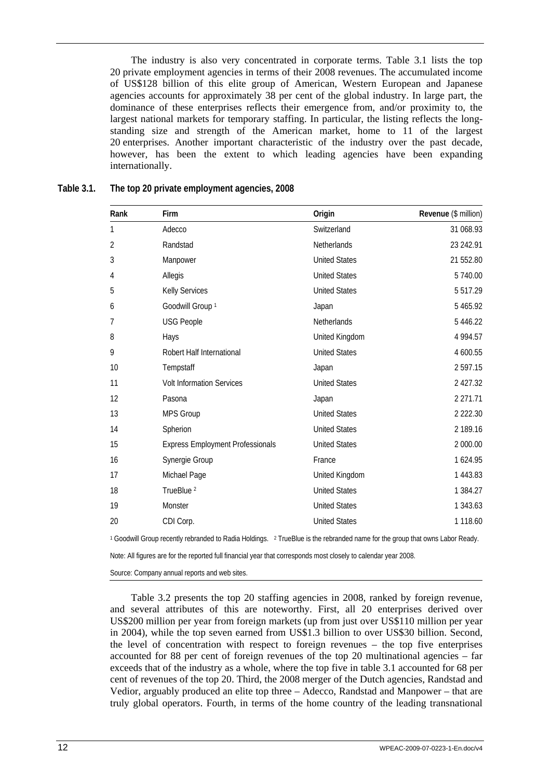<span id="page-21-0"></span>The industry is also very concentrated in corporate terms. Table 3.1 lists the top 20 private employment agencies in terms of their 2008 revenues. The accumulated income of US\$128 billion of this elite group of American, Western European and Japanese agencies accounts for approximately 38 per cent of the global industry. In large part, the dominance of these enterprises reflects their emergence from, and/or proximity to, the largest national markets for temporary staffing. In particular, the listing reflects the longstanding size and strength of the American market, home to 11 of the largest 20 enterprises. Another important characteristic of the industry over the past decade, however, has been the extent to which leading agencies have been expanding internationally.

| Rank | Firm                                    | Origin               | Revenue (\$ million) |
|------|-----------------------------------------|----------------------|----------------------|
| 1    | Adecco                                  | Switzerland          | 31 068.93            |
| 2    | Randstad                                | Netherlands          | 23 242.91            |
| 3    | Manpower                                | <b>United States</b> | 21 552.80            |
| 4    | Allegis                                 | <b>United States</b> | 5 740.00             |
| 5    | <b>Kelly Services</b>                   | <b>United States</b> | 5 5 1 7 . 2 9        |
| 6    | Goodwill Group <sup>1</sup>             | Japan                | 5 4 6 5.9 2          |
| 7    | <b>USG People</b>                       | Netherlands          | 5 4 4 6 . 2 2        |
| 8    | Hays                                    | United Kingdom       | 4 9 9 4.57           |
| 9    | Robert Half International               | <b>United States</b> | 4 600.55             |
| 10   | Tempstaff                               | Japan                | 2597.15              |
| 11   | <b>Volt Information Services</b>        | <b>United States</b> | 2 427.32             |
| 12   | Pasona                                  | Japan                | 2 271.71             |
| 13   | <b>MPS Group</b>                        | <b>United States</b> | 2 2 2 2 3 0          |
| 14   | Spherion                                | <b>United States</b> | 2 189.16             |
| 15   | <b>Express Employment Professionals</b> | <b>United States</b> | 2 000.00             |
| 16   | Synergie Group                          | France               | 1624.95              |
| 17   | Michael Page                            | United Kingdom       | 1 443.83             |
| 18   | TrueBlue <sup>2</sup>                   | <b>United States</b> | 1 3 8 4 . 2 7        |
| 19   | Monster                                 | <b>United States</b> | 1 343.63             |
| 20   | CDI Corp.                               | <b>United States</b> | 1 1 18.60            |

### **Table 3.1. The top 20 private employment agencies, 2008**

1 Goodwill Group recently rebranded to Radia Holdings. 2 TrueBlue is the rebranded name for the group that owns Labor Ready.

Note: All figures are for the reported full financial year that corresponds most closely to calendar year 2008.

Source: Company annual reports and web sites.

Table 3.2 presents the top 20 staffing agencies in 2008, ranked by foreign revenue, and several attributes of this are noteworthy. First, all 20 enterprises derived over US\$200 million per year from foreign markets (up from just over US\$110 million per year in 2004), while the top seven earned from US\$1.3 billion to over US\$30 billion. Second, the level of concentration with respect to foreign revenues – the top five enterprises accounted for 88 per cent of foreign revenues of the top 20 multinational agencies – far exceeds that of the industry as a whole, where the top five in table 3.1 accounted for 68 per cent of revenues of the top 20. Third, the 2008 merger of the Dutch agencies, Randstad and Vedior, arguably produced an elite top three – Adecco, Randstad and Manpower – that are truly global operators. Fourth, in terms of the home country of the leading transnational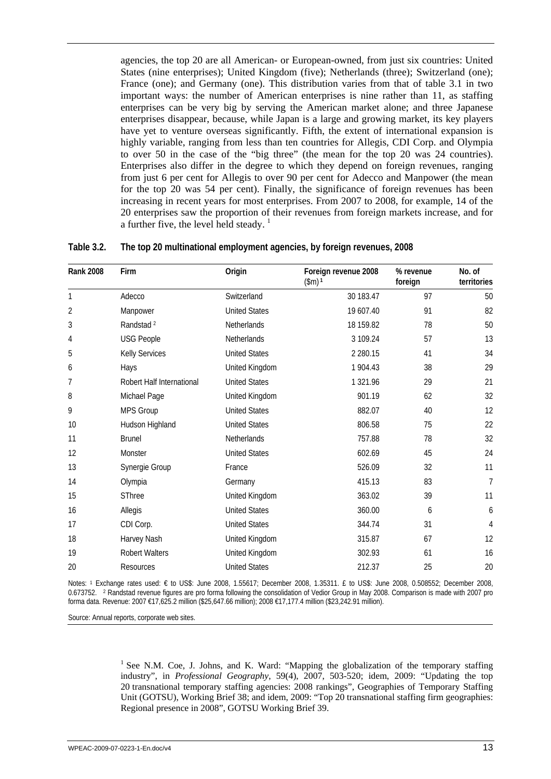<span id="page-22-0"></span>agencies, the top 20 are all American- or European-owned, from just six countries: United States (nine enterprises); United Kingdom (five); Netherlands (three); Switzerland (one); France (one); and Germany (one). This distribution varies from that of table 3.1 in two important ways: the number of American enterprises is nine rather than 11, as staffing enterprises can be very big by serving the American market alone; and three Japanese enterprises disappear, because, while Japan is a large and growing market, its key players have yet to venture overseas significantly. Fifth, the extent of international expansion is highly variable, ranging from less than ten countries for Allegis, CDI Corp. and Olympia to over 50 in the case of the "big three" (the mean for the top 20 was 24 countries). Enterprises also differ in the degree to which they depend on foreign revenues, ranging from just 6 per cent for Allegis to over 90 per cent for Adecco and Manpower (the mean for the top 20 was 54 per cent). Finally, the significance of foreign revenues has been increasing in recent years for most enterprises. From 2007 to 2008, for example, 14 of the 20 enterprises saw the proportion of their revenues from foreign markets increase, and for a further five, the level held steady.  $\frac{1}{1}$ 

| <b>Rank 2008</b> | Firm                      | Origin               | Foreign revenue 2008<br>$(\$m)$ <sup>1</sup> | % revenue<br>foreign | No. of<br>territories |
|------------------|---------------------------|----------------------|----------------------------------------------|----------------------|-----------------------|
| 1                | Adecco                    | Switzerland          | 30 183.47                                    | 97                   | 50                    |
| $\overline{2}$   | Manpower                  | <b>United States</b> | 19 607.40                                    | 91                   | 82                    |
| 3                | Randstad <sup>2</sup>     | Netherlands          | 18 159.82                                    | 78                   | 50                    |
| 4                | <b>USG People</b>         | Netherlands          | 3 109.24                                     | 57                   | 13                    |
| 5                | <b>Kelly Services</b>     | <b>United States</b> | 2 2 8 0.15                                   | 41                   | 34                    |
| 6                | Hays                      | United Kingdom       | 1 904.43                                     | 38                   | 29                    |
| 7                | Robert Half International | <b>United States</b> | 1 321.96                                     | 29                   | 21                    |
| 8                | Michael Page              | United Kingdom       | 901.19                                       | 62                   | 32                    |
| 9                | MPS Group                 | <b>United States</b> | 882.07                                       | 40                   | 12                    |
| 10               | Hudson Highland           | <b>United States</b> | 806.58                                       | 75                   | 22                    |
| 11               | <b>Brunel</b>             | Netherlands          | 757.88                                       | 78                   | 32                    |
| 12               | Monster                   | <b>United States</b> | 602.69                                       | 45                   | 24                    |
| 13               | Synergie Group            | France               | 526.09                                       | 32                   | 11                    |
| 14               | Olympia                   | Germany              | 415.13                                       | 83                   | $\overline{7}$        |
| 15               | SThree                    | United Kingdom       | 363.02                                       | 39                   | 11                    |
| 16               | Allegis                   | <b>United States</b> | 360.00                                       | 6                    | 6                     |
| 17               | CDI Corp.                 | <b>United States</b> | 344.74                                       | 31                   | $\overline{4}$        |
| 18               | Harvey Nash               | United Kingdom       | 315.87                                       | 67                   | 12                    |
| 19               | <b>Robert Walters</b>     | United Kingdom       | 302.93                                       | 61                   | 16                    |
| 20               | Resources                 | <b>United States</b> | 212.37                                       | 25                   | 20                    |

#### **Table 3.2. The top 20 multinational employment agencies, by foreign revenues, 2008**

Notes: 1 Exchange rates used: € to US\$: June 2008, 1.55617; December 2008, 1.35311. £ to US\$: June 2008, 0.508552; December 2008, 0.673752. 2 Randstad revenue figures are pro forma following the consolidation of Vedior Group in May 2008. Comparison is made with 2007 pro forma data. Revenue: 2007 €17,625.2 million (\$25,647.66 million); 2008 €17,177.4 million (\$23,242.91 million).

Source: Annual reports, corporate web sites.

<sup>1</sup> See N.M. Coe, J. Johns, and K. Ward: "Mapping the globalization of the temporary staffing industry", in *Professional Geography*, 59(4), 2007, 503-520; idem, 2009: "Updating the top 20 transnational temporary staffing agencies: 2008 rankings", Geographies of Temporary Staffing Unit (GOTSU), Working Brief 38; and idem, 2009: "Top 20 transnational staffing firm geographies: Regional presence in 2008", GOTSU Working Brief 39.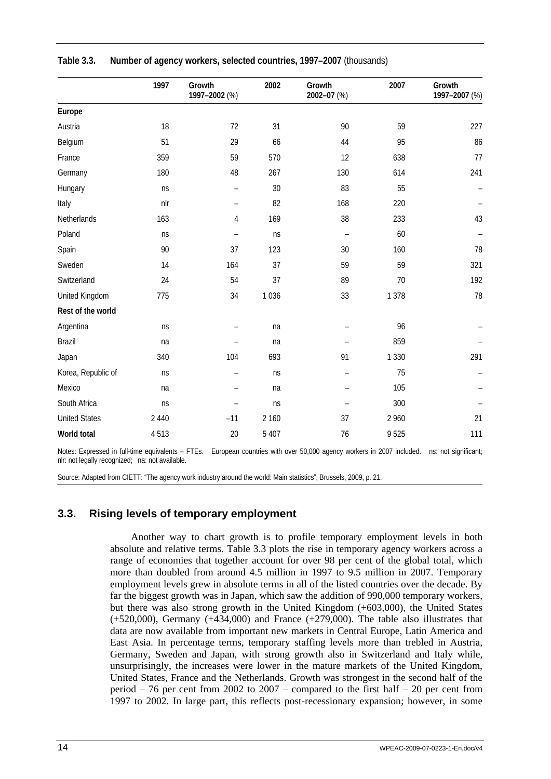|                      | 1997    | Growth<br>1997-2002 (%)  | 2002    | Growth<br>2002-07 (%) | 2007    | Growth<br>1997-2007 (%) |
|----------------------|---------|--------------------------|---------|-----------------------|---------|-------------------------|
| Europe               |         |                          |         |                       |         |                         |
| Austria              | 18      | 72                       | 31      | 90                    | 59      | 227                     |
| Belgium              | 51      | 29                       | 66      | 44                    | 95      | 86                      |
| France               | 359     | 59                       | 570     | 12                    | 638     | 77                      |
| Germany              | 180     | 48                       | 267     | 130                   | 614     | 241                     |
| Hungary              | ns      | $\overline{\phantom{0}}$ | 30      | 83                    | 55      |                         |
| Italy                | nlr     | $\qquad \qquad -$        | 82      | 168                   | 220     |                         |
| Netherlands          | 163     | 4                        | 169     | 38                    | 233     | 43                      |
| Poland               | ns      | $\overline{\phantom{0}}$ | ns      | $\qquad \qquad -$     | 60      |                         |
| Spain                | 90      | 37                       | 123     | 30                    | 160     | 78                      |
| Sweden               | 14      | 164                      | 37      | 59                    | 59      | 321                     |
| Switzerland          | 24      | 54                       | 37      | 89                    | 70      | 192                     |
| United Kingdom       | 775     | 34                       | 1036    | 33                    | 1 3 7 8 | 78                      |
| Rest of the world    |         |                          |         |                       |         |                         |
| Argentina            | ns      |                          | na      |                       | 96      |                         |
| <b>Brazil</b>        | na      |                          | na      |                       | 859     |                         |
| Japan                | 340     | 104                      | 693     | 91                    | 1 3 3 0 | 291                     |
| Korea, Republic of   | ns      | $\qquad \qquad -$        | ns      | $\qquad \qquad -$     | 75      |                         |
| Mexico               | na      | $\equiv$                 | na      |                       | 105     |                         |
| South Africa         | ns      | $\equiv$                 | ns      |                       | 300     |                         |
| <b>United States</b> | 2 4 4 0 | $-11$                    | 2 160   | 37                    | 2 9 6 0 | 21                      |
| World total          | 4513    | 20                       | 5 4 0 7 | 76                    | 9525    | 111                     |

<span id="page-23-0"></span>

| Table 3.3. | Number of agency workers, selected countries, 1997-2007 (thousands) |  |  |
|------------|---------------------------------------------------------------------|--|--|
|            |                                                                     |  |  |

Notes: Expressed in full-time equivalents – FTEs. European countries with over 50,000 agency workers in 2007 included. ns: not significant; nlr: not legally recognized; na: not available.

Source: Adapted from CIETT: "The agency work industry around the world: Main statistics", Brussels, 2009, p. 21.

## **3.3. Rising levels of temporary employment**

Another way to chart growth is to profile temporary employment levels in both absolute and relative terms. Table 3.3 plots the rise in temporary agency workers across a range of economies that together account for over 98 per cent of the global total, which more than doubled from around 4.5 million in 1997 to 9.5 million in 2007. Temporary employment levels grew in absolute terms in all of the listed countries over the decade. By far the biggest growth was in Japan, which saw the addition of 990,000 temporary workers, but there was also strong growth in the United Kingdom (+603,000), the United States  $(+520,000)$ , Germany  $(+434,000)$  and France  $(+279,000)$ . The table also illustrates that data are now available from important new markets in Central Europe, Latin America and East Asia. In percentage terms, temporary staffing levels more than trebled in Austria, Germany, Sweden and Japan, with strong growth also in Switzerland and Italy while, unsurprisingly, the increases were lower in the mature markets of the United Kingdom, United States, France and the Netherlands. Growth was strongest in the second half of the period – 76 per cent from 2002 to 2007 – compared to the first half – 20 per cent from 1997 to 2002. In large part, this reflects post-recessionary expansion; however, in some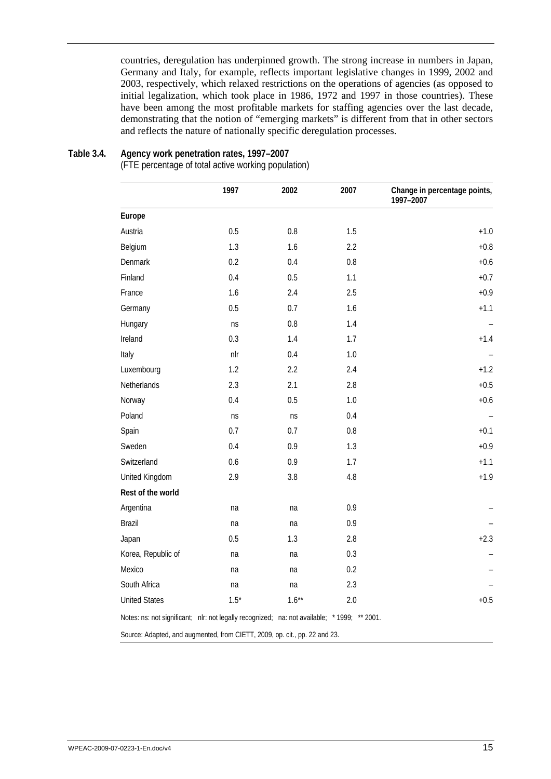<span id="page-24-0"></span>countries, deregulation has underpinned growth. The strong increase in numbers in Japan, Germany and Italy, for example, reflects important legislative changes in 1999, 2002 and 2003, respectively, which relaxed restrictions on the operations of agencies (as opposed to initial legalization, which took place in 1986, 1972 and 1997 in those countries). These have been among the most profitable markets for staffing agencies over the last decade, demonstrating that the notion of "emerging markets" is different from that in other sectors and reflects the nature of nationally specific deregulation processes.

#### **Table 3.4. Agency work penetration rates, 1997–2007**

(FTE percentage of total active working population)

|                                                                                             | 1997    | 2002     | 2007 | Change in percentage points,<br>1997-2007 |
|---------------------------------------------------------------------------------------------|---------|----------|------|-------------------------------------------|
| Europe                                                                                      |         |          |      |                                           |
| Austria                                                                                     | 0.5     | 0.8      | 1.5  | $+1.0$                                    |
| Belgium                                                                                     | 1.3     | 1.6      | 2.2  | $+0.8$                                    |
| Denmark                                                                                     | 0.2     | 0.4      | 0.8  | $+0.6$                                    |
| Finland                                                                                     | 0.4     | 0.5      | 1.1  | $+0.7$                                    |
| France                                                                                      | 1.6     | 2.4      | 2.5  | $+0.9$                                    |
| Germany                                                                                     | 0.5     | 0.7      | 1.6  | $+1.1$                                    |
| Hungary                                                                                     | ns      | 0.8      | 1.4  |                                           |
| Ireland                                                                                     | 0.3     | 1.4      | 1.7  | $+1.4$                                    |
| Italy                                                                                       | nlr     | 0.4      | 1.0  |                                           |
| Luxembourg                                                                                  | 1.2     | 2.2      | 2.4  | $+1.2$                                    |
| Netherlands                                                                                 | 2.3     | 2.1      | 2.8  | $+0.5$                                    |
| Norway                                                                                      | 0.4     | 0.5      | 1.0  | $+0.6$                                    |
| Poland                                                                                      | ns      | ns       | 0.4  |                                           |
| Spain                                                                                       | 0.7     | 0.7      | 0.8  | $+0.1$                                    |
| Sweden                                                                                      | 0.4     | 0.9      | 1.3  | $+0.9$                                    |
| Switzerland                                                                                 | 0.6     | 0.9      | 1.7  | $+1.1$                                    |
| United Kingdom                                                                              | 2.9     | 3.8      | 4.8  | $+1.9$                                    |
| Rest of the world                                                                           |         |          |      |                                           |
| Argentina                                                                                   | na      | na       | 0.9  |                                           |
| Brazil                                                                                      | na      | na       | 0.9  |                                           |
| Japan                                                                                       | 0.5     | 1.3      | 2.8  | $+2.3$                                    |
| Korea, Republic of                                                                          | na      | na       | 0.3  |                                           |
| Mexico                                                                                      | na      | na       | 0.2  |                                           |
| South Africa                                                                                | na      | na       | 2.3  |                                           |
| <b>United States</b>                                                                        | $1.5^*$ | $1.6***$ | 2.0  | $+0.5$                                    |
| Notes: ns: not significant; nlr: not legally recognized; na: not available; *1999; ** 2001. |         |          |      |                                           |
| Source: Adapted, and augmented, from CIETT, 2009, op. cit., pp. 22 and 23.                  |         |          |      |                                           |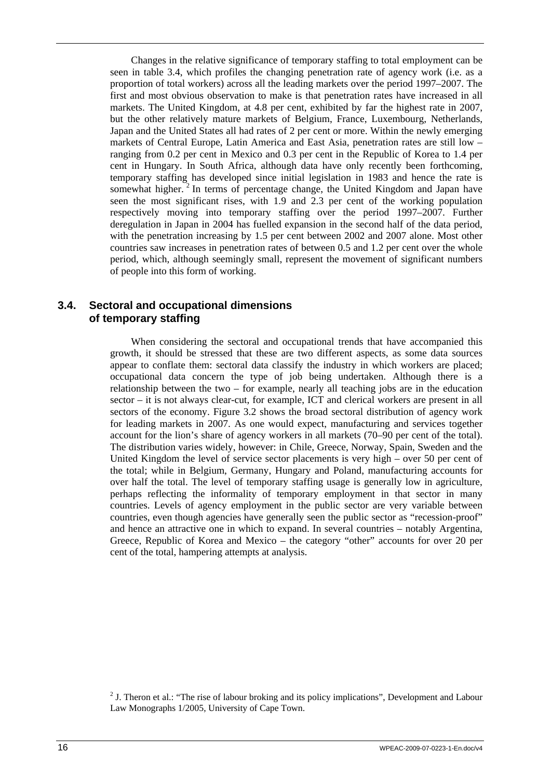<span id="page-25-0"></span>Changes in the relative significance of temporary staffing to total employment can be seen in table 3.4, which profiles the changing penetration rate of agency work (i.e. as a proportion of total workers) across all the leading markets over the period 1997–2007. The first and most obvious observation to make is that penetration rates have increased in all markets. The United Kingdom, at 4.8 per cent, exhibited by far the highest rate in 2007, but the other relatively mature markets of Belgium, France, Luxembourg, Netherlands, Japan and the United States all had rates of 2 per cent or more. Within the newly emerging markets of Central Europe, Latin America and East Asia, penetration rates are still low – ranging from 0.2 per cent in Mexico and 0.3 per cent in the Republic of Korea to 1.4 per cent in Hungary. In South Africa, although data have only recently been forthcoming, temporary staffing has developed since initial legislation in 1983 and hence the rate is somewhat higher.<sup>2</sup> In terms of percentage change, the United Kingdom and Japan have seen the most significant rises, with 1.9 and 2.3 per cent of the working population respectively moving into temporary staffing over the period 1997–2007. Further deregulation in Japan in 2004 has fuelled expansion in the second half of the data period, with the penetration increasing by 1.5 per cent between 2002 and 2007 alone. Most other countries saw increases in penetration rates of between 0.5 and 1.2 per cent over the whole period, which, although seemingly small, represent the movement of significant numbers of people into this form of working.

## **3.4. Sectoral and occupational dimensions of temporary staffing**

When considering the sectoral and occupational trends that have accompanied this growth, it should be stressed that these are two different aspects, as some data sources appear to conflate them: sectoral data classify the industry in which workers are placed; occupational data concern the type of job being undertaken. Although there is a relationship between the two – for example, nearly all teaching jobs are in the education sector – it is not always clear-cut, for example, ICT and clerical workers are present in all sectors of the economy. Figure 3.2 shows the broad sectoral distribution of agency work for leading markets in 2007. As one would expect, manufacturing and services together account for the lion's share of agency workers in all markets (70–90 per cent of the total). The distribution varies widely, however: in Chile, Greece, Norway, Spain, Sweden and the United Kingdom the level of service sector placements is very high – over 50 per cent of the total; while in Belgium, Germany, Hungary and Poland, manufacturing accounts for over half the total. The level of temporary staffing usage is generally low in agriculture, perhaps reflecting the informality of temporary employment in that sector in many countries. Levels of agency employment in the public sector are very variable between countries, even though agencies have generally seen the public sector as "recession-proof" and hence an attractive one in which to expand. In several countries – notably Argentina, Greece, Republic of Korea and Mexico – the category "other" accounts for over 20 per cent of the total, hampering attempts at analysis.

<sup>&</sup>lt;sup>2</sup> J. Theron et al.: "The rise of labour broking and its policy implications", Development and Labour Law Monographs 1/2005, University of Cape Town.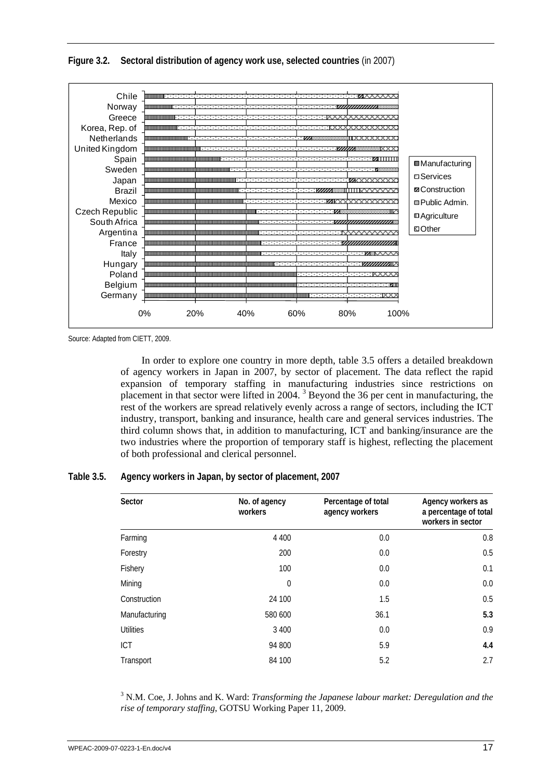<span id="page-26-0"></span>**Figure 3.2. Sectoral distribution of agency work use, selected countries** (in 2007)



Source: Adapted from CIETT, 2009.

In order to explore one country in more depth, table 3.5 offers a detailed breakdown of agency workers in Japan in 2007, by sector of placement. The data reflect the rapid expansion of temporary staffing in manufacturing industries since restrictions on placement in that sector were lifted in 2004.<sup>3</sup> Beyond the 36 per cent in manufacturing, the rest of the workers are spread relatively evenly across a range of sectors, including the ICT industry, transport, banking and insurance, health care and general services industries. The third column shows that, in addition to manufacturing, ICT and banking/insurance are the two industries where the proportion of temporary staff is highest, reflecting the placement of both professional and clerical personnel.

### **Table 3.5. Agency workers in Japan, by sector of placement, 2007**

| Sector           | No. of agency<br>workers | Percentage of total<br>agency workers | Agency workers as<br>a percentage of total<br>workers in sector |
|------------------|--------------------------|---------------------------------------|-----------------------------------------------------------------|
| Farming          | 4 4 0 0                  | 0.0                                   | 0.8                                                             |
| Forestry         | 200                      | 0.0                                   | 0.5                                                             |
| Fishery          | 100                      | 0.0                                   | 0.1                                                             |
| Mining           | $\mathbf 0$              | 0.0                                   | 0.0                                                             |
| Construction     | 24 100                   | 1.5                                   | 0.5                                                             |
| Manufacturing    | 580 600                  | 36.1                                  | 5.3                                                             |
| <b>Utilities</b> | 3 4 0 0                  | 0.0                                   | 0.9                                                             |
| <b>ICT</b>       | 94 800                   | 5.9                                   | 4.4                                                             |
| Transport        | 84 100                   | 5.2                                   | 2.7                                                             |

<sup>3</sup> N.M. Coe, J. Johns and K. Ward: *Transforming the Japanese labour market: Deregulation and the rise of temporary staffing*, GOTSU Working Paper 11, 2009.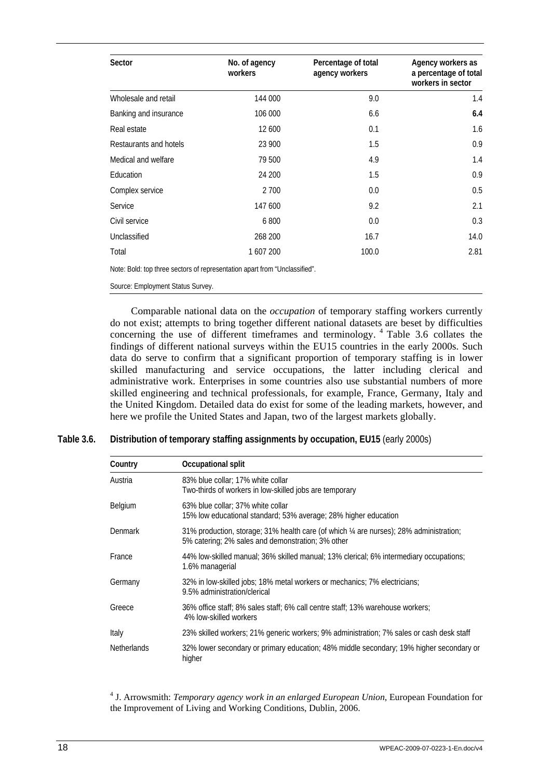<span id="page-27-0"></span>

| Sector                                                                     | No. of agency<br>workers | Percentage of total<br>agency workers | Agency workers as<br>a percentage of total<br>workers in sector |
|----------------------------------------------------------------------------|--------------------------|---------------------------------------|-----------------------------------------------------------------|
| Wholesale and retail                                                       | 144 000                  | 9.0                                   | 1.4                                                             |
| Banking and insurance                                                      | 106 000                  | 6.6                                   | 6.4                                                             |
| Real estate                                                                | 12 600                   | 0.1                                   | 1.6                                                             |
| Restaurants and hotels                                                     | 23 900                   | 1.5                                   | 0.9                                                             |
| Medical and welfare                                                        | 79 500                   | 4.9                                   | 1.4                                                             |
| Education                                                                  | 24 200                   | 1.5                                   | 0.9                                                             |
| Complex service                                                            | 2 700                    | 0.0                                   | 0.5                                                             |
| Service                                                                    | 147 600                  | 9.2                                   | 2.1                                                             |
| Civil service                                                              | 6800                     | 0.0                                   | 0.3                                                             |
| Unclassified                                                               | 268 200                  | 16.7                                  | 14.0                                                            |
| Total                                                                      | 1 607 200                | 100.0                                 | 2.81                                                            |
| Note: Bold: top three sectors of representation apart from "Unclassified". |                          |                                       |                                                                 |

Source: Employment Status Survey.

Comparable national data on the *occupation* of temporary staffing workers currently do not exist; attempts to bring together different national datasets are beset by difficulties concerning the use of different timeframes and terminology.  $4$  Table 3.6 collates the findings of different national surveys within the EU15 countries in the early 2000s. Such data do serve to confirm that a significant proportion of temporary staffing is in lower skilled manufacturing and service occupations, the latter including clerical and administrative work. Enterprises in some countries also use substantial numbers of more skilled engineering and technical professionals, for example, France, Germany, Italy and the United Kingdom. Detailed data do exist for some of the leading markets, however, and here we profile the United States and Japan, two of the largest markets globally.

**Table 3.6. Distribution of temporary staffing assignments by occupation, EU15** (early 2000s)

| Country            | Occupational split                                                                                                                           |
|--------------------|----------------------------------------------------------------------------------------------------------------------------------------------|
| Austria            | 83% blue collar; 17% white collar<br>Two-thirds of workers in low-skilled jobs are temporary                                                 |
| Belgium            | 63% blue collar; 37% white collar<br>15% low educational standard; 53% average; 28% higher education                                         |
| Denmark            | 31% production, storage; 31% health care (of which 1/4 are nurses); 28% administration;<br>5% catering; 2% sales and demonstration; 3% other |
| France             | 44% low-skilled manual; 36% skilled manual; 13% clerical; 6% intermediary occupations;<br>1.6% managerial                                    |
| Germany            | 32% in low-skilled jobs; 18% metal workers or mechanics; 7% electricians;<br>9.5% administration/clerical                                    |
| Greece             | 36% office staff; 8% sales staff; 6% call centre staff; 13% warehouse workers;<br>4% low-skilled workers                                     |
| Italy              | 23% skilled workers; 21% generic workers; 9% administration; 7% sales or cash desk staff                                                     |
| <b>Netherlands</b> | 32% lower secondary or primary education; 48% middle secondary; 19% higher secondary or<br>higher                                            |

4 J. Arrowsmith: *Temporary agency work in an enlarged European Union*, European Foundation for the Improvement of Living and Working Conditions, Dublin, 2006.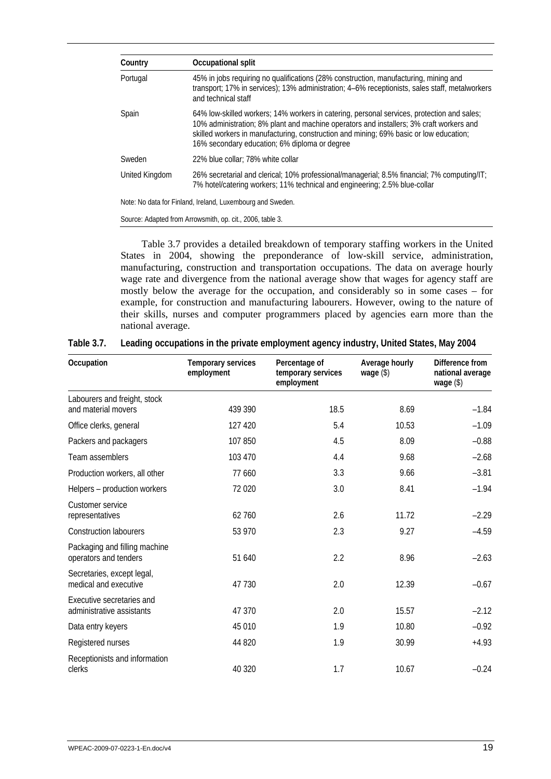<span id="page-28-0"></span>

| Country        | Occupational split                                                                                                                                                                                                                                                                                                               |
|----------------|----------------------------------------------------------------------------------------------------------------------------------------------------------------------------------------------------------------------------------------------------------------------------------------------------------------------------------|
| Portugal       | 45% in jobs requiring no qualifications (28% construction, manufacturing, mining and<br>transport; 17% in services); 13% administration; 4–6% receptionists, sales staff, metalworkers<br>and technical staff                                                                                                                    |
| Spain          | 64% low-skilled workers; 14% workers in catering, personal services, protection and sales;<br>10% administration; 8% plant and machine operators and installers; 3% craft workers and<br>skilled workers in manufacturing, construction and mining; 69% basic or low education;<br>16% secondary education; 6% diploma or degree |
| Sweden         | 22% blue collar: 78% white collar                                                                                                                                                                                                                                                                                                |
| United Kingdom | 26% secretarial and clerical; 10% professional/managerial; 8.5% financial; 7% computing/IT;<br>7% hotel/catering workers; 11% technical and engineering; 2.5% blue-collar                                                                                                                                                        |
|                | Note: No data for Finland, Ireland, Luxembourg and Sweden.                                                                                                                                                                                                                                                                       |

Source: Adapted from Arrowsmith, op. cit., 2006, table 3.

Table 3.7 provides a detailed breakdown of temporary staffing workers in the United States in 2004, showing the preponderance of low-skill service, administration, manufacturing, construction and transportation occupations. The data on average hourly wage rate and divergence from the national average show that wages for agency staff are mostly below the average for the occupation, and considerably so in some cases – for example, for construction and manufacturing labourers. However, owing to the nature of their skills, nurses and computer programmers placed by agencies earn more than the national average.

| Occupation                                             | Temporary services<br>employment | Percentage of<br>temporary services<br>employment | Average hourly<br>wage (\$) | Difference from<br>national average<br>wage $(\$)$ |
|--------------------------------------------------------|----------------------------------|---------------------------------------------------|-----------------------------|----------------------------------------------------|
| Labourers and freight, stock                           |                                  |                                                   |                             |                                                    |
| and material movers                                    | 439 390                          | 18.5                                              | 8.69                        | $-1.84$                                            |
| Office clerks, general                                 | 127 420                          | 5.4                                               | 10.53                       | $-1.09$                                            |
| Packers and packagers                                  | 107 850                          | 4.5                                               | 8.09                        | $-0.88$                                            |
| Team assemblers                                        | 103 470                          | 4.4                                               | 9.68                        | $-2.68$                                            |
| Production workers, all other                          | 77 660                           | 3.3                                               | 9.66                        | $-3.81$                                            |
| Helpers - production workers                           | 72 0 20                          | 3.0                                               | 8.41                        | $-1.94$                                            |
| Customer service<br>representatives                    | 62760                            | 2.6                                               | 11.72                       | $-2.29$                                            |
| <b>Construction labourers</b>                          | 53 970                           | 2.3                                               | 9.27                        | $-4.59$                                            |
| Packaging and filling machine<br>operators and tenders | 51 640                           | 2.2                                               | 8.96                        | $-2.63$                                            |
| Secretaries, except legal,<br>medical and executive    | 47 730                           | 2.0                                               | 12.39                       | $-0.67$                                            |
| Executive secretaries and<br>administrative assistants | 47 370                           | 2.0                                               | 15.57                       | $-2.12$                                            |
| Data entry keyers                                      | 45 010                           | 1.9                                               | 10.80                       | $-0.92$                                            |
| Registered nurses                                      | 44 820                           | 1.9                                               | 30.99                       | $+4.93$                                            |
| Receptionists and information<br>clerks                | 40 320                           | 1.7                                               | 10.67                       | $-0.24$                                            |

|  | Table 3.7. Leading occupations in the private employment agency industry, United States, May 2004 |  |  |  |  |
|--|---------------------------------------------------------------------------------------------------|--|--|--|--|
|--|---------------------------------------------------------------------------------------------------|--|--|--|--|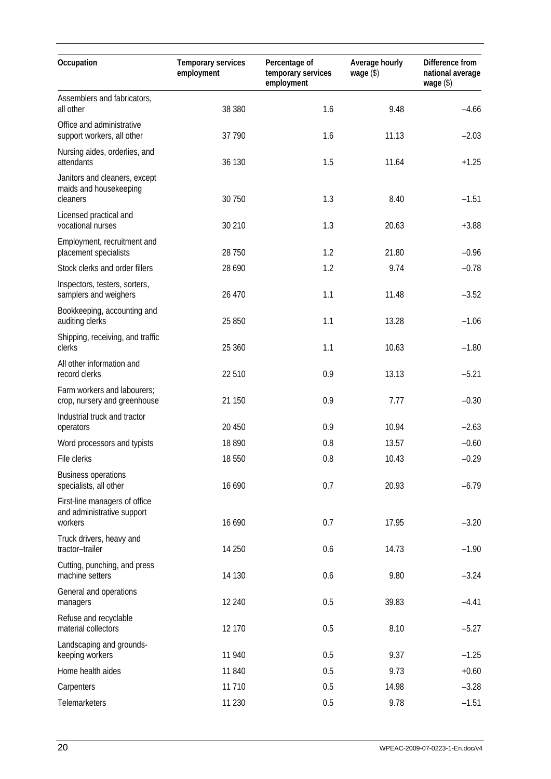| Occupation                                                             | Temporary services<br>employment | Percentage of<br>temporary services<br>employment | Average hourly<br>wage $(\$)$ | Difference from<br>national average<br>wage $(\$)$ |  |
|------------------------------------------------------------------------|----------------------------------|---------------------------------------------------|-------------------------------|----------------------------------------------------|--|
| Assemblers and fabricators,                                            |                                  |                                                   |                               |                                                    |  |
| all other                                                              | 38 380                           | 1.6                                               | 9.48                          | $-4.66$                                            |  |
| Office and administrative<br>support workers, all other                | 37 790                           | 1.6                                               | 11.13                         | $-2.03$                                            |  |
| Nursing aides, orderlies, and<br>attendants                            | 36 130                           | 1.5                                               | 11.64                         | $+1.25$                                            |  |
| Janitors and cleaners, except<br>maids and housekeeping<br>cleaners    | 30 750                           | 1.3                                               | 8.40                          | $-1.51$                                            |  |
| Licensed practical and<br>vocational nurses                            | 30 210                           | 1.3                                               | 20.63                         | $+3.88$                                            |  |
| Employment, recruitment and<br>placement specialists                   | 28 750                           | 1.2                                               | 21.80                         | $-0.96$                                            |  |
| Stock clerks and order fillers                                         | 28 6 9 0                         | 1.2                                               | 9.74                          | $-0.78$                                            |  |
| Inspectors, testers, sorters,<br>samplers and weighers                 | 26 470                           | 1.1                                               | 11.48                         | $-3.52$                                            |  |
| Bookkeeping, accounting and<br>auditing clerks                         | 25 850                           | 1.1                                               | 13.28                         | $-1.06$                                            |  |
| Shipping, receiving, and traffic<br>clerks                             | 25 360                           | 1.1                                               | 10.63                         | $-1.80$                                            |  |
| All other information and<br>record clerks                             | 22 510                           | 0.9                                               | 13.13                         | $-5.21$                                            |  |
| Farm workers and labourers;<br>crop, nursery and greenhouse            | 21 150                           | 0.9                                               | 7.77                          | $-0.30$                                            |  |
| Industrial truck and tractor<br>operators                              | 20 450                           | 0.9                                               | 10.94                         | $-2.63$                                            |  |
| Word processors and typists                                            | 18890                            | 0.8                                               | 13.57                         | $-0.60$                                            |  |
| File clerks                                                            | 18 550                           | 0.8                                               | 10.43                         | $-0.29$                                            |  |
| <b>Business operations</b><br>specialists, all other                   | 16 690                           | 0.7                                               | 20.93                         | $-6.79$                                            |  |
| First-line managers of office<br>and administrative support<br>workers | 16 690                           | 0.7                                               | 17.95                         | $-3.20$                                            |  |
| Truck drivers, heavy and<br>tractor-trailer                            | 14 250                           | 0.6                                               | 14.73                         | $-1.90$                                            |  |
| Cutting, punching, and press<br>machine setters                        | 14 130                           | 0.6                                               | 9.80                          | $-3.24$                                            |  |
| General and operations<br>managers                                     | 12 240                           | 0.5                                               | 39.83                         | $-4.41$                                            |  |
| Refuse and recyclable<br>material collectors                           | 12 170                           | 0.5                                               | 8.10                          | $-5.27$                                            |  |
| Landscaping and grounds-<br>keeping workers                            | 11 940                           | 0.5                                               | 9.37                          | $-1.25$                                            |  |
| Home health aides                                                      | 11 840                           | 0.5                                               | 9.73                          | $+0.60$                                            |  |
| Carpenters                                                             | 11 710                           | 0.5                                               | 14.98                         | $-3.28$                                            |  |
| Telemarketers                                                          | 11 2 30                          | 0.5                                               | 9.78                          | $-1.51$                                            |  |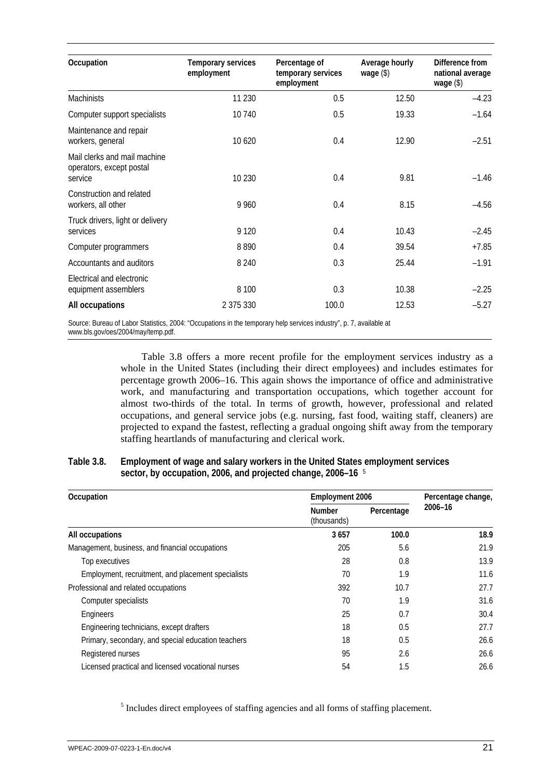<span id="page-30-0"></span>

| Occupation                                                          | Temporary services<br>employment | Percentage of<br>temporary services<br>employment | Average hourly<br>wage $(\$)$ | Difference from<br>national average<br>wage $(\$)$ |
|---------------------------------------------------------------------|----------------------------------|---------------------------------------------------|-------------------------------|----------------------------------------------------|
| <b>Machinists</b>                                                   | 11 2 30                          | 0.5                                               | 12.50                         | $-4.23$                                            |
| Computer support specialists                                        | 10740                            | 0.5                                               | 19.33                         | $-1.64$                                            |
| Maintenance and repair<br>workers, general                          | 10 6 20                          | 0.4                                               | 12.90                         | $-2.51$                                            |
| Mail clerks and mail machine<br>operators, except postal<br>service | 10 2 30                          | 0.4                                               | 9.81                          | $-1.46$                                            |
| Construction and related<br>workers, all other                      | 9 9 6 0                          | 0.4                                               | 8.15                          | $-4.56$                                            |
| Truck drivers, light or delivery<br>services                        | 9 1 2 0                          | 0.4                                               | 10.43                         | $-2.45$                                            |
| Computer programmers                                                | 8890                             | 0.4                                               | 39.54                         | $+7.85$                                            |
| Accountants and auditors                                            | 8 2 4 0                          | 0.3                                               | 25.44                         | $-1.91$                                            |
| Electrical and electronic<br>equipment assemblers                   | 8 1 0 0                          | 0.3                                               | 10.38                         | $-2.25$                                            |
| All occupations                                                     | 2 375 330                        | 100.0                                             | 12.53                         | $-5.27$                                            |

Source: Bureau of Labor Statistics, 2004: "Occupations in the temporary help services industry", p. 7, available at www.bls.gov/oes/2004/may/temp.pdf.

> Table 3.8 offers a more recent profile for the employment services industry as a whole in the United States (including their direct employees) and includes estimates for percentage growth 2006–16. This again shows the importance of office and administrative work, and manufacturing and transportation occupations, which together account for almost two-thirds of the total. In terms of growth, however, professional and related occupations, and general service jobs (e.g. nursing, fast food, waiting staff, cleaners) are projected to expand the fastest, reflecting a gradual ongoing shift away from the temporary staffing heartlands of manufacturing and clerical work.

### **Table 3.8. Employment of wage and salary workers in the United States employment services sector, by occupation, 2006, and projected change, 2006–16** <sup>5</sup>

| Occupation                                         | <b>Employment 2006</b>       | Percentage change, |         |
|----------------------------------------------------|------------------------------|--------------------|---------|
|                                                    | <b>Number</b><br>(thousands) | Percentage         | 2006-16 |
| All occupations                                    | 3657                         | 100.0              | 18.9    |
| Management, business, and financial occupations    | 205                          | 5.6                | 21.9    |
| Top executives                                     | 28                           | 0.8                | 13.9    |
| Employment, recruitment, and placement specialists | 70                           | 1.9                | 11.6    |
| Professional and related occupations               | 392                          | 10.7               | 27.7    |
| Computer specialists                               | 70                           | 1.9                | 31.6    |
| Engineers                                          | 25                           | 0.7                | 30.4    |
| Engineering technicians, except drafters           | 18                           | 0.5                | 27.7    |
| Primary, secondary, and special education teachers | 18                           | 0.5                | 26.6    |
| Registered nurses                                  | 95                           | 2.6                | 26.6    |
| Licensed practical and licensed vocational nurses  | 54                           | 1.5                | 26.6    |

<sup>5</sup> Includes direct employees of staffing agencies and all forms of staffing placement.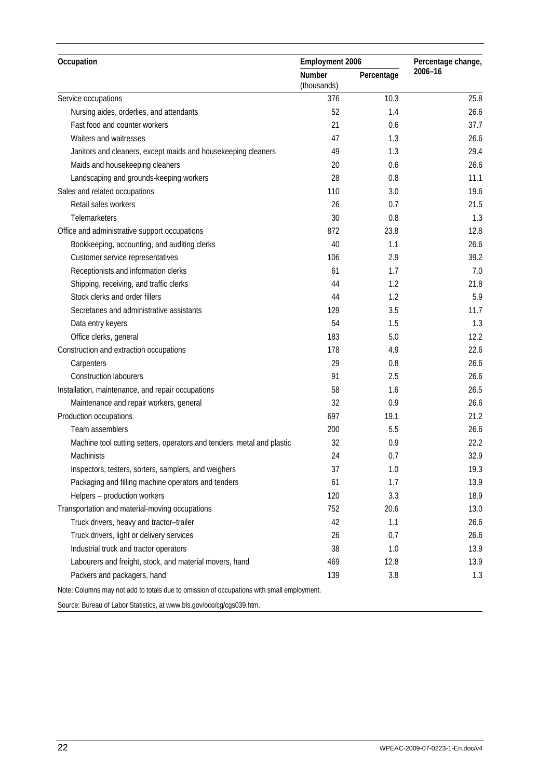| Occupation                                                                                | <b>Employment 2006</b> | Percentage change, |         |
|-------------------------------------------------------------------------------------------|------------------------|--------------------|---------|
|                                                                                           | Number<br>(thousands)  | Percentage         | 2006-16 |
| Service occupations                                                                       | 376                    | 10.3               | 25.8    |
| Nursing aides, orderlies, and attendants                                                  | 52                     | 1.4                | 26.6    |
| Fast food and counter workers                                                             | 21                     | 0.6                | 37.7    |
| Waiters and waitresses                                                                    | 47                     | 1.3                | 26.6    |
| Janitors and cleaners, except maids and housekeeping cleaners                             | 49                     | 1.3                | 29.4    |
| Maids and housekeeping cleaners                                                           | 20                     | 0.6                | 26.6    |
| Landscaping and grounds-keeping workers                                                   | 28                     | 0.8                | 11.1    |
| Sales and related occupations                                                             | 110                    | 3.0                | 19.6    |
| Retail sales workers                                                                      | 26                     | 0.7                | 21.5    |
| Telemarketers                                                                             | 30                     | 0.8                | 1.3     |
| Office and administrative support occupations                                             | 872                    | 23.8               | 12.8    |
| Bookkeeping, accounting, and auditing clerks                                              | 40                     | 1.1                | 26.6    |
| Customer service representatives                                                          | 106                    | 2.9                | 39.2    |
| Receptionists and information clerks                                                      | 61                     | 1.7                | 7.0     |
| Shipping, receiving, and traffic clerks                                                   | 44                     | 1.2                | 21.8    |
| Stock clerks and order fillers                                                            | 44                     | 1.2                | 5.9     |
| Secretaries and administrative assistants                                                 | 129                    | 3.5                | 11.7    |
| Data entry keyers                                                                         | 54                     | 1.5                | 1.3     |
| Office clerks, general                                                                    | 183                    | 5.0                | 12.2    |
| Construction and extraction occupations                                                   | 178                    | 4.9                | 22.6    |
| Carpenters                                                                                | 29                     | 0.8                | 26.6    |
| <b>Construction labourers</b>                                                             | 91                     | 2.5                | 26.6    |
| Installation, maintenance, and repair occupations                                         | 58                     | 1.6                | 26.5    |
| Maintenance and repair workers, general                                                   | 32                     | 0.9                | 26.6    |
| Production occupations                                                                    | 697                    | 19.1               | 21.2    |
| Team assemblers                                                                           | 200                    | 5.5                | 26.6    |
| Machine tool cutting setters, operators and tenders, metal and plastic                    | 32                     | 0.9                | 22.2    |
| Machinists                                                                                | 24                     | 0.7                | 32.9    |
| Inspectors, testers, sorters, samplers, and weighers                                      | 37                     | 1.0                | 19.3    |
| Packaging and filling machine operators and tenders                                       | 61                     | 1.7                | 13.9    |
| Helpers - production workers                                                              | 120                    | 3.3                | 18.9    |
| Transportation and material-moving occupations                                            | 752                    | 20.6               | 13.0    |
| Truck drivers, heavy and tractor-trailer                                                  | 42                     | 1.1                | 26.6    |
| Truck drivers, light or delivery services                                                 | 26                     | 0.7                | 26.6    |
| Industrial truck and tractor operators                                                    | 38                     | 1.0                | 13.9    |
| Labourers and freight, stock, and material movers, hand                                   | 469                    | 12.8               | 13.9    |
| Packers and packagers, hand                                                               | 139                    | 3.8                | 1.3     |
| Note: Columns may not add to totals due to omission of occupations with small employment. |                        |                    |         |
| Source: Bureau of Labor Statistics, at www.bls.gov/oco/cg/cgs039.htm.                     |                        |                    |         |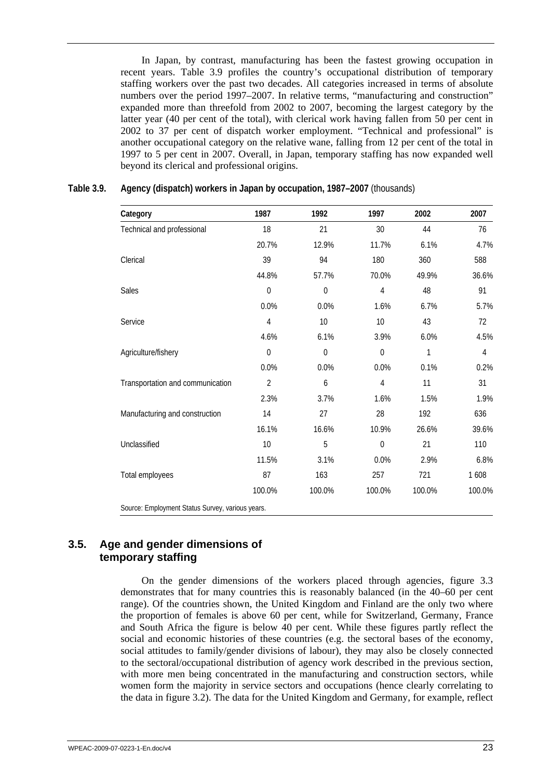<span id="page-32-0"></span>In Japan, by contrast, manufacturing has been the fastest growing occupation in recent years. Table 3.9 profiles the country's occupational distribution of temporary staffing workers over the past two decades. All categories increased in terms of absolute numbers over the period 1997–2007. In relative terms, "manufacturing and construction" expanded more than threefold from 2002 to 2007, becoming the largest category by the latter year (40 per cent of the total), with clerical work having fallen from 50 per cent in 2002 to 37 per cent of dispatch worker employment. "Technical and professional" is another occupational category on the relative wane, falling from 12 per cent of the total in 1997 to 5 per cent in 2007. Overall, in Japan, temporary staffing has now expanded well beyond its clerical and professional origins.

| Category                                         | 1987           | 1992        | 1997        | 2002   | 2007   |
|--------------------------------------------------|----------------|-------------|-------------|--------|--------|
| Technical and professional                       | 18             | 21          | 30          | 44     | 76     |
|                                                  | 20.7%          | 12.9%       | 11.7%       | 6.1%   | 4.7%   |
| Clerical                                         | 39             | 94          | 180         | 360    | 588    |
|                                                  | 44.8%          | 57.7%       | 70.0%       | 49.9%  | 36.6%  |
| Sales                                            | $\mathbf 0$    | $\mathbf 0$ | 4           | 48     | 91     |
|                                                  | 0.0%           | 0.0%        | 1.6%        | 6.7%   | 5.7%   |
| Service                                          | 4              | 10          | 10          | 43     | 72     |
|                                                  | 4.6%           | 6.1%        | 3.9%        | 6.0%   | 4.5%   |
| Agriculture/fishery                              | $\mathbf 0$    | $\mathbf 0$ | $\mathbf 0$ | 1      | 4      |
|                                                  | 0.0%           | 0.0%        | 0.0%        | 0.1%   | 0.2%   |
| Transportation and communication                 | $\overline{2}$ | 6           | 4           | 11     | 31     |
|                                                  | 2.3%           | 3.7%        | 1.6%        | 1.5%   | 1.9%   |
| Manufacturing and construction                   | 14             | 27          | 28          | 192    | 636    |
|                                                  | 16.1%          | 16.6%       | 10.9%       | 26.6%  | 39.6%  |
| Unclassified                                     | 10             | 5           | $\Omega$    | 21     | 110    |
|                                                  | 11.5%          | 3.1%        | 0.0%        | 2.9%   | 6.8%   |
| Total employees                                  | 87             | 163         | 257         | 721    | 1608   |
|                                                  | 100.0%         | 100.0%      | 100.0%      | 100.0% | 100.0% |
| Source: Employment Status Survey, various years. |                |             |             |        |        |

### **Table 3.9. Agency (dispatch) workers in Japan by occupation, 1987–2007** (thousands)

## **3.5. Age and gender dimensions of temporary staffing**

On the gender dimensions of the workers placed through agencies, figure 3.3 demonstrates that for many countries this is reasonably balanced (in the 40–60 per cent range). Of the countries shown, the United Kingdom and Finland are the only two where the proportion of females is above 60 per cent, while for Switzerland, Germany, France and South Africa the figure is below 40 per cent. While these figures partly reflect the social and economic histories of these countries (e.g. the sectoral bases of the economy, social attitudes to family/gender divisions of labour), they may also be closely connected to the sectoral/occupational distribution of agency work described in the previous section, with more men being concentrated in the manufacturing and construction sectors, while women form the majority in service sectors and occupations (hence clearly correlating to the data in figure 3.2). The data for the United Kingdom and Germany, for example, reflect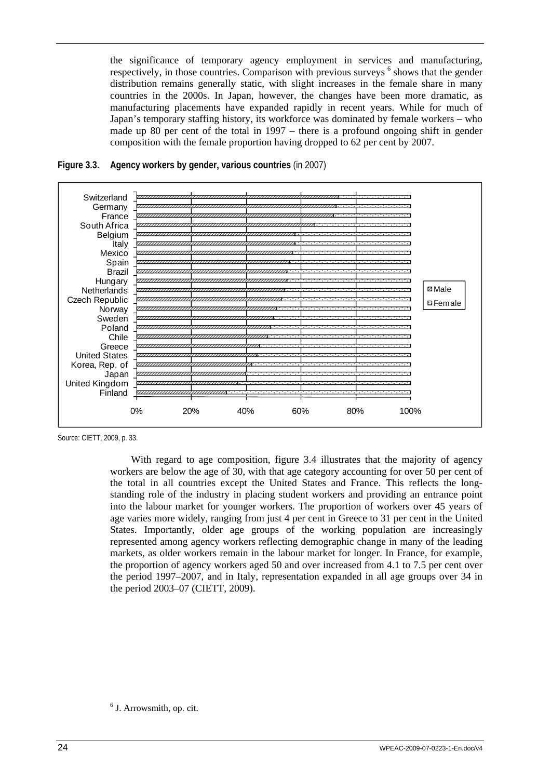<span id="page-33-0"></span>the significance of temporary agency employment in services and manufacturing, respectively, in those countries. Comparison with previous surveys <sup>6</sup> shows that the gender distribution remains generally static, with slight increases in the female share in many countries in the 2000s. In Japan, however, the changes have been more dramatic, as manufacturing placements have expanded rapidly in recent years. While for much of Japan's temporary staffing history, its workforce was dominated by female workers – who made up 80 per cent of the total in 1997 – there is a profound ongoing shift in gender composition with the female proportion having dropped to 62 per cent by 2007.





With regard to age composition, figure 3.4 illustrates that the majority of agency workers are below the age of 30, with that age category accounting for over 50 per cent of the total in all countries except the United States and France. This reflects the longstanding role of the industry in placing student workers and providing an entrance point into the labour market for younger workers. The proportion of workers over 45 years of age varies more widely, ranging from just 4 per cent in Greece to 31 per cent in the United States. Importantly, older age groups of the working population are increasingly represented among agency workers reflecting demographic change in many of the leading markets, as older workers remain in the labour market for longer. In France, for example, the proportion of agency workers aged 50 and over increased from 4.1 to 7.5 per cent over the period 1997–2007, and in Italy, representation expanded in all age groups over 34 in the period 2003–07 (CIETT, 2009).

Source: CIETT, 2009, p. 33.

<sup>6</sup> J. Arrowsmith, op. cit.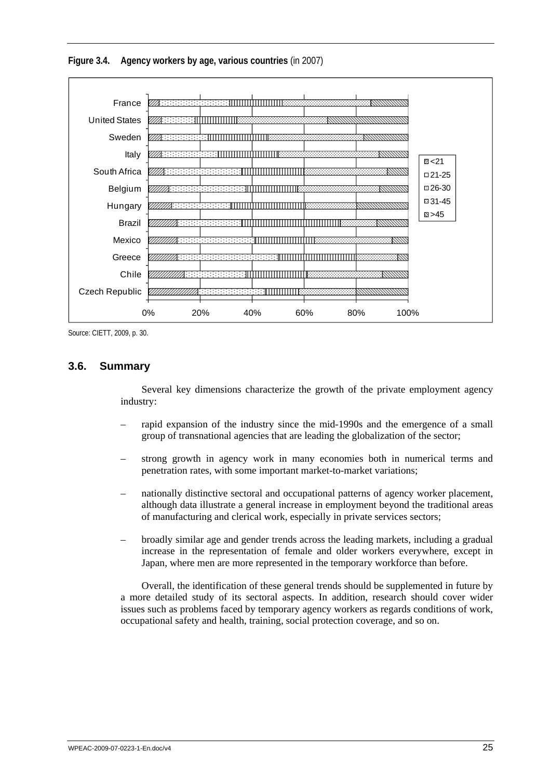<span id="page-34-0"></span>



Source: CIETT, 2009, p. 30.

## **3.6. Summary**

Several key dimensions characterize the growth of the private employment agency industry:

- rapid expansion of the industry since the mid-1990s and the emergence of a small group of transnational agencies that are leading the globalization of the sector;
- strong growth in agency work in many economies both in numerical terms and penetration rates, with some important market-to-market variations;
- nationally distinctive sectoral and occupational patterns of agency worker placement, although data illustrate a general increase in employment beyond the traditional areas of manufacturing and clerical work, especially in private services sectors;
- broadly similar age and gender trends across the leading markets, including a gradual increase in the representation of female and older workers everywhere, except in Japan, where men are more represented in the temporary workforce than before.

Overall, the identification of these general trends should be supplemented in future by a more detailed study of its sectoral aspects. In addition, research should cover wider issues such as problems faced by temporary agency workers as regards conditions of work, occupational safety and health, training, social protection coverage, and so on.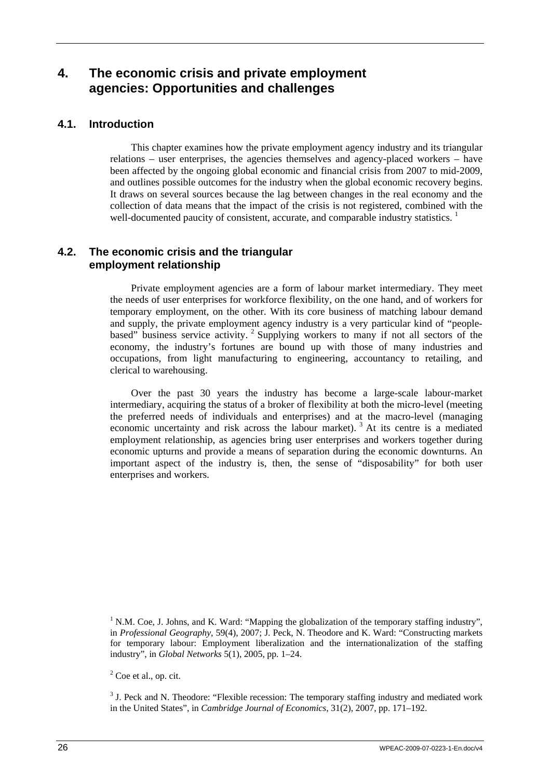# <span id="page-35-0"></span>**4. The economic crisis and private employment agencies: Opportunities and challenges**

## **4.1. Introduction**

This chapter examines how the private employment agency industry and its triangular relations – user enterprises, the agencies themselves and agency-placed workers – have been affected by the ongoing global economic and financial crisis from 2007 to mid-2009, and outlines possible outcomes for the industry when the global economic recovery begins. It draws on several sources because the lag between changes in the real economy and the collection of data means that the impact of the crisis is not registered, combined with the well-documented paucity of consistent, accurate, and comparable industry statistics.<sup>1</sup>

## **4.2. The economic crisis and the triangular employment relationship**

Private employment agencies are a form of labour market intermediary. They meet the needs of user enterprises for workforce flexibility, on the one hand, and of workers for temporary employment, on the other. With its core business of matching labour demand and supply, the private employment agency industry is a very particular kind of "peoplebased" business service activity. <sup>2</sup> Supplying workers to many if not all sectors of the economy, the industry's fortunes are bound up with those of many industries and occupations, from light manufacturing to engineering, accountancy to retailing, and clerical to warehousing.

Over the past 30 years the industry has become a large-scale labour-market intermediary, acquiring the status of a broker of flexibility at both the micro-level (meeting the preferred needs of individuals and enterprises) and at the macro-level (managing economic uncertainty and risk across the labour market).<sup>3</sup> At its centre is a mediated employment relationship, as agencies bring user enterprises and workers together during economic upturns and provide a means of separation during the economic downturns. An important aspect of the industry is, then, the sense of "disposability" for both user enterprises and workers.

<sup>&</sup>lt;sup>1</sup> N.M. Coe, J. Johns, and K. Ward: "Mapping the globalization of the temporary staffing industry", in *Professional Geography*, 59(4), 2007; J. Peck, N. Theodore and K. Ward: "Constructing markets for temporary labour: Employment liberalization and the internationalization of the staffing industry", in *Global Networks* 5(1), 2005, pp. 1–24.

 $2^2$  Coe et al., op. cit.

 $3$  J. Peck and N. Theodore: "Flexible recession: The temporary staffing industry and mediated work in the United States", in *Cambridge Journal of Economics*, 31(2), 2007, pp. 171–192.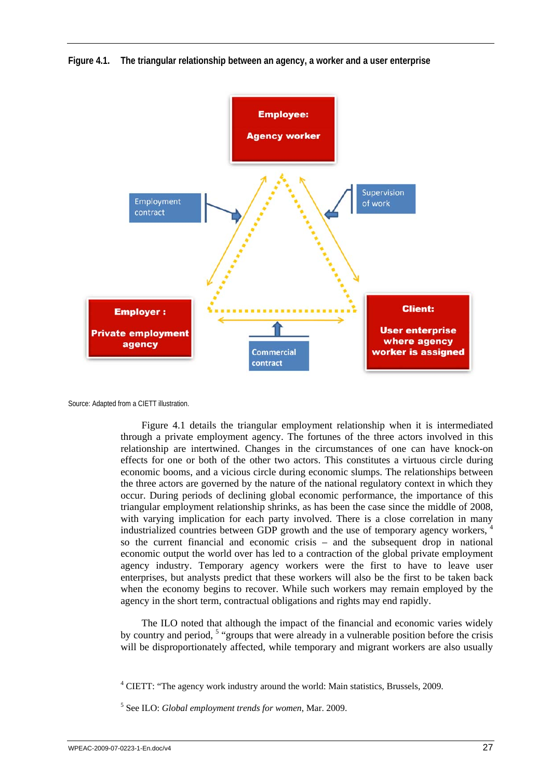

<span id="page-36-0"></span>**Figure 4.1. The triangular relationship between an agency, a worker and a user enterprise** 

Source: Adapted from a CIETT illustration.

Figure 4.1 details the triangular employment relationship when it is intermediated through a private employment agency. The fortunes of the three actors involved in this relationship are intertwined. Changes in the circumstances of one can have knock-on effects for one or both of the other two actors. This constitutes a virtuous circle during economic booms, and a vicious circle during economic slumps. The relationships between the three actors are governed by the nature of the national regulatory context in which they occur. During periods of declining global economic performance, the importance of this triangular employment relationship shrinks, as has been the case since the middle of 2008, with varying implication for each party involved. There is a close correlation in many industrialized countries between GDP growth and the use of temporary agency workers, <sup>4</sup> so the current financial and economic crisis – and the subsequent drop in national economic output the world over has led to a contraction of the global private employment agency industry. Temporary agency workers were the first to have to leave user enterprises, but analysts predict that these workers will also be the first to be taken back when the economy begins to recover. While such workers may remain employed by the agency in the short term, contractual obligations and rights may end rapidly.

The ILO noted that although the impact of the financial and economic varies widely by country and period, <sup>5</sup> "groups that were already in a vulnerable position before the crisis will be disproportionately affected, while temporary and migrant workers are also usually

<sup>&</sup>lt;sup>4</sup> CIETT: "The agency work industry around the world: Main statistics, Brussels, 2009.

<sup>5</sup> See ILO: *Global employment trends for women*, Mar. 2009.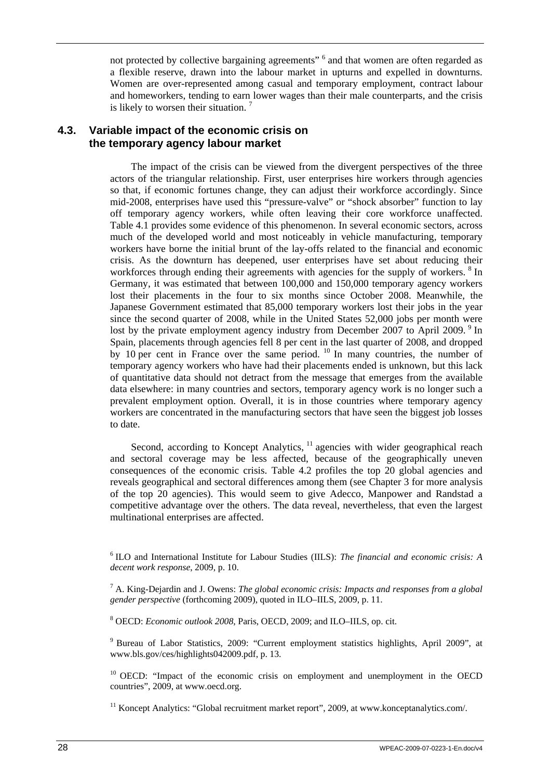<span id="page-37-0"></span>not protected by collective bargaining agreements" <sup>6</sup> and that women are often regarded as a flexible reserve, drawn into the labour market in upturns and expelled in downturns. Women are over-represented among casual and temporary employment, contract labour and homeworkers, tending to earn lower wages than their male counterparts, and the crisis is likely to worsen their situation.  $<sup>7</sup>$ </sup>

## **4.3. Variable impact of the economic crisis on the temporary agency labour market**

The impact of the crisis can be viewed from the divergent perspectives of the three actors of the triangular relationship. First, user enterprises hire workers through agencies so that, if economic fortunes change, they can adjust their workforce accordingly. Since mid-2008, enterprises have used this "pressure-valve" or "shock absorber" function to lay off temporary agency workers, while often leaving their core workforce unaffected. Table 4.1 provides some evidence of this phenomenon. In several economic sectors, across much of the developed world and most noticeably in vehicle manufacturing, temporary workers have borne the initial brunt of the lay-offs related to the financial and economic crisis. As the downturn has deepened, user enterprises have set about reducing their workforces through ending their agreements with agencies for the supply of workers. <sup>8</sup> In Germany, it was estimated that between 100,000 and 150,000 temporary agency workers lost their placements in the four to six months since October 2008. Meanwhile, the Japanese Government estimated that 85,000 temporary workers lost their jobs in the year since the second quarter of 2008, while in the United States 52,000 jobs per month were lost by the private employment agency industry from December 2007 to April 2009.<sup>9</sup> In Spain, placements through agencies fell 8 per cent in the last quarter of 2008, and dropped by 10 per cent in France over the same period. <sup>10</sup> In many countries, the number of temporary agency workers who have had their placements ended is unknown, but this lack of quantitative data should not detract from the message that emerges from the available data elsewhere: in many countries and sectors, temporary agency work is no longer such a prevalent employment option. Overall, it is in those countries where temporary agency workers are concentrated in the manufacturing sectors that have seen the biggest job losses to date.

Second, according to Koncept Analytics, <sup>11</sup> agencies with wider geographical reach and sectoral coverage may be less affected, because of the geographically uneven consequences of the economic crisis. Table 4.2 profiles the top 20 global agencies and reveals geographical and sectoral differences among them (see Chapter 3 for more analysis of the top 20 agencies). This would seem to give Adecco, Manpower and Randstad a competitive advantage over the others. The data reveal, nevertheless, that even the largest multinational enterprises are affected.

8 OECD: *Economic outlook 2008*, Paris, OECD, 2009; and ILO–IILS, op. cit.

<sup>9</sup> Bureau of Labor Statistics, 2009: "Current employment statistics highlights, April 2009", at www.bls.gov/ces/highlights042009.pdf, p. 13.

 $10$  OECD: "Impact of the economic crisis on employment and unemployment in the OECD countries", 2009, at www.oecd.org.

<sup>11</sup> Koncept Analytics: "Global recruitment market report", 2009, at www.konceptanalytics.com/.

<sup>6</sup> ILO and International Institute for Labour Studies (IILS): *The financial and economic crisis: A decent work response*, 2009, p. 10.

<sup>7</sup> A. King-Dejardin and J. Owens: *The global economic crisis: Impacts and responses from a global gender perspective* (forthcoming 2009), quoted in ILO–IILS, 2009, p. 11.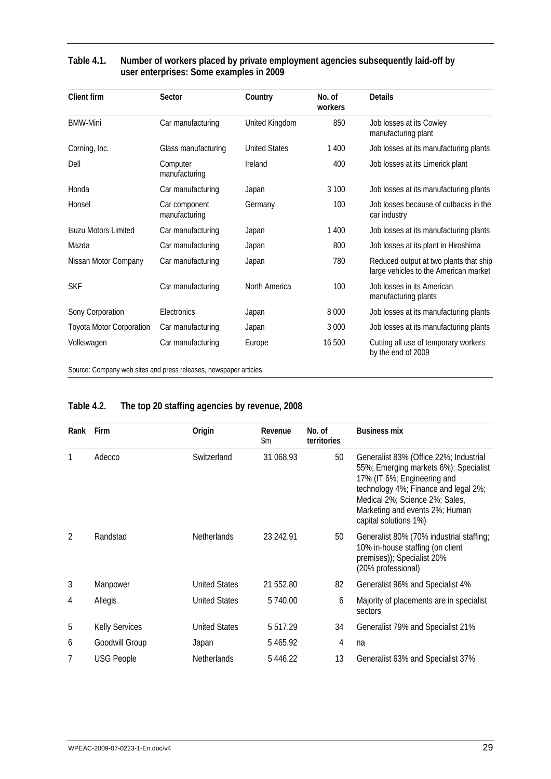| <b>Client firm</b>              | Sector                         | Country              | No. of<br>workers | <b>Details</b>                                                                  |
|---------------------------------|--------------------------------|----------------------|-------------------|---------------------------------------------------------------------------------|
| <b>BMW-Mini</b>                 | Car manufacturing              | United Kingdom       | 850               | Job losses at its Cowley<br>manufacturing plant                                 |
| Corning, Inc.                   | Glass manufacturing            | <b>United States</b> | 1 400             | Job losses at its manufacturing plants                                          |
| Dell                            | Computer<br>manufacturing      | Ireland              | 400               | Job losses at its Limerick plant                                                |
| Honda                           | Car manufacturing              | Japan                | 3 100             | Job losses at its manufacturing plants                                          |
| Honsel                          | Car component<br>manufacturing | Germany              | 100               | Job losses because of cutbacks in the<br>car industry                           |
| <b>Isuzu Motors Limited</b>     | Car manufacturing              | Japan                | 1 400             | Job losses at its manufacturing plants                                          |
| Mazda                           | Car manufacturing              | Japan                | 800               | Job losses at its plant in Hiroshima                                            |
| Nissan Motor Company            | Car manufacturing              | Japan                | 780               | Reduced output at two plants that ship<br>large vehicles to the American market |
| <b>SKF</b>                      | Car manufacturing              | North America        | 100               | Job Josses in its American<br>manufacturing plants                              |
| Sony Corporation                | Electronics                    | Japan                | 8 0 0 0           | Job losses at its manufacturing plants                                          |
| <b>Toyota Motor Corporation</b> | Car manufacturing              | Japan                | 3 0 0 0           | Job losses at its manufacturing plants                                          |
| Volkswagen                      | Car manufacturing              | Europe               | 16 500            | Cutting all use of temporary workers<br>by the end of 2009                      |
|                                 |                                |                      |                   |                                                                                 |

## <span id="page-38-0"></span>**Table 4.1. Number of workers placed by private employment agencies subsequently laid-off by user enterprises: Some examples in 2009**

Source: Company web sites and press releases, newspaper articles.

## **Table 4.2. The top 20 staffing agencies by revenue, 2008**

| Rank           | Firm                  | Origin               | Revenue<br>\$m | No. of<br>territories | <b>Business mix</b>                                                                                                                                                                                                                                 |
|----------------|-----------------------|----------------------|----------------|-----------------------|-----------------------------------------------------------------------------------------------------------------------------------------------------------------------------------------------------------------------------------------------------|
| 1              | Adecco                | Switzerland          | 31 068.93      | 50                    | Generalist 83% (Office 22%; Industrial<br>55%; Emerging markets 6%); Specialist<br>17% (IT 6%; Engineering and<br>technology 4%; Finance and legal 2%;<br>Medical 2%; Science 2%; Sales,<br>Marketing and events 2%; Human<br>capital solutions 1%) |
| $\mathfrak{D}$ | Randstad              | <b>Netherlands</b>   | 23 242.91      | 50                    | Generalist 80% (70% industrial staffing;<br>10% in-house staffing (on client<br>premises)); Specialist 20%<br>(20% professional)                                                                                                                    |
| 3              | Manpower              | <b>United States</b> | 21 552.80      | 82                    | Generalist 96% and Specialist 4%                                                                                                                                                                                                                    |
| 4              | Allegis               | <b>United States</b> | 5 740.00       | 6                     | Majority of placements are in specialist<br>sectors                                                                                                                                                                                                 |
| 5              | <b>Kelly Services</b> | <b>United States</b> | 5 5 1 7 . 2 9  | 34                    | Generalist 79% and Specialist 21%                                                                                                                                                                                                                   |
| 6              | Goodwill Group        | Japan                | 5465.92        | 4                     | na                                                                                                                                                                                                                                                  |
| 7              | <b>USG People</b>     | <b>Netherlands</b>   | 5 446.22       | 13                    | Generalist 63% and Specialist 37%                                                                                                                                                                                                                   |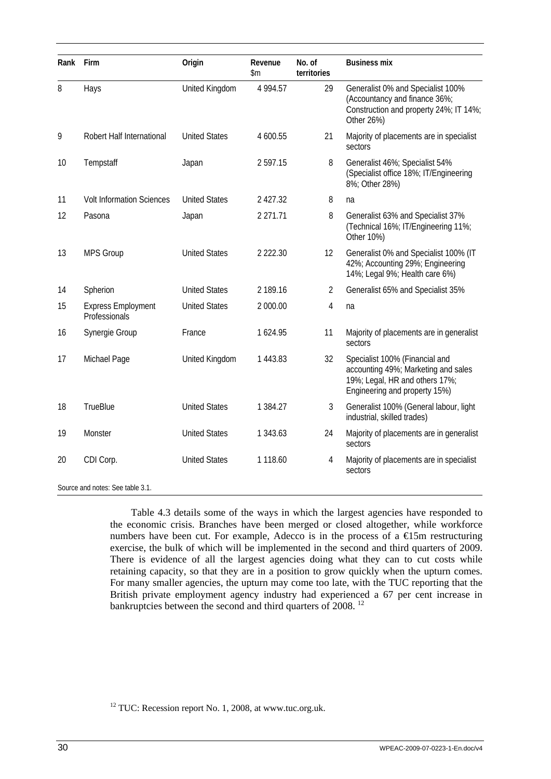| Rank | Firm                                       | Origin               | Revenue<br>\$m | No. of<br>territories | <b>Business mix</b>                                                                                                                      |
|------|--------------------------------------------|----------------------|----------------|-----------------------|------------------------------------------------------------------------------------------------------------------------------------------|
| 8    | Hays                                       | United Kingdom       | 4 9 9 4 .57    | 29                    | Generalist 0% and Specialist 100%<br>(Accountancy and finance 36%;<br>Construction and property 24%; IT 14%;<br>Other 26%)               |
| 9    | Robert Half International                  | <b>United States</b> | 4 600.55       | 21                    | Majority of placements are in specialist<br>sectors                                                                                      |
| 10   | Tempstaff                                  | Japan                | 2 597.15       | 8                     | Generalist 46%; Specialist 54%<br>(Specialist office 18%; IT/Engineering<br>8%; Other 28%)                                               |
| 11   | <b>Volt Information Sciences</b>           | <b>United States</b> | 2 427.32       | 8                     | na                                                                                                                                       |
| 12   | Pasona                                     | Japan                | 2 271.71       | 8                     | Generalist 63% and Specialist 37%<br>(Technical 16%; IT/Engineering 11%;<br>Other 10%)                                                   |
| 13   | <b>MPS Group</b>                           | <b>United States</b> | 2 2 2 2 . 3 0  | 12                    | Generalist 0% and Specialist 100% (IT<br>42%; Accounting 29%; Engineering<br>14%; Legal 9%; Health care 6%)                              |
| 14   | Spherion                                   | <b>United States</b> | 2 189.16       | $\overline{2}$        | Generalist 65% and Specialist 35%                                                                                                        |
| 15   | <b>Express Employment</b><br>Professionals | <b>United States</b> | 2 000.00       | 4                     | na                                                                                                                                       |
| 16   | Synergie Group                             | France               | 1 624.95       | 11                    | Majority of placements are in generalist<br>sectors                                                                                      |
| 17   | Michael Page                               | United Kingdom       | 1 443.83       | 32                    | Specialist 100% (Financial and<br>accounting 49%; Marketing and sales<br>19%; Legal, HR and others 17%;<br>Engineering and property 15%) |
| 18   | <b>TrueBlue</b>                            | <b>United States</b> | 1 384.27       | 3                     | Generalist 100% (General labour, light<br>industrial, skilled trades)                                                                    |
| 19   | Monster                                    | <b>United States</b> | 1 343.63       | 24                    | Majority of placements are in generalist<br>sectors                                                                                      |
| 20   | CDI Corp.                                  | <b>United States</b> | 1 118.60       | $\overline{4}$        | Majority of placements are in specialist<br>sectors                                                                                      |
|      | Source and notes: See table 3.1.           |                      |                |                       |                                                                                                                                          |

Table 4.3 details some of the ways in which the largest agencies have responded to the economic crisis. Branches have been merged or closed altogether, while workforce numbers have been cut. For example, Adecco is in the process of a  $\epsilon$ 15m restructuring exercise, the bulk of which will be implemented in the second and third quarters of 2009. There is evidence of all the largest agencies doing what they can to cut costs while retaining capacity, so that they are in a position to grow quickly when the upturn comes. For many smaller agencies, the upturn may come too late, with the TUC reporting that the British private employment agency industry had experienced a 67 per cent increase in bankruptcies between the second and third quarters of 2008.<sup>12</sup>

<sup>&</sup>lt;sup>12</sup> TUC: Recession report No. 1, 2008, at www.tuc.org.uk.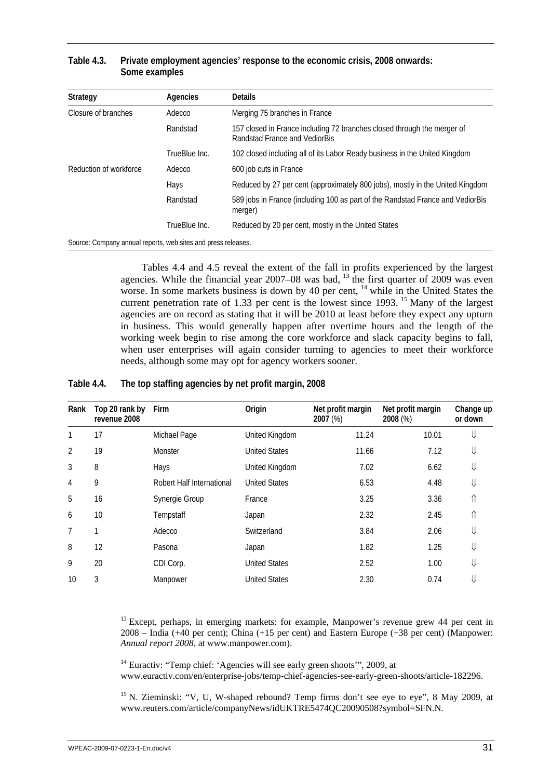| Strategy                                                      | Agencies      | <b>Details</b>                                                                                           |
|---------------------------------------------------------------|---------------|----------------------------------------------------------------------------------------------------------|
| Closure of branches                                           | Adecco        | Merging 75 branches in France                                                                            |
|                                                               | Randstad      | 157 closed in France including 72 branches closed through the merger of<br>Randstad France and VediorBis |
|                                                               | TrueBlue Inc. | 102 closed including all of its Labor Ready business in the United Kingdom                               |
| Reduction of workforce                                        | Adecco        | 600 job cuts in France                                                                                   |
|                                                               | Hays          | Reduced by 27 per cent (approximately 800 jobs), mostly in the United Kingdom                            |
|                                                               | Randstad      | 589 jobs in France (including 100 as part of the Randstad France and VediorBis<br>merger)                |
|                                                               | TrueBlue Inc. | Reduced by 20 per cent, mostly in the United States                                                      |
| Source: Company annual reports, web sites and press releases. |               |                                                                                                          |

### <span id="page-40-0"></span>**Table 4.3. Private employment agencies' response to the economic crisis, 2008 onwards: Some examples**

Tables 4.4 and 4.5 reveal the extent of the fall in profits experienced by the largest agencies. While the financial year  $2007-08$  was bad,  $13$  the first quarter of 2009 was even worse. In some markets business is down by 40 per cent, <sup>14</sup> while in the United States the current penetration rate of 1.33 per cent is the lowest since 1993.<sup>15</sup> Many of the largest agencies are on record as stating that it will be 2010 at least before they expect any upturn in business. This would generally happen after overtime hours and the length of the working week begin to rise among the core workforce and slack capacity begins to fall, when user enterprises will again consider turning to agencies to meet their workforce needs, although some may opt for agency workers sooner.

### **Table 4.4. The top staffing agencies by net profit margin, 2008**

| Rank           | Top 20 rank by<br>revenue 2008 | Firm                      | Origin               | Net profit margin<br>2007 (%) | Net profit margin<br>2008 (%) | Change up<br>or down |
|----------------|--------------------------------|---------------------------|----------------------|-------------------------------|-------------------------------|----------------------|
| 1              | 17                             | Michael Page              | United Kingdom       | 11.24                         | 10.01                         | ⇓                    |
| $\overline{2}$ | 19                             | Monster                   | <b>United States</b> | 11.66                         | 7.12                          | ⇓                    |
| 3              | 8                              | Hays                      | United Kingdom       | 7.02                          | 6.62                          | ⇓                    |
| 4              | 9                              | Robert Half International | <b>United States</b> | 6.53                          | 4.48                          | ⇓                    |
| 5              | 16                             | Synergie Group            | France               | 3.25                          | 3.36                          | ⇑                    |
| 6              | 10                             | Tempstaff                 | Japan                | 2.32                          | 2.45                          | ⇑                    |
| 7              |                                | Adecco                    | Switzerland          | 3.84                          | 2.06                          | ⇓                    |
| 8              | 12                             | Pasona                    | Japan                | 1.82                          | 1.25                          | ⇓                    |
| 9              | 20                             | CDI Corp.                 | <b>United States</b> | 2.52                          | 1.00                          | ⇓                    |
| 10             | 3                              | Manpower                  | <b>United States</b> | 2.30                          | 0.74                          | ⇓                    |

 $13$  Except, perhaps, in emerging markets: for example, Manpower's revenue grew 44 per cent in 2008 – India (+40 per cent); China (+15 per cent) and Eastern Europe (+38 per cent) (Manpower: *Annual report 2008*, at www.manpower.com).

 $14$  Euractiv: "Temp chief: 'Agencies will see early green shoots'", 2009, at www.euractiv.com/en/enterprise-jobs/temp-chief-agencies-see-early-green-shoots/article-182296.

<sup>15</sup> N. Zieminski: "V, U, W-shaped rebound? Temp firms don't see eye to eye", 8 May 2009, at www.reuters.com/article/companyNews/idUKTRE5474QC20090508?symbol=SFN.N.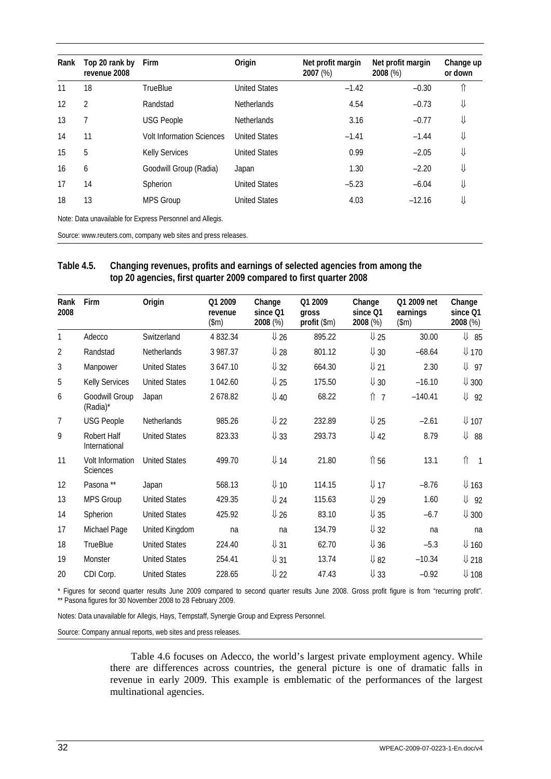<span id="page-41-0"></span>

| Rank | Top 20 rank by<br>revenue 2008 | <b>Firm</b>                                                    | Origin               | Net profit margin<br>$2007 (\%)$ | Net profit margin<br>2008 (%) | Change up<br>or down |
|------|--------------------------------|----------------------------------------------------------------|----------------------|----------------------------------|-------------------------------|----------------------|
| 11   | 18                             | <b>TrueBlue</b>                                                | <b>United States</b> | $-1.42$                          | $-0.30$                       | ⇑                    |
| 12   | $\overline{2}$                 | Randstad                                                       | <b>Netherlands</b>   | 4.54                             | $-0.73$                       | ⇓                    |
| 13   | 7                              | <b>USG People</b>                                              | <b>Netherlands</b>   | 3.16                             | $-0.77$                       | ⇓                    |
| 14   | 11                             | <b>Volt Information Sciences</b>                               | <b>United States</b> | $-1.41$                          | $-1.44$                       | ⇓                    |
| 15   | 5                              | <b>Kelly Services</b>                                          | <b>United States</b> | 0.99                             | $-2.05$                       | ⇓                    |
| 16   | 6                              | Goodwill Group (Radia)                                         | Japan                | 1.30                             | $-2.20$                       | ⇓                    |
| 17   | 14                             | Spherion                                                       | <b>United States</b> | $-5.23$                          | $-6.04$                       | ⇓                    |
| 18   | 13                             | <b>MPS Group</b>                                               | <b>United States</b> | 4.03                             | $-12.16$                      | ⇓                    |
|      |                                | Note: Data unavailable for Express Personnel and Allegis.      |                      |                                  |                               |                      |
|      |                                | Source: www.reuters.com, company web sites and press releases. |                      |                                  |                               |                      |

### **Table 4.5. Changing revenues, profits and earnings of selected agencies from among the top 20 agencies, first quarter 2009 compared to first quarter 2008**

| Rank<br>2008   | Firm                                | Origin               | Q1 2009<br>revenue<br>$(\text{Im})$ | Change<br>since Q1<br>2008 (%) | Q1 2009<br>gross<br>profit (\$m) | Change<br>since Q1<br>2008 (%) | Q1 2009 net<br>earnings<br>$(\$m)$ | Change<br>since Q1<br>2008 (%) |
|----------------|-------------------------------------|----------------------|-------------------------------------|--------------------------------|----------------------------------|--------------------------------|------------------------------------|--------------------------------|
| 1              | Adecco                              | Switzerland          | 4 832.34                            | $\sqrt{26}$                    | 895.22                           | $\sqrt{25}$                    | 30.00                              | $\sqrt{2}$ 85                  |
| $\overline{2}$ | Randstad                            | Netherlands          | 3 987.37                            | $\sqrt{28}$                    | 801.12                           | $\sqrt{30}$                    | $-68.64$                           | $\Psi$ 170                     |
| 3              | Manpower                            | <b>United States</b> | 3 647.10                            | $\downarrow$ 32                | 664.30                           | $U_{21}$                       | 2.30                               | $\downarrow$ 97                |
| 5              | Kelly Services                      | <b>United States</b> | 1 042.60                            | $\sqrt{25}$                    | 175.50                           | $\sqrt{30}$                    | $-16.10$                           | $\downarrow$ 300               |
| 6              | Goodwill Group<br>(Radia)*          | Japan                | 2678.82                             | $$\downarrow 40$               | 68.22                            | $\hat{\parallel}$ 7            | $-140.41$                          | ⇓<br>92                        |
| $\overline{7}$ | <b>USG People</b>                   | <b>Netherlands</b>   | 985.26                              | $\sqrt{22}$                    | 232.89                           | $\sqrt{25}$                    | $-2.61$                            | $\downarrow$ 107               |
| 9              | Robert Half<br>International        | <b>United States</b> | 823.33                              | $$\downarrow 33$$              | 293.73                           | $\sqrt{42}$                    | 8.79                               | ⇓<br>88                        |
| 11             | Volt Information<br><b>Sciences</b> | <b>United States</b> | 499.70                              | $\Psi$ 14                      | 21.80                            | ↑56                            | 13.1                               | ⇑<br>$\overline{\phantom{a}}$  |
| 12             | Pasona**                            | Japan                | 568.13                              | $\downarrow$ 10                | 114.15                           | $\Psi$ 17                      | $-8.76$                            | $\downarrow$ 163               |
| 13             | <b>MPS Group</b>                    | <b>United States</b> | 429.35                              | $$\downarrow 24$               | 115.63                           | $\sqrt{29}$                    | 1.60                               | $\downarrow$ 92                |
| 14             | Spherion                            | <b>United States</b> | 425.92                              | $\sqrt{26}$                    | 83.10                            | $\sqrt{35}$                    | $-6.7$                             | $\downarrow$ 300               |
| 17             | Michael Page                        | United Kingdom       | na                                  | na                             | 134.79                           | $\downarrow$ 32                | na                                 | na                             |
| 18             | <b>TrueBlue</b>                     | <b>United States</b> | 224.40                              | $$\downarrow 31$               | 62.70                            | $$\downarrow 36$$              | $-5.3$                             | $\Psi$ 160                     |
| 19             | Monster                             | <b>United States</b> | 254.41                              | $\downarrow$ 31                | 13.74                            | $\sqrt{82}$                    | $-10.34$                           | $U$ 218                        |
| 20             | CDI Corp.                           | <b>United States</b> | 228.65                              | $\sqrt{22}$                    | 47.43                            | $U_{33}$                       | $-0.92$                            | $\downarrow$ 108               |

\* Figures for second quarter results June 2009 compared to second quarter results June 2008. Gross profit figure is from "recurring profit". \*\* Pasona figures for 30 November 2008 to 28 February 2009.

Notes: Data unavailable for Allegis, Hays, Tempstaff, Synergie Group and Express Personnel.

Source: Company annual reports, web sites and press releases.

Table 4.6 focuses on Adecco, the world's largest private employment agency. While there are differences across countries, the general picture is one of dramatic falls in revenue in early 2009. This example is emblematic of the performances of the largest multinational agencies.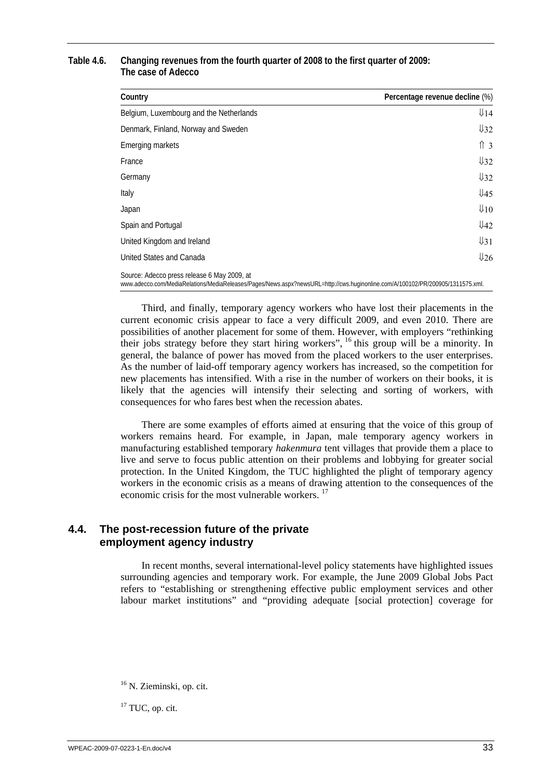### <span id="page-42-0"></span>**Table 4.6. Changing revenues from the fourth quarter of 2008 to the first quarter of 2009: The case of Adecco**

| Country                                                                                                                                                                       | Percentage revenue decline (%) |
|-------------------------------------------------------------------------------------------------------------------------------------------------------------------------------|--------------------------------|
| Belgium, Luxembourg and the Netherlands                                                                                                                                       | $\sqrt{14}$                    |
| Denmark, Finland, Norway and Sweden                                                                                                                                           | $\sqrt{32}$                    |
| Emerging markets                                                                                                                                                              | $\hat{1}$ 3                    |
| France                                                                                                                                                                        | $\frac{1}{32}$                 |
| Germany                                                                                                                                                                       | $\sqrt{32}$                    |
| Italy                                                                                                                                                                         | $\sqrt{45}$                    |
| Japan                                                                                                                                                                         | $\downarrow$ 10                |
| Spain and Portugal                                                                                                                                                            | $\sqrt{42}$                    |
| United Kingdom and Ireland                                                                                                                                                    | $\sqrt{31}$                    |
| United States and Canada                                                                                                                                                      | 1/26                           |
| Source: Adecco press release 6 May 2009, at<br>www.adecco.com/MediaRelations/MediaReleases/Pages/News.aspx?newsURL=http://cws.huginonline.com/A/100102/PR/200905/1311575.xml. |                                |

Third, and finally, temporary agency workers who have lost their placements in the current economic crisis appear to face a very difficult 2009, and even 2010. There are possibilities of another placement for some of them. However, with employers "rethinking their jobs strategy before they start hiring workers", 16 this group will be a minority. In general, the balance of power has moved from the placed workers to the user enterprises. As the number of laid-off temporary agency workers has increased, so the competition for new placements has intensified. With a rise in the number of workers on their books, it is likely that the agencies will intensify their selecting and sorting of workers, with consequences for who fares best when the recession abates.

There are some examples of efforts aimed at ensuring that the voice of this group of workers remains heard. For example, in Japan, male temporary agency workers in manufacturing established temporary *hakenmura* tent villages that provide them a place to live and serve to focus public attention on their problems and lobbying for greater social protection. In the United Kingdom, the TUC highlighted the plight of temporary agency workers in the economic crisis as a means of drawing attention to the consequences of the economic crisis for the most vulnerable workers.<sup>17</sup>

## **4.4. The post-recession future of the private employment agency industry**

In recent months, several international-level policy statements have highlighted issues surrounding agencies and temporary work. For example, the June 2009 Global Jobs Pact refers to "establishing or strengthening effective public employment services and other labour market institutions" and "providing adequate [social protection] coverage for

<sup>17</sup> TUC, op. cit.

<sup>&</sup>lt;sup>16</sup> N. Zieminski, op. cit.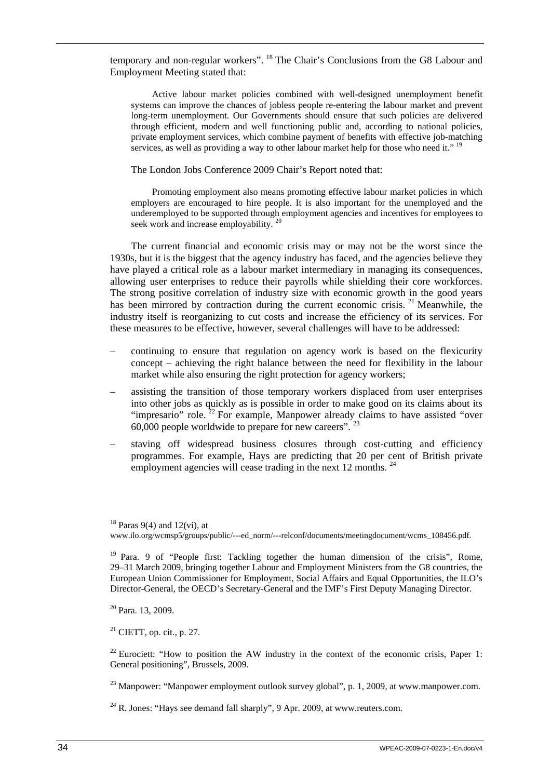temporary and non-regular workers". <sup>18</sup> The Chair's Conclusions from the G8 Labour and Employment Meeting stated that:

Active labour market policies combined with well-designed unemployment benefit systems can improve the chances of jobless people re-entering the labour market and prevent long-term unemployment. Our Governments should ensure that such policies are delivered through efficient, modern and well functioning public and, according to national policies, private employment services, which combine payment of benefits with effective job-matching services, as well as providing a way to other labour market help for those who need it." <sup>19</sup>

The London Jobs Conference 2009 Chair's Report noted that:

Promoting employment also means promoting effective labour market policies in which employers are encouraged to hire people. It is also important for the unemployed and the underemployed to be supported through employment agencies and incentives for employees to seek work and increase employability.<sup>20</sup>

The current financial and economic crisis may or may not be the worst since the 1930s, but it is the biggest that the agency industry has faced, and the agencies believe they have played a critical role as a labour market intermediary in managing its consequences, allowing user enterprises to reduce their payrolls while shielding their core workforces. The strong positive correlation of industry size with economic growth in the good years has been mirrored by contraction during the current economic crisis. <sup>21</sup> Meanwhile, the industry itself is reorganizing to cut costs and increase the efficiency of its services. For these measures to be effective, however, several challenges will have to be addressed:

- continuing to ensure that regulation on agency work is based on the flexicurity concept – achieving the right balance between the need for flexibility in the labour market while also ensuring the right protection for agency workers;
- assisting the transition of those temporary workers displaced from user enterprises into other jobs as quickly as is possible in order to make good on its claims about its "impresario" role.  $22$  For example. Manpower already claims to have assisted "over" 60,000 people worldwide to prepare for new careers".  $23$
- staving off widespread business closures through cost-cutting and efficiency programmes. For example, Hays are predicting that 20 per cent of British private employment agencies will cease trading in the next 12 months.  $^{24}$

20 Para. 13, 2009.

 $21$  CIETT, op. cit., p. 27.

 $22$  Eurociett: "How to position the AW industry in the context of the economic crisis, Paper 1: General positioning", Brussels, 2009.

 $^{23}$  Manpower: "Manpower employment outlook survey global", p. 1, 2009, at www.manpower.com.

 $^{24}$  R. Jones: "Hays see demand fall sharply", 9 Apr. 2009, at www.reuters.com.

 $18$  Paras 9(4) and 12(vi), at www.ilo.org/wcmsp5/groups/public/---ed\_norm/---relconf/documents/meetingdocument/wcms\_108456.pdf.

<sup>&</sup>lt;sup>19</sup> Para. 9 of "People first: Tackling together the human dimension of the crisis", Rome, 29–31 March 2009, bringing together Labour and Employment Ministers from the G8 countries, the European Union Commissioner for Employment, Social Affairs and Equal Opportunities, the ILO's Director-General, the OECD's Secretary-General and the IMF's First Deputy Managing Director.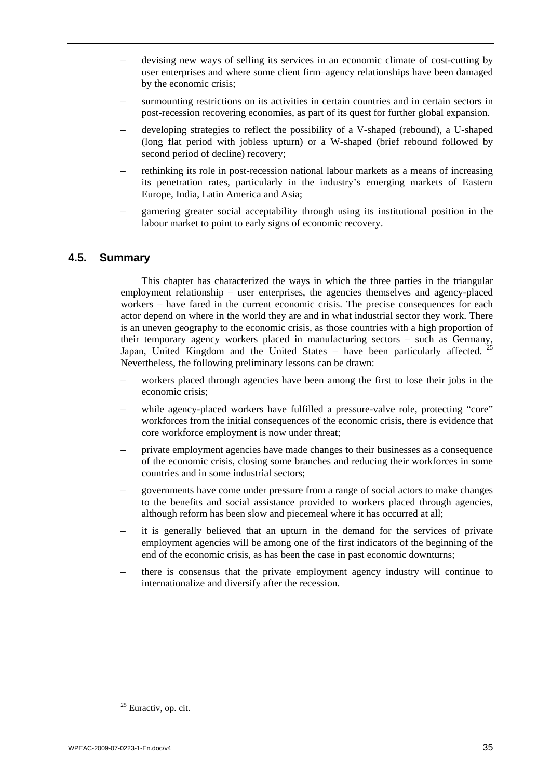- <span id="page-44-0"></span>– devising new ways of selling its services in an economic climate of cost-cutting by user enterprises and where some client firm–agency relationships have been damaged by the economic crisis;
- surmounting restrictions on its activities in certain countries and in certain sectors in post-recession recovering economies, as part of its quest for further global expansion.
- developing strategies to reflect the possibility of a V-shaped (rebound), a U-shaped (long flat period with jobless upturn) or a W-shaped (brief rebound followed by second period of decline) recovery;
- rethinking its role in post-recession national labour markets as a means of increasing its penetration rates, particularly in the industry's emerging markets of Eastern Europe, India, Latin America and Asia;
- garnering greater social acceptability through using its institutional position in the labour market to point to early signs of economic recovery.

## **4.5. Summary**

This chapter has characterized the ways in which the three parties in the triangular employment relationship – user enterprises, the agencies themselves and agency-placed workers – have fared in the current economic crisis. The precise consequences for each actor depend on where in the world they are and in what industrial sector they work. There is an uneven geography to the economic crisis, as those countries with a high proportion of their temporary agency workers placed in manufacturing sectors – such as Germany, Japan, United Kingdom and the United States – have been particularly affected. <sup>25</sup> Nevertheless, the following preliminary lessons can be drawn:

- workers placed through agencies have been among the first to lose their jobs in the economic crisis;
- while agency-placed workers have fulfilled a pressure-valve role, protecting "core" workforces from the initial consequences of the economic crisis, there is evidence that core workforce employment is now under threat;
- private employment agencies have made changes to their businesses as a consequence of the economic crisis, closing some branches and reducing their workforces in some countries and in some industrial sectors;
- governments have come under pressure from a range of social actors to make changes to the benefits and social assistance provided to workers placed through agencies, although reform has been slow and piecemeal where it has occurred at all;
- it is generally believed that an upturn in the demand for the services of private employment agencies will be among one of the first indicators of the beginning of the end of the economic crisis, as has been the case in past economic downturns;
- there is consensus that the private employment agency industry will continue to internationalize and diversify after the recession.

<sup>&</sup>lt;sup>25</sup> Euractiv, op. cit.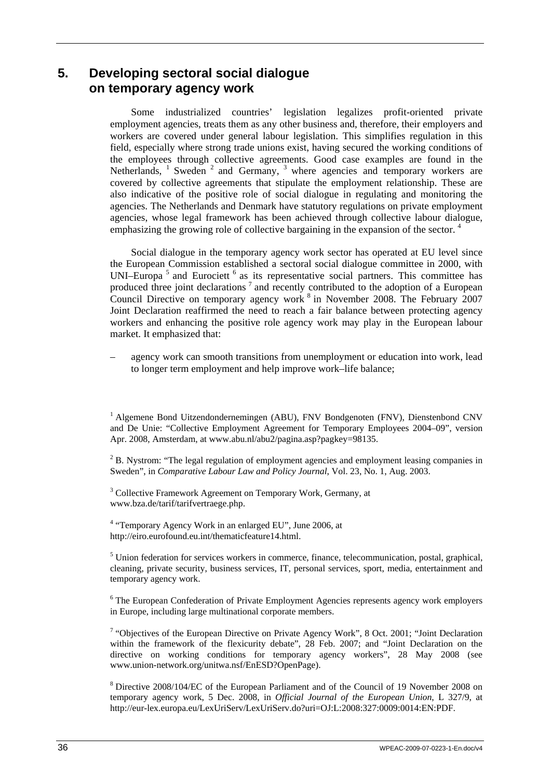# <span id="page-45-0"></span>**5. Developing sectoral social dialogue on temporary agency work**

Some industrialized countries' legislation legalizes profit-oriented private employment agencies, treats them as any other business and, therefore, their employers and workers are covered under general labour legislation. This simplifies regulation in this field, especially where strong trade unions exist, having secured the working conditions of the employees through collective agreements. Good case examples are found in the Netherlands,  $\frac{1}{2}$  Sweden  $\frac{2}{3}$  and Germany,  $\frac{3}{3}$  where agencies and temporary workers are covered by collective agreements that stipulate the employment relationship. These are also indicative of the positive role of social dialogue in regulating and monitoring the agencies. The Netherlands and Denmark have statutory regulations on private employment agencies, whose legal framework has been achieved through collective labour dialogue, emphasizing the growing role of collective bargaining in the expansion of the sector.<sup>4</sup>

Social dialogue in the temporary agency work sector has operated at EU level since the European Commission established a sectoral social dialogue committee in 2000, with UNI–Europa<sup>5</sup> and Eurociett<sup>6</sup> as its representative social partners. This committee has produced three joint declarations<sup>7</sup> and recently contributed to the adoption of a European Council Directive on temporary agency work  $8$  in November 2008. The February 2007 Joint Declaration reaffirmed the need to reach a fair balance between protecting agency workers and enhancing the positive role agency work may play in the European labour market. It emphasized that:

– agency work can smooth transitions from unemployment or education into work, lead to longer term employment and help improve work–life balance;

<sup>1</sup> Algemene Bond Uitzendondernemingen (ABU), FNV Bondgenoten (FNV), Dienstenbond CNV and De Unie: "Collective Employment Agreement for Temporary Employees 2004–09", version Apr. 2008, Amsterdam, at www.abu.nl/abu2/pagina.asp?pagkey=98135.

 $2^2$  B. Nystrom: "The legal regulation of employment agencies and employment leasing companies in Sweden", in *Comparative Labour Law and Policy Journal*, Vol. 23, No. 1, Aug. 2003.

<sup>3</sup> Collective Framework Agreement on Temporary Work, Germany, at www.bza.de/tarif/tarifvertraege.php.

<sup>4</sup> "Temporary Agency Work in an enlarged EU", June 2006, at http://eiro.eurofound.eu.int/thematicfeature14.html.

<sup>5</sup> Union federation for services workers in commerce, finance, telecommunication, postal, graphical, cleaning, private security, business services, IT, personal services, sport, media, entertainment and temporary agency work.

<sup>6</sup> The European Confederation of Private Employment Agencies represents agency work employers in Europe, including large multinational corporate members.

<sup>7</sup> "Objectives of the European Directive on Private Agency Work", 8 Oct. 2001; "Joint Declaration within the framework of the flexicurity debate", 28 Feb. 2007; and "Joint Declaration on the directive on working conditions for temporary agency workers", 28 May 2008 (see www.union-network.org/unitwa.nsf/EnESD?OpenPage).

<sup>8</sup> Directive 2008/104/EC of the European Parliament and of the Council of 19 November 2008 on temporary agency work, 5 Dec. 2008, in *Official Journal of the European Union*, L 327/9, at http://eur-lex.europa.eu/LexUriServ/LexUriServ.do?uri=OJ:L:2008:327:0009:0014:EN:PDF.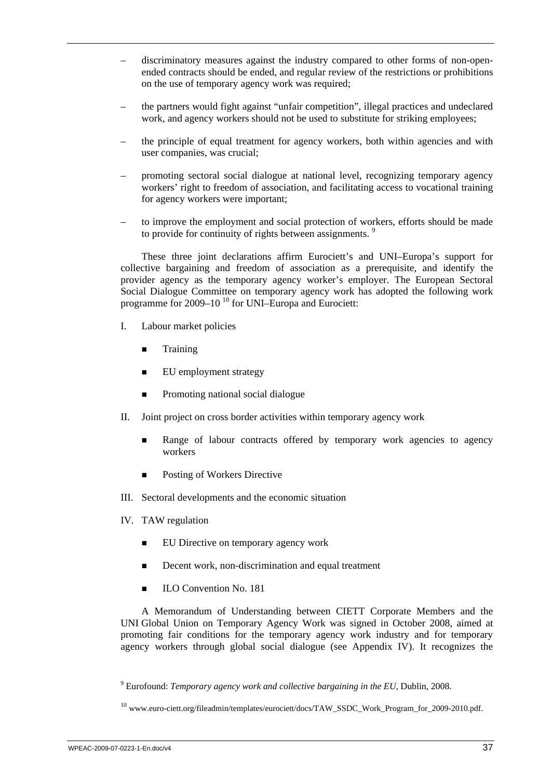- discriminatory measures against the industry compared to other forms of non-openended contracts should be ended, and regular review of the restrictions or prohibitions on the use of temporary agency work was required;
- the partners would fight against "unfair competition", illegal practices and undeclared work, and agency workers should not be used to substitute for striking employees;
- the principle of equal treatment for agency workers, both within agencies and with user companies, was crucial;
- promoting sectoral social dialogue at national level, recognizing temporary agency workers' right to freedom of association, and facilitating access to vocational training for agency workers were important;
- to improve the employment and social protection of workers, efforts should be made to provide for continuity of rights between assignments.<sup>9</sup>

These three joint declarations affirm Eurociett's and UNI–Europa's support for collective bargaining and freedom of association as a prerequisite, and identify the provider agency as the temporary agency worker's employer. The European Sectoral Social Dialogue Committee on temporary agency work has adopted the following work programme for 2009–10 10 for UNI–Europa and Eurociett:

- I. Labour market policies
	- **Training**
	- **EU** employment strategy
	- **Promoting national social dialogue**
- II. Joint project on cross border activities within temporary agency work
	- **Range of labour contracts offered by temporary work agencies to agency** workers
	- Posting of Workers Directive
- III. Sectoral developments and the economic situation
- IV. TAW regulation
	- EU Directive on temporary agency work
	- Decent work, non-discrimination and equal treatment
	- **ILO Convention No. 181**

A Memorandum of Understanding between CIETT Corporate Members and the UNI Global Union on Temporary Agency Work was signed in October 2008, aimed at promoting fair conditions for the temporary agency work industry and for temporary agency workers through global social dialogue (see Appendix IV). It recognizes the

<sup>9</sup> Eurofound: *Temporary agency work and collective bargaining in the EU*, Dublin, 2008.

<sup>10</sup> www.euro-ciett.org/fileadmin/templates/eurociett/docs/TAW\_SSDC\_Work\_Program\_for\_2009-2010.pdf.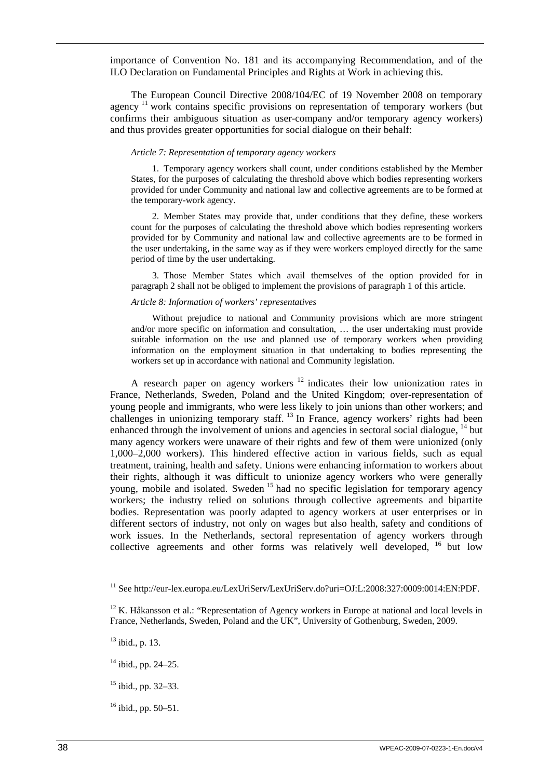importance of Convention No. 181 and its accompanying Recommendation, and of the ILO Declaration on Fundamental Principles and Rights at Work in achieving this.

The European Council Directive 2008/104/EC of 19 November 2008 on temporary agency  $\frac{11}{11}$  work contains specific provisions on representation of temporary workers (but confirms their ambiguous situation as user-company and/or temporary agency workers) and thus provides greater opportunities for social dialogue on their behalf:

#### *Article 7: Representation of temporary agency workers*

1. Temporary agency workers shall count, under conditions established by the Member States, for the purposes of calculating the threshold above which bodies representing workers provided for under Community and national law and collective agreements are to be formed at the temporary-work agency.

2. Member States may provide that, under conditions that they define, these workers count for the purposes of calculating the threshold above which bodies representing workers provided for by Community and national law and collective agreements are to be formed in the user undertaking, in the same way as if they were workers employed directly for the same period of time by the user undertaking.

3. Those Member States which avail themselves of the option provided for in paragraph 2 shall not be obliged to implement the provisions of paragraph 1 of this article.

### *Article 8: Information of workers' representatives*

Without prejudice to national and Community provisions which are more stringent and/or more specific on information and consultation, … the user undertaking must provide suitable information on the use and planned use of temporary workers when providing information on the employment situation in that undertaking to bodies representing the workers set up in accordance with national and Community legislation.

A research paper on agency workers  $12$  indicates their low unionization rates in France, Netherlands, Sweden, Poland and the United Kingdom; over-representation of young people and immigrants, who were less likely to join unions than other workers; and challenges in unionizing temporary staff.  $^{13}$  In France, agency workers' rights had been enhanced through the involvement of unions and agencies in sectoral social dialogue, <sup>14</sup> but many agency workers were unaware of their rights and few of them were unionized (only 1,000–2,000 workers). This hindered effective action in various fields, such as equal treatment, training, health and safety. Unions were enhancing information to workers about their rights, although it was difficult to unionize agency workers who were generally young, mobile and isolated. Sweden <sup>15</sup> had no specific legislation for temporary agency workers; the industry relied on solutions through collective agreements and bipartite bodies. Representation was poorly adapted to agency workers at user enterprises or in different sectors of industry, not only on wages but also health, safety and conditions of work issues. In the Netherlands, sectoral representation of agency workers through collective agreements and other forms was relatively well developed, <sup>16</sup> but low

- $15$  ibid., pp. 32–33.
- $16$  ibid., pp. 50–51.

<sup>&</sup>lt;sup>11</sup> See http://eur-lex.europa.eu/LexUriServ/LexUriServ.do?uri=OJ:L:2008:327:0009:0014:EN:PDF.

 $12$  K. Håkansson et al.: "Representation of Agency workers in Europe at national and local levels in France, Netherlands, Sweden, Poland and the UK", University of Gothenburg, Sweden, 2009.

 $13$  ibid., p. 13.

 $14$  ibid., pp. 24–25.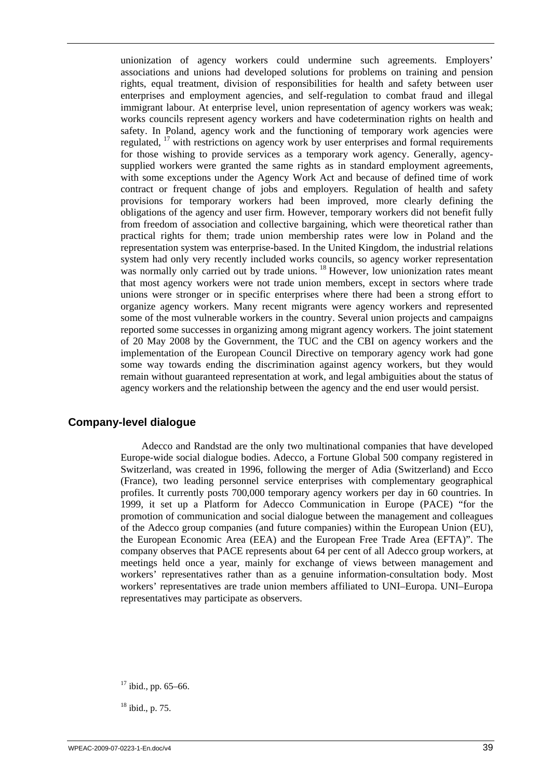unionization of agency workers could undermine such agreements. Employers' associations and unions had developed solutions for problems on training and pension rights, equal treatment, division of responsibilities for health and safety between user enterprises and employment agencies, and self-regulation to combat fraud and illegal immigrant labour. At enterprise level, union representation of agency workers was weak; works councils represent agency workers and have codetermination rights on health and safety. In Poland, agency work and the functioning of temporary work agencies were regulated, <sup>17</sup> with restrictions on agency work by user enterprises and formal requirements for those wishing to provide services as a temporary work agency. Generally, agencysupplied workers were granted the same rights as in standard employment agreements, with some exceptions under the Agency Work Act and because of defined time of work contract or frequent change of jobs and employers. Regulation of health and safety provisions for temporary workers had been improved, more clearly defining the obligations of the agency and user firm. However, temporary workers did not benefit fully from freedom of association and collective bargaining, which were theoretical rather than practical rights for them; trade union membership rates were low in Poland and the representation system was enterprise-based. In the United Kingdom, the industrial relations system had only very recently included works councils, so agency worker representation was normally only carried out by trade unions. <sup>18</sup> However, low unionization rates meant that most agency workers were not trade union members, except in sectors where trade unions were stronger or in specific enterprises where there had been a strong effort to organize agency workers. Many recent migrants were agency workers and represented some of the most vulnerable workers in the country. Several union projects and campaigns reported some successes in organizing among migrant agency workers. The joint statement of 20 May 2008 by the Government, the TUC and the CBI on agency workers and the implementation of the European Council Directive on temporary agency work had gone some way towards ending the discrimination against agency workers, but they would remain without guaranteed representation at work, and legal ambiguities about the status of agency workers and the relationship between the agency and the end user would persist.

## **Company-level dialogue**

Adecco and Randstad are the only two multinational companies that have developed Europe-wide social dialogue bodies. Adecco, a Fortune Global 500 company registered in Switzerland, was created in 1996, following the merger of Adia (Switzerland) and Ecco (France), two leading personnel service enterprises with complementary geographical profiles. It currently posts 700,000 temporary agency workers per day in 60 countries. In 1999, it set up a Platform for Adecco Communication in Europe (PACE) "for the promotion of communication and social dialogue between the management and colleagues of the Adecco group companies (and future companies) within the European Union (EU), the European Economic Area (EEA) and the European Free Trade Area (EFTA)". The company observes that PACE represents about 64 per cent of all Adecco group workers, at meetings held once a year, mainly for exchange of views between management and workers' representatives rather than as a genuine information-consultation body. Most workers' representatives are trade union members affiliated to UNI–Europa. UNI–Europa representatives may participate as observers.

 $17$  ibid., pp. 65–66.

 $18$  ibid., p. 75.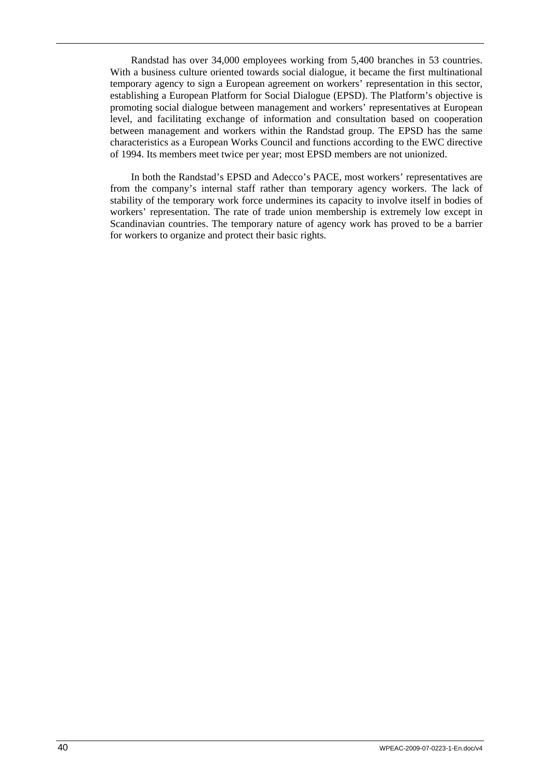Randstad has over 34,000 employees working from 5,400 branches in 53 countries. With a business culture oriented towards social dialogue, it became the first multinational temporary agency to sign a European agreement on workers' representation in this sector, establishing a European Platform for Social Dialogue (EPSD). The Platform's objective is promoting social dialogue between management and workers' representatives at European level, and facilitating exchange of information and consultation based on cooperation between management and workers within the Randstad group. The EPSD has the same characteristics as a European Works Council and functions according to the EWC directive of 1994. Its members meet twice per year; most EPSD members are not unionized.

In both the Randstad's EPSD and Adecco's PACE, most workers' representatives are from the company's internal staff rather than temporary agency workers. The lack of stability of the temporary work force undermines its capacity to involve itself in bodies of workers' representation. The rate of trade union membership is extremely low except in Scandinavian countries. The temporary nature of agency work has proved to be a barrier for workers to organize and protect their basic rights.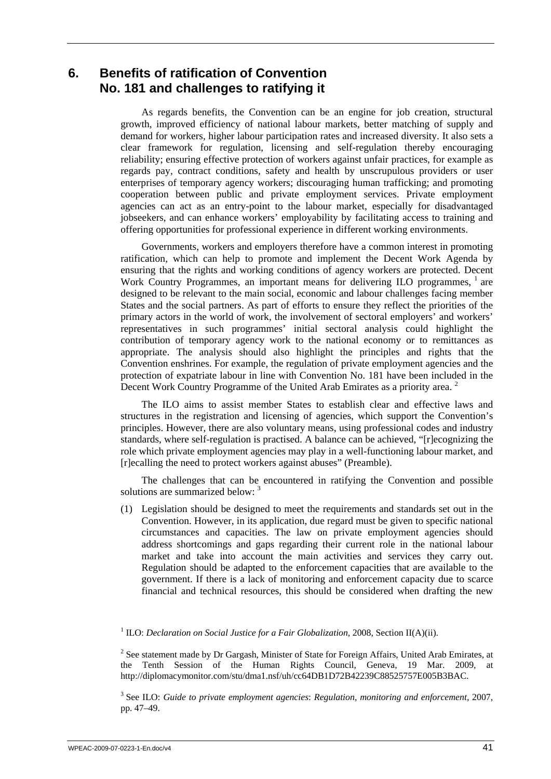## <span id="page-50-0"></span>**6. Benefits of ratification of Convention No. 181 and challenges to ratifying it**

As regards benefits, the Convention can be an engine for job creation, structural growth, improved efficiency of national labour markets, better matching of supply and demand for workers, higher labour participation rates and increased diversity. It also sets a clear framework for regulation, licensing and self-regulation thereby encouraging reliability; ensuring effective protection of workers against unfair practices, for example as regards pay, contract conditions, safety and health by unscrupulous providers or user enterprises of temporary agency workers; discouraging human trafficking; and promoting cooperation between public and private employment services. Private employment agencies can act as an entry-point to the labour market, especially for disadvantaged jobseekers, and can enhance workers' employability by facilitating access to training and offering opportunities for professional experience in different working environments.

Governments, workers and employers therefore have a common interest in promoting ratification, which can help to promote and implement the Decent Work Agenda by ensuring that the rights and working conditions of agency workers are protected. Decent Work Country Programmes, an important means for delivering ILO programmes, <sup>1</sup> are designed to be relevant to the main social, economic and labour challenges facing member States and the social partners. As part of efforts to ensure they reflect the priorities of the primary actors in the world of work, the involvement of sectoral employers' and workers' representatives in such programmes' initial sectoral analysis could highlight the contribution of temporary agency work to the national economy or to remittances as appropriate. The analysis should also highlight the principles and rights that the Convention enshrines. For example, the regulation of private employment agencies and the protection of expatriate labour in line with Convention No. 181 have been included in the Decent Work Country Programme of the United Arab Emirates as a priority area.<sup>2</sup>

The ILO aims to assist member States to establish clear and effective laws and structures in the registration and licensing of agencies, which support the Convention's principles. However, there are also voluntary means, using professional codes and industry standards, where self-regulation is practised. A balance can be achieved, "[r]ecognizing the role which private employment agencies may play in a well-functioning labour market, and [r]ecalling the need to protect workers against abuses" (Preamble).

The challenges that can be encountered in ratifying the Convention and possible solutions are summarized below: <sup>3</sup>

(1) Legislation should be designed to meet the requirements and standards set out in the Convention. However, in its application, due regard must be given to specific national circumstances and capacities. The law on private employment agencies should address shortcomings and gaps regarding their current role in the national labour market and take into account the main activities and services they carry out. Regulation should be adapted to the enforcement capacities that are available to the government. If there is a lack of monitoring and enforcement capacity due to scarce financial and technical resources, this should be considered when drafting the new

### <sup>1</sup> ILO: *Declaration on Social Justice for a Fair Globalization*, 2008, Section II(A)(ii).

 $2^2$  See statement made by Dr Gargash, Minister of State for Foreign Affairs, United Arab Emirates, at the Tenth Session of the Human Rights Council, Geneva, 19 Mar. 2009, at http://diplomacymonitor.com/stu/dma1.nsf/uh/cc64DB1D72B42239C88525757E005B3BAC.

3 See ILO: *Guide to private employment agencies*: *Regulation, monitoring and enforcement*, 2007, pp. 47–49.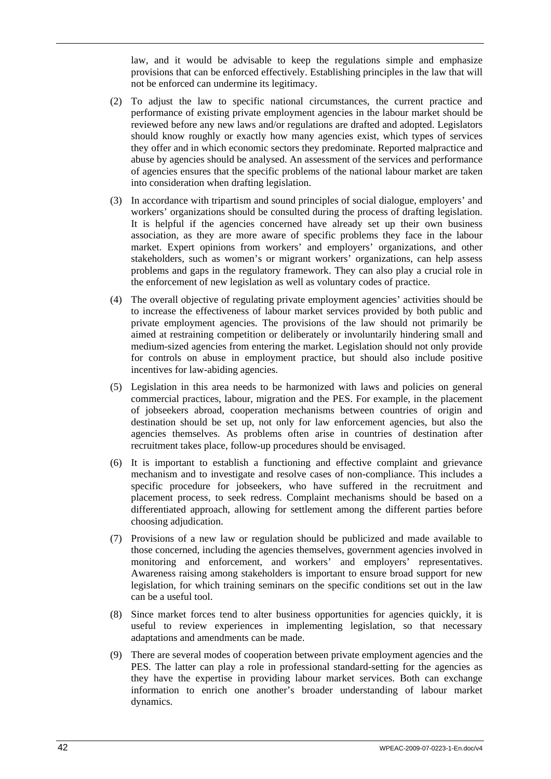law, and it would be advisable to keep the regulations simple and emphasize provisions that can be enforced effectively. Establishing principles in the law that will not be enforced can undermine its legitimacy.

- (2) To adjust the law to specific national circumstances, the current practice and performance of existing private employment agencies in the labour market should be reviewed before any new laws and/or regulations are drafted and adopted. Legislators should know roughly or exactly how many agencies exist, which types of services they offer and in which economic sectors they predominate. Reported malpractice and abuse by agencies should be analysed. An assessment of the services and performance of agencies ensures that the specific problems of the national labour market are taken into consideration when drafting legislation.
- (3) In accordance with tripartism and sound principles of social dialogue, employers' and workers' organizations should be consulted during the process of drafting legislation. It is helpful if the agencies concerned have already set up their own business association, as they are more aware of specific problems they face in the labour market. Expert opinions from workers' and employers' organizations, and other stakeholders, such as women's or migrant workers' organizations, can help assess problems and gaps in the regulatory framework. They can also play a crucial role in the enforcement of new legislation as well as voluntary codes of practice.
- (4) The overall objective of regulating private employment agencies' activities should be to increase the effectiveness of labour market services provided by both public and private employment agencies. The provisions of the law should not primarily be aimed at restraining competition or deliberately or involuntarily hindering small and medium-sized agencies from entering the market. Legislation should not only provide for controls on abuse in employment practice, but should also include positive incentives for law-abiding agencies.
- (5) Legislation in this area needs to be harmonized with laws and policies on general commercial practices, labour, migration and the PES. For example, in the placement of jobseekers abroad, cooperation mechanisms between countries of origin and destination should be set up, not only for law enforcement agencies, but also the agencies themselves. As problems often arise in countries of destination after recruitment takes place, follow-up procedures should be envisaged.
- (6) It is important to establish a functioning and effective complaint and grievance mechanism and to investigate and resolve cases of non-compliance. This includes a specific procedure for jobseekers, who have suffered in the recruitment and placement process, to seek redress. Complaint mechanisms should be based on a differentiated approach, allowing for settlement among the different parties before choosing adjudication.
- (7) Provisions of a new law or regulation should be publicized and made available to those concerned, including the agencies themselves, government agencies involved in monitoring and enforcement, and workers' and employers' representatives. Awareness raising among stakeholders is important to ensure broad support for new legislation, for which training seminars on the specific conditions set out in the law can be a useful tool.
- (8) Since market forces tend to alter business opportunities for agencies quickly, it is useful to review experiences in implementing legislation, so that necessary adaptations and amendments can be made.
- (9) There are several modes of cooperation between private employment agencies and the PES. The latter can play a role in professional standard-setting for the agencies as they have the expertise in providing labour market services. Both can exchange information to enrich one another's broader understanding of labour market dynamics.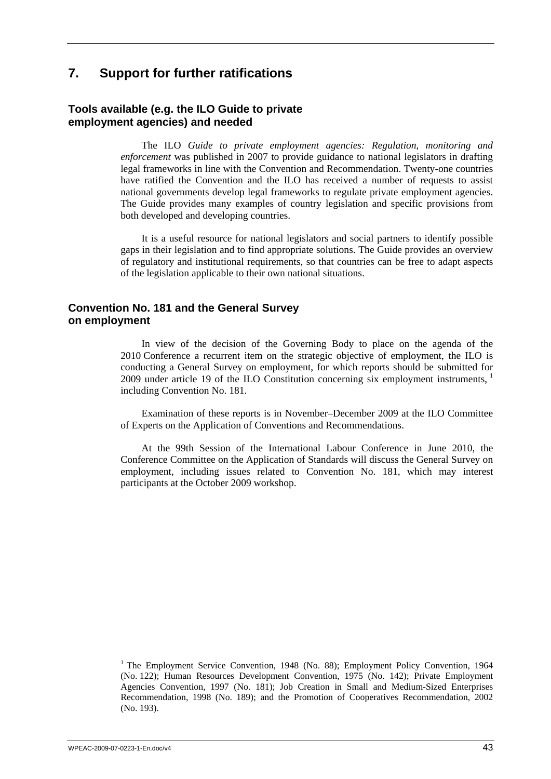## <span id="page-52-0"></span>**7. Support for further ratifications**

## **Tools available (e.g. the ILO Guide to private employment agencies) and needed**

The ILO *Guide to private employment agencies: Regulation, monitoring and enforcement* was published in 2007 to provide guidance to national legislators in drafting legal frameworks in line with the Convention and Recommendation. Twenty-one countries have ratified the Convention and the ILO has received a number of requests to assist national governments develop legal frameworks to regulate private employment agencies. The Guide provides many examples of country legislation and specific provisions from both developed and developing countries.

It is a useful resource for national legislators and social partners to identify possible gaps in their legislation and to find appropriate solutions. The Guide provides an overview of regulatory and institutional requirements, so that countries can be free to adapt aspects of the legislation applicable to their own national situations.

## **Convention No. 181 and the General Survey on employment**

In view of the decision of the Governing Body to place on the agenda of the 2010 Conference a recurrent item on the strategic objective of employment, the ILO is conducting a General Survey on employment, for which reports should be submitted for 2009 under article 19 of the ILO Constitution concerning six employment instruments, <sup>1</sup> including Convention No. 181.

Examination of these reports is in November–December 2009 at the ILO Committee of Experts on the Application of Conventions and Recommendations.

At the 99th Session of the International Labour Conference in June 2010, the Conference Committee on the Application of Standards will discuss the General Survey on employment, including issues related to Convention No. 181, which may interest participants at the October 2009 workshop.

<sup>1</sup> The Employment Service Convention, 1948 (No. 88); Employment Policy Convention, 1964 (No. 122); Human Resources Development Convention, 1975 (No. 142); Private Employment Agencies Convention, 1997 (No. 181); Job Creation in Small and Medium-Sized Enterprises Recommendation, 1998 (No. 189); and the Promotion of Cooperatives Recommendation, 2002 (No. 193).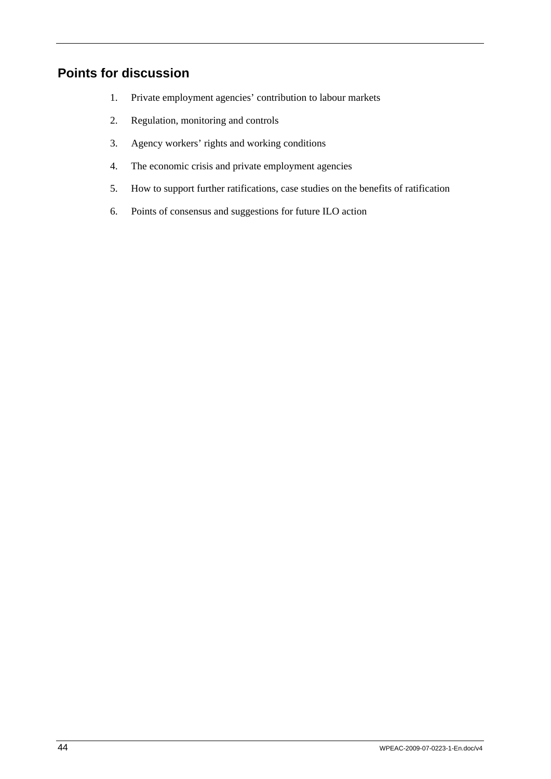# <span id="page-53-0"></span>**Points for discussion**

- 1. Private employment agencies' contribution to labour markets
- 2. Regulation, monitoring and controls
- 3. Agency workers' rights and working conditions
- 4. The economic crisis and private employment agencies
- 5. How to support further ratifications, case studies on the benefits of ratification
- 6. Points of consensus and suggestions for future ILO action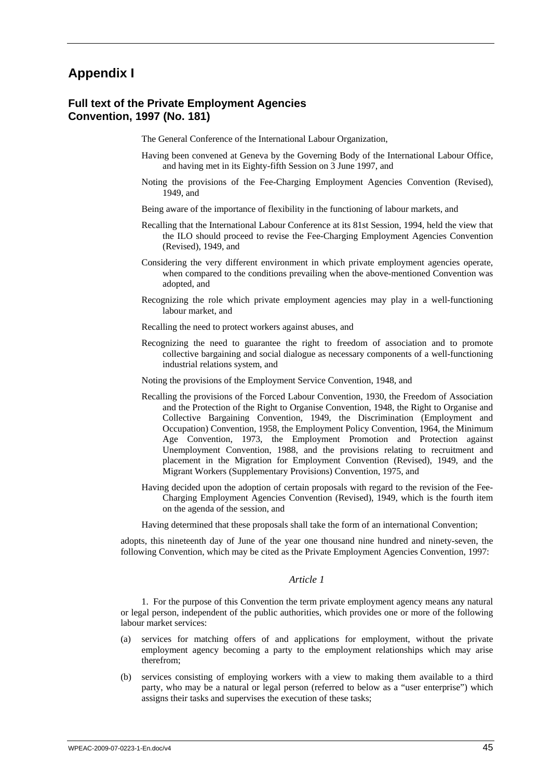# <span id="page-54-0"></span>**Appendix I**

### **Full text of the Private Employment Agencies Convention, 1997 (No. 181)**

The General Conference of the International Labour Organization,

- Having been convened at Geneva by the Governing Body of the International Labour Office, and having met in its Eighty-fifth Session on 3 June 1997, and
- Noting the provisions of the Fee-Charging Employment Agencies Convention (Revised), 1949, and
- Being aware of the importance of flexibility in the functioning of labour markets, and
- Recalling that the International Labour Conference at its 81st Session, 1994, held the view that the ILO should proceed to revise the Fee-Charging Employment Agencies Convention (Revised), 1949, and
- Considering the very different environment in which private employment agencies operate, when compared to the conditions prevailing when the above-mentioned Convention was adopted, and
- Recognizing the role which private employment agencies may play in a well-functioning labour market, and
- Recalling the need to protect workers against abuses, and
- Recognizing the need to guarantee the right to freedom of association and to promote collective bargaining and social dialogue as necessary components of a well-functioning industrial relations system, and
- Noting the provisions of the Employment Service Convention, 1948, and
- Recalling the provisions of the Forced Labour Convention, 1930, the Freedom of Association and the Protection of the Right to Organise Convention, 1948, the Right to Organise and Collective Bargaining Convention, 1949, the Discrimination (Employment and Occupation) Convention, 1958, the Employment Policy Convention, 1964, the Minimum Age Convention, 1973, the Employment Promotion and Protection against Unemployment Convention, 1988, and the provisions relating to recruitment and placement in the Migration for Employment Convention (Revised), 1949, and the Migrant Workers (Supplementary Provisions) Convention, 1975, and
- Having decided upon the adoption of certain proposals with regard to the revision of the Fee-Charging Employment Agencies Convention (Revised), 1949, which is the fourth item on the agenda of the session, and

Having determined that these proposals shall take the form of an international Convention;

adopts, this nineteenth day of June of the year one thousand nine hundred and ninety-seven, the following Convention, which may be cited as the Private Employment Agencies Convention, 1997:

#### *Article 1*

1. For the purpose of this Convention the term private employment agency means any natural or legal person, independent of the public authorities, which provides one or more of the following labour market services:

- (a) services for matching offers of and applications for employment, without the private employment agency becoming a party to the employment relationships which may arise therefrom;
- (b) services consisting of employing workers with a view to making them available to a third party, who may be a natural or legal person (referred to below as a "user enterprise") which assigns their tasks and supervises the execution of these tasks;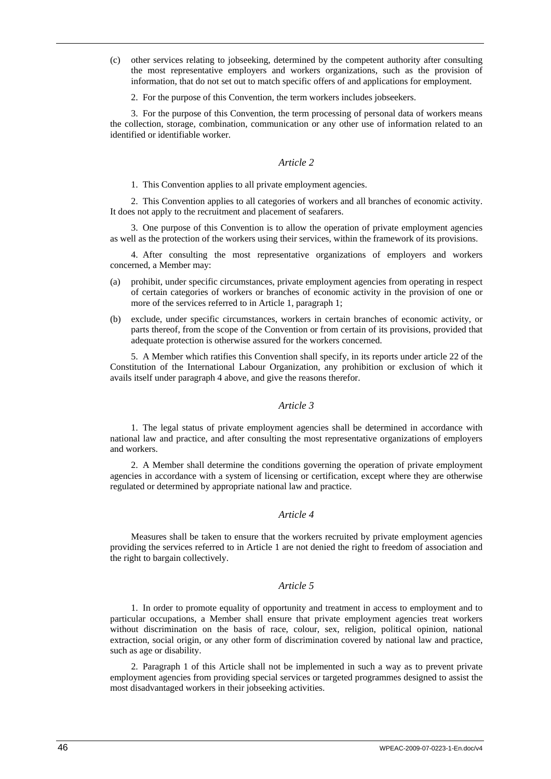- (c) other services relating to jobseeking, determined by the competent authority after consulting the most representative employers and workers organizations, such as the provision of information, that do not set out to match specific offers of and applications for employment.
	- 2. For the purpose of this Convention, the term workers includes jobseekers.

3. For the purpose of this Convention, the term processing of personal data of workers means the collection, storage, combination, communication or any other use of information related to an identified or identifiable worker.

#### *Article 2*

1. This Convention applies to all private employment agencies.

2. This Convention applies to all categories of workers and all branches of economic activity. It does not apply to the recruitment and placement of seafarers.

3. One purpose of this Convention is to allow the operation of private employment agencies as well as the protection of the workers using their services, within the framework of its provisions.

4. After consulting the most representative organizations of employers and workers concerned, a Member may:

- (a) prohibit, under specific circumstances, private employment agencies from operating in respect of certain categories of workers or branches of economic activity in the provision of one or more of the services referred to in Article 1, paragraph 1;
- (b) exclude, under specific circumstances, workers in certain branches of economic activity, or parts thereof, from the scope of the Convention or from certain of its provisions, provided that adequate protection is otherwise assured for the workers concerned.

5. A Member which ratifies this Convention shall specify, in its reports under article 22 of the Constitution of the International Labour Organization, any prohibition or exclusion of which it avails itself under paragraph 4 above, and give the reasons therefor.

#### *Article 3*

1. The legal status of private employment agencies shall be determined in accordance with national law and practice, and after consulting the most representative organizations of employers and workers.

2. A Member shall determine the conditions governing the operation of private employment agencies in accordance with a system of licensing or certification, except where they are otherwise regulated or determined by appropriate national law and practice.

#### *Article 4*

Measures shall be taken to ensure that the workers recruited by private employment agencies providing the services referred to in Article 1 are not denied the right to freedom of association and the right to bargain collectively.

#### *Article 5*

1. In order to promote equality of opportunity and treatment in access to employment and to particular occupations, a Member shall ensure that private employment agencies treat workers without discrimination on the basis of race, colour, sex, religion, political opinion, national extraction, social origin, or any other form of discrimination covered by national law and practice, such as age or disability.

2. Paragraph 1 of this Article shall not be implemented in such a way as to prevent private employment agencies from providing special services or targeted programmes designed to assist the most disadvantaged workers in their jobseeking activities.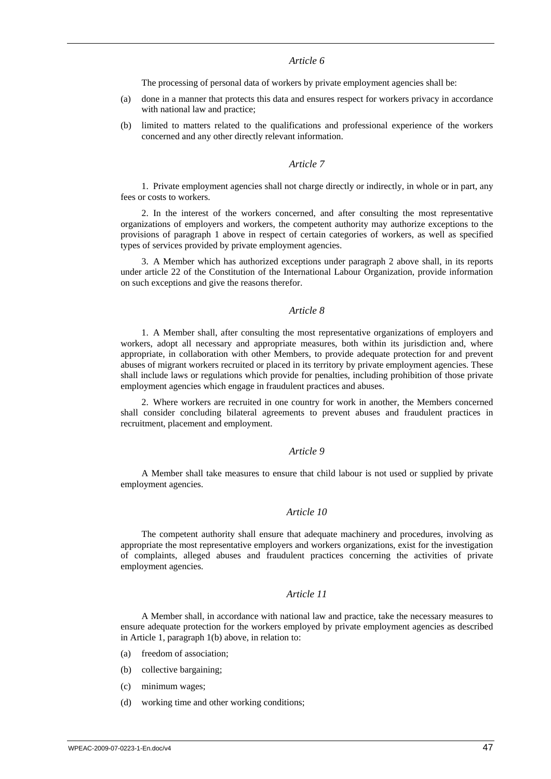#### *Article 6*

The processing of personal data of workers by private employment agencies shall be:

- (a) done in a manner that protects this data and ensures respect for workers privacy in accordance with national law and practice;
- (b) limited to matters related to the qualifications and professional experience of the workers concerned and any other directly relevant information.

#### *Article 7*

1. Private employment agencies shall not charge directly or indirectly, in whole or in part, any fees or costs to workers.

2. In the interest of the workers concerned, and after consulting the most representative organizations of employers and workers, the competent authority may authorize exceptions to the provisions of paragraph 1 above in respect of certain categories of workers, as well as specified types of services provided by private employment agencies.

3. A Member which has authorized exceptions under paragraph 2 above shall, in its reports under article 22 of the Constitution of the International Labour Organization, provide information on such exceptions and give the reasons therefor.

#### *Article 8*

1. A Member shall, after consulting the most representative organizations of employers and workers, adopt all necessary and appropriate measures, both within its jurisdiction and, where appropriate, in collaboration with other Members, to provide adequate protection for and prevent abuses of migrant workers recruited or placed in its territory by private employment agencies. These shall include laws or regulations which provide for penalties, including prohibition of those private employment agencies which engage in fraudulent practices and abuses.

2. Where workers are recruited in one country for work in another, the Members concerned shall consider concluding bilateral agreements to prevent abuses and fraudulent practices in recruitment, placement and employment.

#### *Article 9*

A Member shall take measures to ensure that child labour is not used or supplied by private employment agencies.

### *Article 10*

The competent authority shall ensure that adequate machinery and procedures, involving as appropriate the most representative employers and workers organizations, exist for the investigation of complaints, alleged abuses and fraudulent practices concerning the activities of private employment agencies.

### *Article 11*

A Member shall, in accordance with national law and practice, take the necessary measures to ensure adequate protection for the workers employed by private employment agencies as described in Article 1, paragraph 1(b) above, in relation to:

- (a) freedom of association;
- (b) collective bargaining;
- (c) minimum wages;
- (d) working time and other working conditions;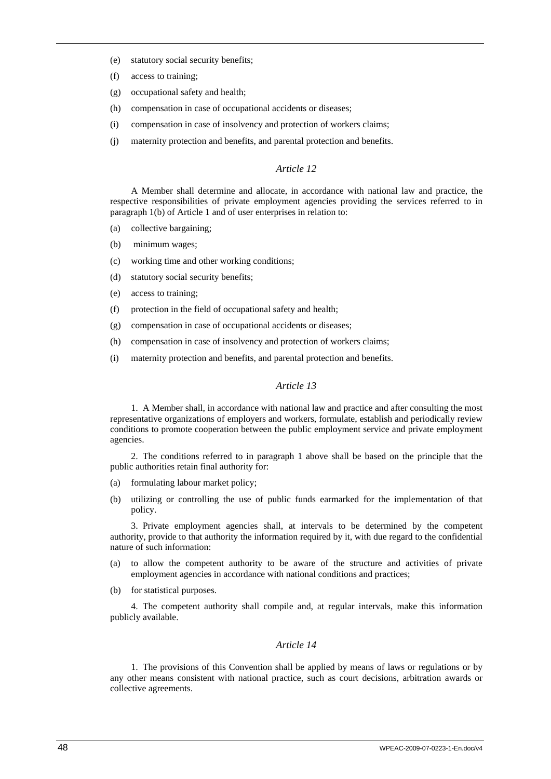- (e) statutory social security benefits;
- (f) access to training;
- (g) occupational safety and health;
- (h) compensation in case of occupational accidents or diseases;
- (i) compensation in case of insolvency and protection of workers claims;
- (j) maternity protection and benefits, and parental protection and benefits.

### *Article 12*

A Member shall determine and allocate, in accordance with national law and practice, the respective responsibilities of private employment agencies providing the services referred to in paragraph 1(b) of Article 1 and of user enterprises in relation to:

- (a) collective bargaining;
- (b) minimum wages;
- (c) working time and other working conditions;
- (d) statutory social security benefits;
- (e) access to training;
- (f) protection in the field of occupational safety and health;
- (g) compensation in case of occupational accidents or diseases;
- (h) compensation in case of insolvency and protection of workers claims;
- (i) maternity protection and benefits, and parental protection and benefits.

#### *Article 13*

1. A Member shall, in accordance with national law and practice and after consulting the most representative organizations of employers and workers, formulate, establish and periodically review conditions to promote cooperation between the public employment service and private employment agencies.

2. The conditions referred to in paragraph 1 above shall be based on the principle that the public authorities retain final authority for:

- (a) formulating labour market policy;
- (b) utilizing or controlling the use of public funds earmarked for the implementation of that policy.

3. Private employment agencies shall, at intervals to be determined by the competent authority, provide to that authority the information required by it, with due regard to the confidential nature of such information:

- (a) to allow the competent authority to be aware of the structure and activities of private employment agencies in accordance with national conditions and practices;
- (b) for statistical purposes.

4. The competent authority shall compile and, at regular intervals, make this information publicly available.

#### *Article 14*

1. The provisions of this Convention shall be applied by means of laws or regulations or by any other means consistent with national practice, such as court decisions, arbitration awards or collective agreements.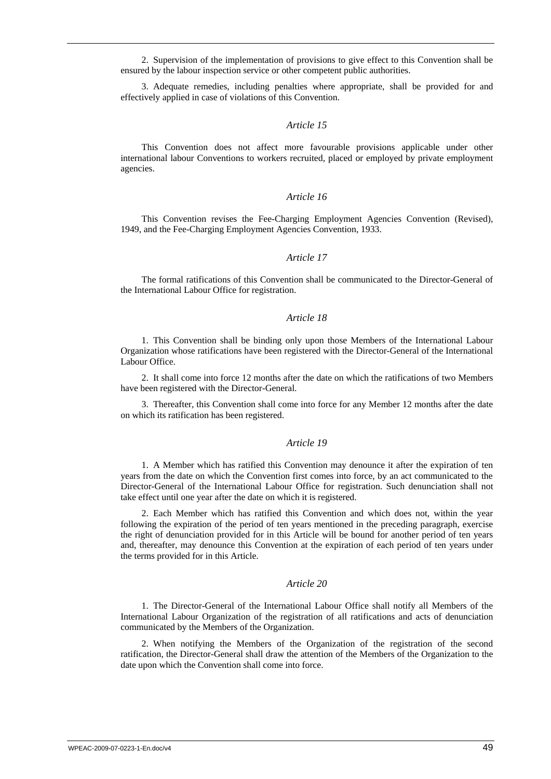2. Supervision of the implementation of provisions to give effect to this Convention shall be ensured by the labour inspection service or other competent public authorities.

3. Adequate remedies, including penalties where appropriate, shall be provided for and effectively applied in case of violations of this Convention.

#### *Article 15*

This Convention does not affect more favourable provisions applicable under other international labour Conventions to workers recruited, placed or employed by private employment agencies.

#### *Article 16*

This Convention revises the Fee-Charging Employment Agencies Convention (Revised), 1949, and the Fee-Charging Employment Agencies Convention, 1933.

#### *Article 17*

The formal ratifications of this Convention shall be communicated to the Director-General of the International Labour Office for registration.

#### *Article 18*

1. This Convention shall be binding only upon those Members of the International Labour Organization whose ratifications have been registered with the Director-General of the International Labour Office.

2. It shall come into force 12 months after the date on which the ratifications of two Members have been registered with the Director-General.

3. Thereafter, this Convention shall come into force for any Member 12 months after the date on which its ratification has been registered.

#### *Article 19*

1. A Member which has ratified this Convention may denounce it after the expiration of ten years from the date on which the Convention first comes into force, by an act communicated to the Director-General of the International Labour Office for registration. Such denunciation shall not take effect until one year after the date on which it is registered.

2. Each Member which has ratified this Convention and which does not, within the year following the expiration of the period of ten years mentioned in the preceding paragraph, exercise the right of denunciation provided for in this Article will be bound for another period of ten years and, thereafter, may denounce this Convention at the expiration of each period of ten years under the terms provided for in this Article.

#### *Article 20*

1. The Director-General of the International Labour Office shall notify all Members of the International Labour Organization of the registration of all ratifications and acts of denunciation communicated by the Members of the Organization.

2. When notifying the Members of the Organization of the registration of the second ratification, the Director-General shall draw the attention of the Members of the Organization to the date upon which the Convention shall come into force.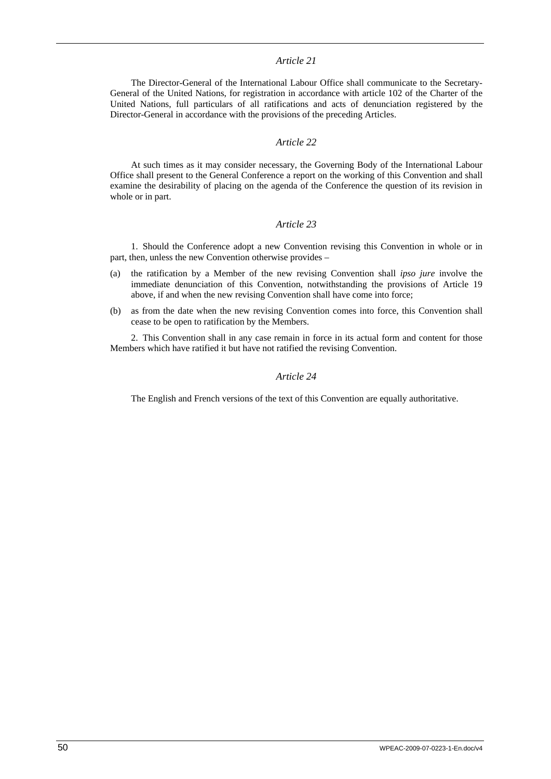#### *Article 21*

The Director-General of the International Labour Office shall communicate to the Secretary-General of the United Nations, for registration in accordance with article 102 of the Charter of the United Nations, full particulars of all ratifications and acts of denunciation registered by the Director-General in accordance with the provisions of the preceding Articles.

#### *Article 22*

At such times as it may consider necessary, the Governing Body of the International Labour Office shall present to the General Conference a report on the working of this Convention and shall examine the desirability of placing on the agenda of the Conference the question of its revision in whole or in part.

#### *Article 23*

1. Should the Conference adopt a new Convention revising this Convention in whole or in part, then, unless the new Convention otherwise provides –

- (a) the ratification by a Member of the new revising Convention shall *ipso jure* involve the immediate denunciation of this Convention, notwithstanding the provisions of Article 19 above, if and when the new revising Convention shall have come into force;
- (b) as from the date when the new revising Convention comes into force, this Convention shall cease to be open to ratification by the Members.

2. This Convention shall in any case remain in force in its actual form and content for those Members which have ratified it but have not ratified the revising Convention.

#### *Article 24*

The English and French versions of the text of this Convention are equally authoritative.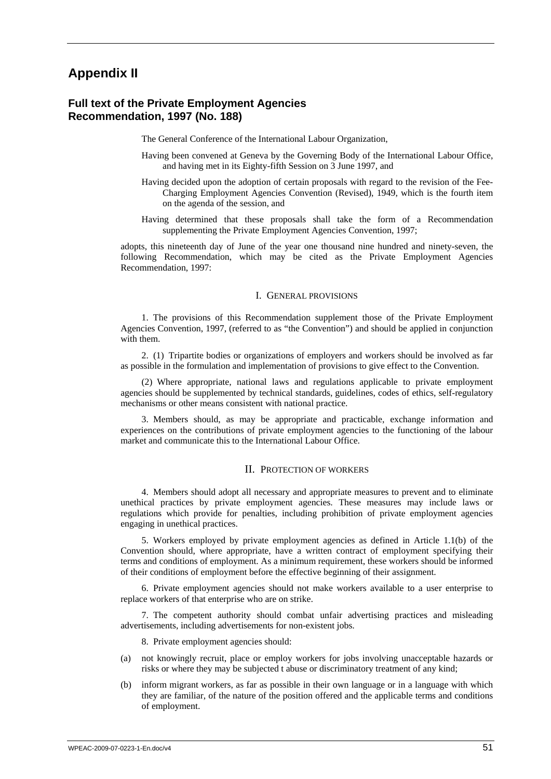## <span id="page-60-0"></span>**Appendix II**

### **Full text of the Private Employment Agencies Recommendation, 1997 (No. 188)**

The General Conference of the International Labour Organization,

- Having been convened at Geneva by the Governing Body of the International Labour Office, and having met in its Eighty-fifth Session on 3 June 1997, and
- Having decided upon the adoption of certain proposals with regard to the revision of the Fee-Charging Employment Agencies Convention (Revised), 1949, which is the fourth item on the agenda of the session, and
- Having determined that these proposals shall take the form of a Recommendation supplementing the Private Employment Agencies Convention, 1997;

adopts, this nineteenth day of June of the year one thousand nine hundred and ninety-seven, the following Recommendation, which may be cited as the Private Employment Agencies Recommendation, 1997:

#### I. GENERAL PROVISIONS

1. The provisions of this Recommendation supplement those of the Private Employment Agencies Convention, 1997, (referred to as "the Convention") and should be applied in conjunction with them.

2. (1) Tripartite bodies or organizations of employers and workers should be involved as far as possible in the formulation and implementation of provisions to give effect to the Convention.

(2) Where appropriate, national laws and regulations applicable to private employment agencies should be supplemented by technical standards, guidelines, codes of ethics, self-regulatory mechanisms or other means consistent with national practice.

3. Members should, as may be appropriate and practicable, exchange information and experiences on the contributions of private employment agencies to the functioning of the labour market and communicate this to the International Labour Office.

#### II. PROTECTION OF WORKERS

4. Members should adopt all necessary and appropriate measures to prevent and to eliminate unethical practices by private employment agencies. These measures may include laws or regulations which provide for penalties, including prohibition of private employment agencies engaging in unethical practices.

5. Workers employed by private employment agencies as defined in Article 1.1(b) of the Convention should, where appropriate, have a written contract of employment specifying their terms and conditions of employment. As a minimum requirement, these workers should be informed of their conditions of employment before the effective beginning of their assignment.

6. Private employment agencies should not make workers available to a user enterprise to replace workers of that enterprise who are on strike.

7. The competent authority should combat unfair advertising practices and misleading advertisements, including advertisements for non-existent jobs.

8. Private employment agencies should:

- (a) not knowingly recruit, place or employ workers for jobs involving unacceptable hazards or risks or where they may be subjected t abuse or discriminatory treatment of any kind;
- (b) inform migrant workers, as far as possible in their own language or in a language with which they are familiar, of the nature of the position offered and the applicable terms and conditions of employment.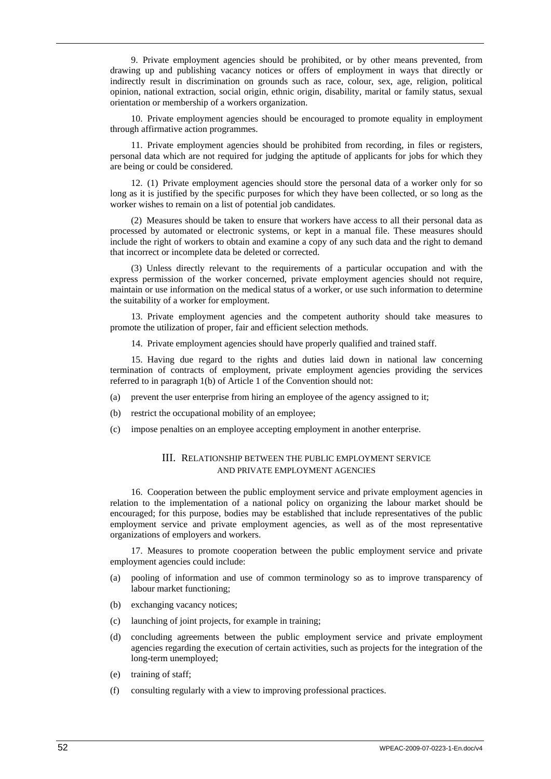9. Private employment agencies should be prohibited, or by other means prevented, from drawing up and publishing vacancy notices or offers of employment in ways that directly or indirectly result in discrimination on grounds such as race, colour, sex, age, religion, political opinion, national extraction, social origin, ethnic origin, disability, marital or family status, sexual orientation or membership of a workers organization.

10. Private employment agencies should be encouraged to promote equality in employment through affirmative action programmes.

11. Private employment agencies should be prohibited from recording, in files or registers, personal data which are not required for judging the aptitude of applicants for jobs for which they are being or could be considered.

12. (1) Private employment agencies should store the personal data of a worker only for so long as it is justified by the specific purposes for which they have been collected, or so long as the worker wishes to remain on a list of potential job candidates.

(2) Measures should be taken to ensure that workers have access to all their personal data as processed by automated or electronic systems, or kept in a manual file. These measures should include the right of workers to obtain and examine a copy of any such data and the right to demand that incorrect or incomplete data be deleted or corrected.

(3) Unless directly relevant to the requirements of a particular occupation and with the express permission of the worker concerned, private employment agencies should not require, maintain or use information on the medical status of a worker, or use such information to determine the suitability of a worker for employment.

13. Private employment agencies and the competent authority should take measures to promote the utilization of proper, fair and efficient selection methods.

14. Private employment agencies should have properly qualified and trained staff.

15. Having due regard to the rights and duties laid down in national law concerning termination of contracts of employment, private employment agencies providing the services referred to in paragraph 1(b) of Article 1 of the Convention should not:

- (a) prevent the user enterprise from hiring an employee of the agency assigned to it;
- (b) restrict the occupational mobility of an employee;
- (c) impose penalties on an employee accepting employment in another enterprise.

### III. RELATIONSHIP BETWEEN THE PUBLIC EMPLOYMENT SERVICE AND PRIVATE EMPLOYMENT AGENCIES

16. Cooperation between the public employment service and private employment agencies in relation to the implementation of a national policy on organizing the labour market should be encouraged; for this purpose, bodies may be established that include representatives of the public employment service and private employment agencies, as well as of the most representative organizations of employers and workers.

17. Measures to promote cooperation between the public employment service and private employment agencies could include:

- (a) pooling of information and use of common terminology so as to improve transparency of labour market functioning;
- (b) exchanging vacancy notices;
- (c) launching of joint projects, for example in training;
- (d) concluding agreements between the public employment service and private employment agencies regarding the execution of certain activities, such as projects for the integration of the long-term unemployed;
- (e) training of staff;
- (f) consulting regularly with a view to improving professional practices.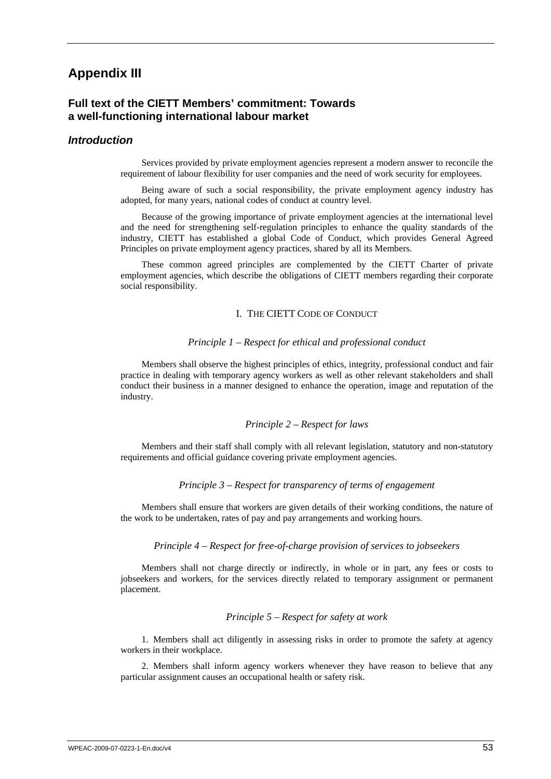## <span id="page-62-0"></span>**Appendix III**

### **Full text of the CIETT Members' commitment: Towards a well-functioning international labour market**

### *Introduction*

Services provided by private employment agencies represent a modern answer to reconcile the requirement of labour flexibility for user companies and the need of work security for employees.

Being aware of such a social responsibility, the private employment agency industry has adopted, for many years, national codes of conduct at country level.

Because of the growing importance of private employment agencies at the international level and the need for strengthening self-regulation principles to enhance the quality standards of the industry, CIETT has established a global Code of Conduct, which provides General Agreed Principles on private employment agency practices, shared by all its Members.

These common agreed principles are complemented by the CIETT Charter of private employment agencies, which describe the obligations of CIETT members regarding their corporate social responsibility.

#### I. THE CIETT CODE OF CONDUCT

#### *Principle 1 – Respect for ethical and professional conduct*

Members shall observe the highest principles of ethics, integrity, professional conduct and fair practice in dealing with temporary agency workers as well as other relevant stakeholders and shall conduct their business in a manner designed to enhance the operation, image and reputation of the industry.

#### *Principle 2 – Respect for laws*

Members and their staff shall comply with all relevant legislation, statutory and non-statutory requirements and official guidance covering private employment agencies.

#### *Principle 3 – Respect for transparency of terms of engagement*

Members shall ensure that workers are given details of their working conditions, the nature of the work to be undertaken, rates of pay and pay arrangements and working hours.

#### *Principle 4 – Respect for free-of-charge provision of services to jobseekers*

Members shall not charge directly or indirectly, in whole or in part, any fees or costs to jobseekers and workers, for the services directly related to temporary assignment or permanent placement.

#### *Principle 5 – Respect for safety at work*

1. Members shall act diligently in assessing risks in order to promote the safety at agency workers in their workplace.

2. Members shall inform agency workers whenever they have reason to believe that any particular assignment causes an occupational health or safety risk.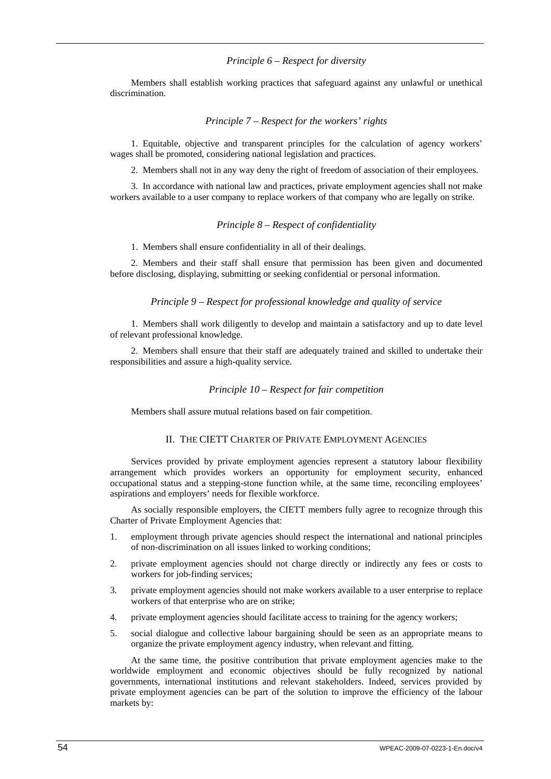#### *Principle 6 – Respect for diversity*

<span id="page-63-0"></span>Members shall establish working practices that safeguard against any unlawful or unethical discrimination.

#### *Principle 7 – Respect for the workers' rights*

1. Equitable, objective and transparent principles for the calculation of agency workers' wages shall be promoted, considering national legislation and practices.

2. Members shall not in any way deny the right of freedom of association of their employees.

3. In accordance with national law and practices, private employment agencies shall not make workers available to a user company to replace workers of that company who are legally on strike.

#### *Principle 8 – Respect of confidentiality*

1. Members shall ensure confidentiality in all of their dealings.

2. Members and their staff shall ensure that permission has been given and documented before disclosing, displaying, submitting or seeking confidential or personal information.

#### *Principle 9 – Respect for professional knowledge and quality of service*

1. Members shall work diligently to develop and maintain a satisfactory and up to date level of relevant professional knowledge.

2. Members shall ensure that their staff are adequately trained and skilled to undertake their responsibilities and assure a high-quality service.

#### *Principle 10 – Respect for fair competition*

Members shall assure mutual relations based on fair competition.

#### II. THE CIETT CHARTER OF PRIVATE EMPLOYMENT AGENCIES

Services provided by private employment agencies represent a statutory labour flexibility arrangement which provides workers an opportunity for employment security, enhanced occupational status and a stepping-stone function while, at the same time, reconciling employees' aspirations and employers' needs for flexible workforce.

As socially responsible employers, the CIETT members fully agree to recognize through this Charter of Private Employment Agencies that:

- 1. employment through private agencies should respect the international and national principles of non-discrimination on all issues linked to working conditions;
- 2. private employment agencies should not charge directly or indirectly any fees or costs to workers for job-finding services;
- 3. private employment agencies should not make workers available to a user enterprise to replace workers of that enterprise who are on strike;
- 4. private employment agencies should facilitate access to training for the agency workers;
- 5. social dialogue and collective labour bargaining should be seen as an appropriate means to organize the private employment agency industry, when relevant and fitting.

At the same time, the positive contribution that private employment agencies make to the worldwide employment and economic objectives should be fully recognized by national governments, international institutions and relevant stakeholders. Indeed, services provided by private employment agencies can be part of the solution to improve the efficiency of the labour markets by: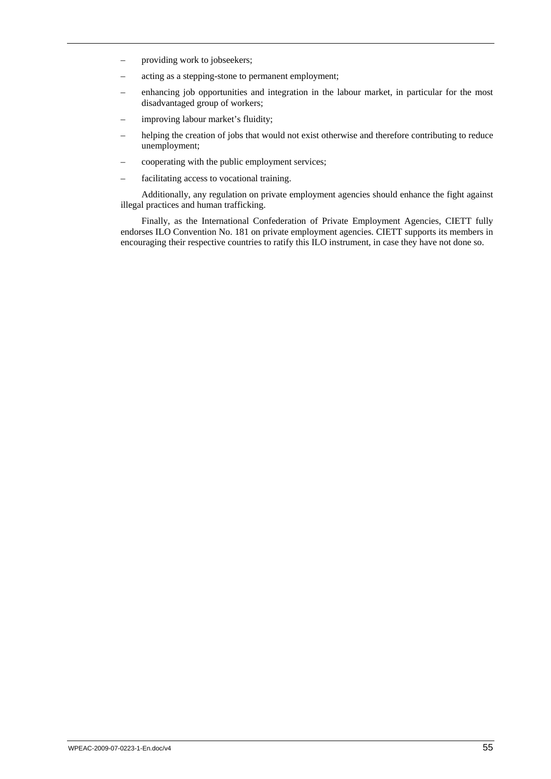- providing work to jobseekers;
- acting as a stepping-stone to permanent employment;
- enhancing job opportunities and integration in the labour market, in particular for the most disadvantaged group of workers;
- improving labour market's fluidity;
- helping the creation of jobs that would not exist otherwise and therefore contributing to reduce unemployment;
- cooperating with the public employment services;
- facilitating access to vocational training.

Additionally, any regulation on private employment agencies should enhance the fight against illegal practices and human trafficking.

Finally, as the International Confederation of Private Employment Agencies, CIETT fully endorses ILO Convention No. 181 on private employment agencies. CIETT supports its members in encouraging their respective countries to ratify this ILO instrument, in case they have not done so.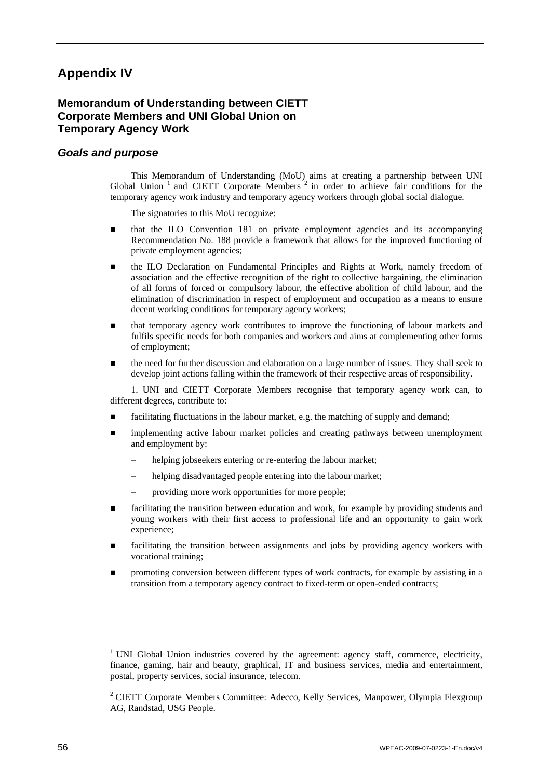# <span id="page-65-0"></span>**Appendix IV**

## **Memorandum of Understanding between CIETT Corporate Members and UNI Global Union on Temporary Agency Work**

## *Goals and purpose*

This Memorandum of Understanding (MoU) aims at creating a partnership between UNI Global Union<sup>1</sup> and CIETT Corporate Members<sup>2</sup> in order to achieve fair conditions for the temporary agency work industry and temporary agency workers through global social dialogue.

The signatories to this MoU recognize:

- that the ILO Convention 181 on private employment agencies and its accompanying Recommendation No. 188 provide a framework that allows for the improved functioning of private employment agencies;
- the ILO Declaration on Fundamental Principles and Rights at Work, namely freedom of association and the effective recognition of the right to collective bargaining, the elimination of all forms of forced or compulsory labour, the effective abolition of child labour, and the elimination of discrimination in respect of employment and occupation as a means to ensure decent working conditions for temporary agency workers;
- that temporary agency work contributes to improve the functioning of labour markets and fulfils specific needs for both companies and workers and aims at complementing other forms of employment;
- the need for further discussion and elaboration on a large number of issues. They shall seek to develop joint actions falling within the framework of their respective areas of responsibility.

1. UNI and CIETT Corporate Members recognise that temporary agency work can, to different degrees, contribute to:

- **facilitating fluctuations in the labour market, e.g. the matching of supply and demand;**
- **In** implementing active labour market policies and creating pathways between unemployment and employment by:
	- helping jobseekers entering or re-entering the labour market;
	- helping disadvantaged people entering into the labour market;
	- providing more work opportunities for more people;
- facilitating the transition between education and work, for example by providing students and young workers with their first access to professional life and an opportunity to gain work experience;
- facilitating the transition between assignments and jobs by providing agency workers with vocational training;
- **n** promoting conversion between different types of work contracts, for example by assisting in a transition from a temporary agency contract to fixed-term or open-ended contracts;

<sup>1</sup> UNI Global Union industries covered by the agreement: agency staff, commerce, electricity, finance, gaming, hair and beauty, graphical, IT and business services, media and entertainment, postal, property services, social insurance, telecom.

<sup>2</sup> CIETT Corporate Members Committee: Adecco, Kelly Services, Manpower, Olympia Flexgroup AG, Randstad, USG People.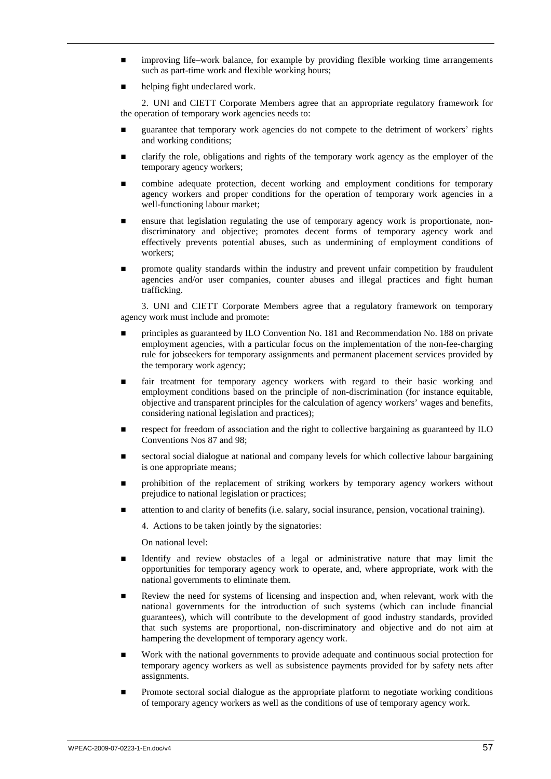- improving life–work balance, for example by providing flexible working time arrangements such as part-time work and flexible working hours;
- helping fight undeclared work.

2. UNI and CIETT Corporate Members agree that an appropriate regulatory framework for the operation of temporary work agencies needs to:

- guarantee that temporary work agencies do not compete to the detriment of workers' rights and working conditions;
- clarify the role, obligations and rights of the temporary work agency as the employer of the temporary agency workers;
- combine adequate protection, decent working and employment conditions for temporary agency workers and proper conditions for the operation of temporary work agencies in a well-functioning labour market;
- ensure that legislation regulating the use of temporary agency work is proportionate, nondiscriminatory and objective; promotes decent forms of temporary agency work and effectively prevents potential abuses, such as undermining of employment conditions of workers;
- promote quality standards within the industry and prevent unfair competition by fraudulent agencies and/or user companies, counter abuses and illegal practices and fight human trafficking.

3. UNI and CIETT Corporate Members agree that a regulatory framework on temporary agency work must include and promote:

- principles as guaranteed by ILO Convention No. 181 and Recommendation No. 188 on private employment agencies, with a particular focus on the implementation of the non-fee-charging rule for jobseekers for temporary assignments and permanent placement services provided by the temporary work agency;
- fair treatment for temporary agency workers with regard to their basic working and employment conditions based on the principle of non-discrimination (for instance equitable, objective and transparent principles for the calculation of agency workers' wages and benefits, considering national legislation and practices);
- respect for freedom of association and the right to collective bargaining as guaranteed by ILO Conventions Nos 87 and 98;
- sectoral social dialogue at national and company levels for which collective labour bargaining is one appropriate means;
- prohibition of the replacement of striking workers by temporary agency workers without prejudice to national legislation or practices;
- attention to and clarity of benefits (i.e. salary, social insurance, pension, vocational training).

4. Actions to be taken jointly by the signatories:

On national level:

- Identify and review obstacles of a legal or administrative nature that may limit the opportunities for temporary agency work to operate, and, where appropriate, work with the national governments to eliminate them.
- Review the need for systems of licensing and inspection and, when relevant, work with the national governments for the introduction of such systems (which can include financial guarantees), which will contribute to the development of good industry standards, provided that such systems are proportional, non-discriminatory and objective and do not aim at hampering the development of temporary agency work.
- Work with the national governments to provide adequate and continuous social protection for temporary agency workers as well as subsistence payments provided for by safety nets after assignments.
- Promote sectoral social dialogue as the appropriate platform to negotiate working conditions of temporary agency workers as well as the conditions of use of temporary agency work.